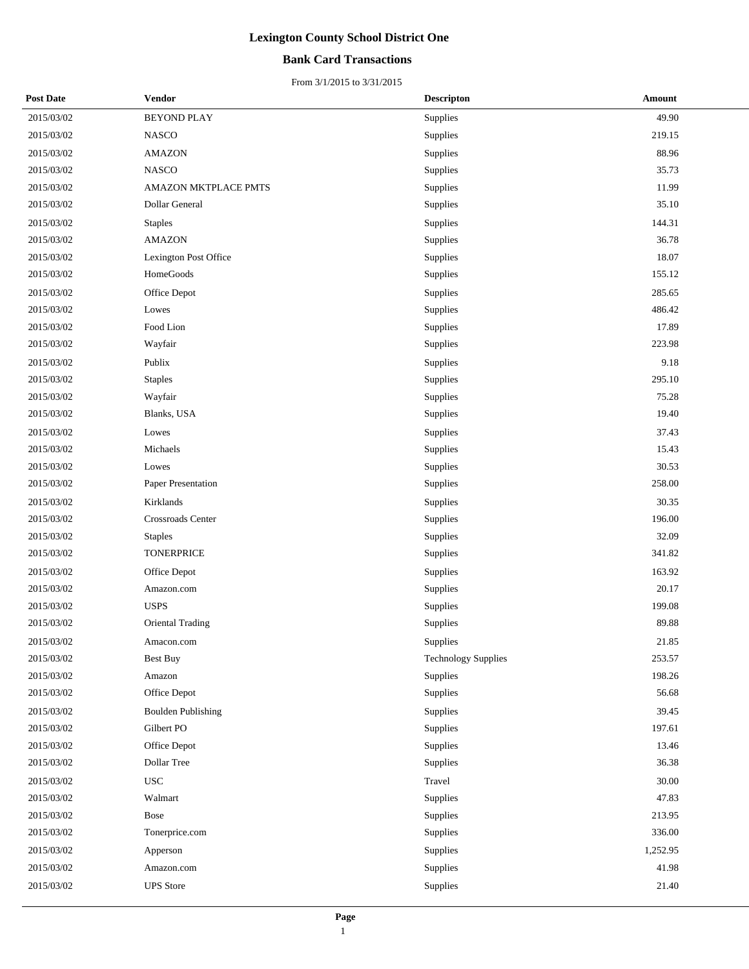### **Bank Card Transactions**

| <b>Post Date</b> | Vendor                    | <b>Descripton</b>          | Amount   |
|------------------|---------------------------|----------------------------|----------|
| 2015/03/02       | <b>BEYOND PLAY</b>        | Supplies                   | 49.90    |
| 2015/03/02       | NASCO                     | Supplies                   | 219.15   |
| 2015/03/02       | <b>AMAZON</b>             | Supplies                   | 88.96    |
| 2015/03/02       | <b>NASCO</b>              | Supplies                   | 35.73    |
| 2015/03/02       | AMAZON MKTPLACE PMTS      | Supplies                   | 11.99    |
| 2015/03/02       | Dollar General            | Supplies                   | 35.10    |
| 2015/03/02       | <b>Staples</b>            | Supplies                   | 144.31   |
| 2015/03/02       | <b>AMAZON</b>             | Supplies                   | 36.78    |
| 2015/03/02       | Lexington Post Office     | Supplies                   | 18.07    |
| 2015/03/02       | HomeGoods                 | Supplies                   | 155.12   |
| 2015/03/02       | Office Depot              | Supplies                   | 285.65   |
| 2015/03/02       | Lowes                     | Supplies                   | 486.42   |
| 2015/03/02       | Food Lion                 | Supplies                   | 17.89    |
| 2015/03/02       | Wayfair                   | Supplies                   | 223.98   |
| 2015/03/02       | Publix                    | Supplies                   | 9.18     |
| 2015/03/02       | <b>Staples</b>            | Supplies                   | 295.10   |
| 2015/03/02       | Wayfair                   | Supplies                   | 75.28    |
| 2015/03/02       | Blanks, USA               | Supplies                   | 19.40    |
| 2015/03/02       | Lowes                     | Supplies                   | 37.43    |
| 2015/03/02       | Michaels                  | Supplies                   | 15.43    |
| 2015/03/02       | Lowes                     | Supplies                   | 30.53    |
| 2015/03/02       | Paper Presentation        | Supplies                   | 258.00   |
| 2015/03/02       | Kirklands                 | Supplies                   | 30.35    |
| 2015/03/02       | Crossroads Center         | Supplies                   | 196.00   |
| 2015/03/02       | <b>Staples</b>            | Supplies                   | 32.09    |
| 2015/03/02       | <b>TONERPRICE</b>         | Supplies                   | 341.82   |
| 2015/03/02       | Office Depot              | Supplies                   | 163.92   |
| 2015/03/02       | Amazon.com                | Supplies                   | 20.17    |
| 2015/03/02       | <b>USPS</b>               | Supplies                   | 199.08   |
| 2015/03/02       | Oriental Trading          | Supplies                   | 89.88    |
| 2015/03/02       | Amacon.com                | Supplies                   | 21.85    |
| 2015/03/02       | <b>Best Buy</b>           | <b>Technology Supplies</b> | 253.57   |
| 2015/03/02       | Amazon                    | Supplies                   | 198.26   |
| 2015/03/02       | Office Depot              | Supplies                   | 56.68    |
| 2015/03/02       | <b>Boulden Publishing</b> | Supplies                   | 39.45    |
| 2015/03/02       | Gilbert PO                | Supplies                   | 197.61   |
| 2015/03/02       | Office Depot              | Supplies                   | 13.46    |
| 2015/03/02       | Dollar Tree               | Supplies                   | 36.38    |
| 2015/03/02       | <b>USC</b>                | Travel                     | 30.00    |
| 2015/03/02       | Walmart                   | Supplies                   | 47.83    |
| 2015/03/02       | Bose                      | Supplies                   | 213.95   |
| 2015/03/02       | Tonerprice.com            | Supplies                   | 336.00   |
| 2015/03/02       | Apperson                  | Supplies                   | 1,252.95 |
| 2015/03/02       | Amazon.com                | Supplies                   | 41.98    |
| 2015/03/02       | <b>UPS</b> Store          | Supplies                   | 21.40    |
|                  |                           |                            |          |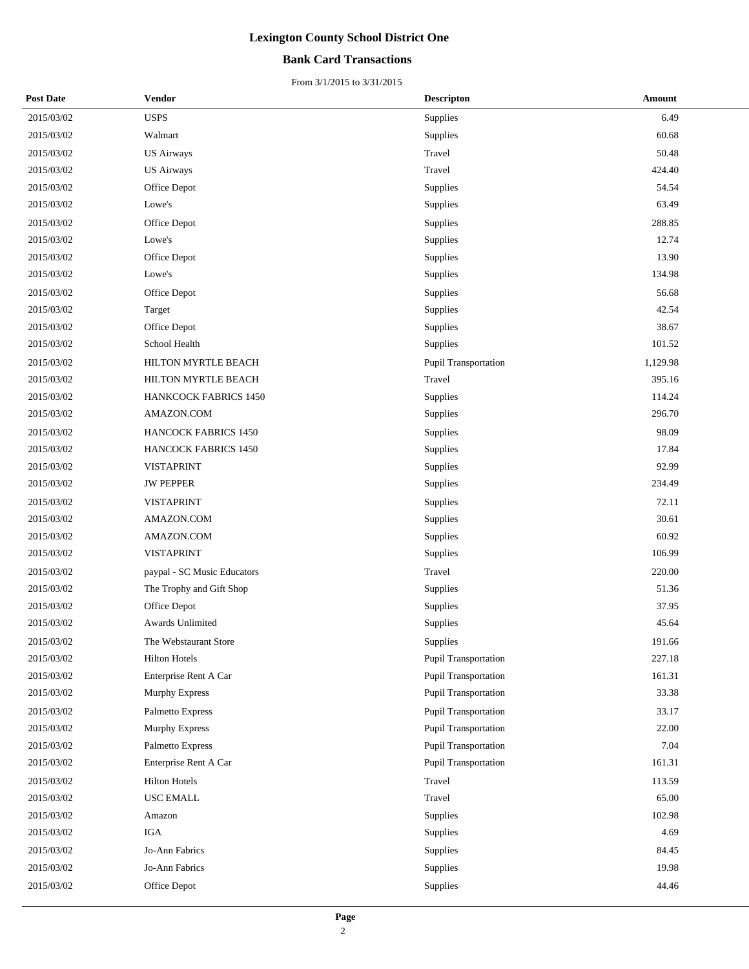### **Bank Card Transactions**

| <b>Post Date</b> | <b>Vendor</b>               | <b>Descripton</b>    | Amount   |
|------------------|-----------------------------|----------------------|----------|
| 2015/03/02       | <b>USPS</b>                 | Supplies             | 6.49     |
| 2015/03/02       | Walmart                     | Supplies             | 60.68    |
| 2015/03/02       | <b>US Airways</b>           | Travel               | 50.48    |
| 2015/03/02       | <b>US Airways</b>           | Travel               | 424.40   |
| 2015/03/02       | Office Depot                | Supplies             | 54.54    |
| 2015/03/02       | Lowe's                      | Supplies             | 63.49    |
| 2015/03/02       | Office Depot                | Supplies             | 288.85   |
| 2015/03/02       | Lowe's                      | Supplies             | 12.74    |
| 2015/03/02       | Office Depot                | Supplies             | 13.90    |
| 2015/03/02       | Lowe's                      | Supplies             | 134.98   |
| 2015/03/02       | Office Depot                | Supplies             | 56.68    |
| 2015/03/02       | Target                      | Supplies             | 42.54    |
| 2015/03/02       | Office Depot                | Supplies             | 38.67    |
| 2015/03/02       | School Health               | Supplies             | 101.52   |
| 2015/03/02       | HILTON MYRTLE BEACH         | Pupil Transportation | 1,129.98 |
| 2015/03/02       | HILTON MYRTLE BEACH         | Travel               | 395.16   |
| 2015/03/02       | HANKCOCK FABRICS 1450       | Supplies             | 114.24   |
| 2015/03/02       | AMAZON.COM                  | Supplies             | 296.70   |
| 2015/03/02       | <b>HANCOCK FABRICS 1450</b> | Supplies             | 98.09    |
| 2015/03/02       | HANCOCK FABRICS 1450        | Supplies             | 17.84    |
| 2015/03/02       | <b>VISTAPRINT</b>           | Supplies             | 92.99    |
| 2015/03/02       | <b>JW PEPPER</b>            | Supplies             | 234.49   |
| 2015/03/02       | <b>VISTAPRINT</b>           | Supplies             | 72.11    |
| 2015/03/02       | AMAZON.COM                  | Supplies             | 30.61    |
| 2015/03/02       | AMAZON.COM                  | Supplies             | 60.92    |
| 2015/03/02       | <b>VISTAPRINT</b>           | Supplies             | 106.99   |
| 2015/03/02       | paypal - SC Music Educators | Travel               | 220.00   |
| 2015/03/02       | The Trophy and Gift Shop    | Supplies             | 51.36    |
| 2015/03/02       | Office Depot                | Supplies             | 37.95    |
| 2015/03/02       | Awards Unlimited            | Supplies             | 45.64    |
| 2015/03/02       | The Webstaurant Store       | Supplies             | 191.66   |
| 2015/03/02       | <b>Hilton Hotels</b>        | Pupil Transportation | 227.18   |
| 2015/03/02       | Enterprise Rent A Car       | Pupil Transportation | 161.31   |
| 2015/03/02       | Murphy Express              | Pupil Transportation | 33.38    |
| 2015/03/02       | Palmetto Express            | Pupil Transportation | 33.17    |
| 2015/03/02       | Murphy Express              | Pupil Transportation | 22.00    |
| 2015/03/02       | Palmetto Express            | Pupil Transportation | 7.04     |
| 2015/03/02       | Enterprise Rent A Car       | Pupil Transportation | 161.31   |
| 2015/03/02       | <b>Hilton Hotels</b>        | Travel               | 113.59   |
| 2015/03/02       | USC EMALL                   | Travel               | 65.00    |
| 2015/03/02       | Amazon                      | Supplies             | 102.98   |
| 2015/03/02       | IGA                         | Supplies             | 4.69     |
| 2015/03/02       | Jo-Ann Fabrics              | Supplies             | 84.45    |
| 2015/03/02       | Jo-Ann Fabrics              | Supplies             | 19.98    |
| 2015/03/02       | Office Depot                | Supplies             | 44.46    |
|                  |                             |                      |          |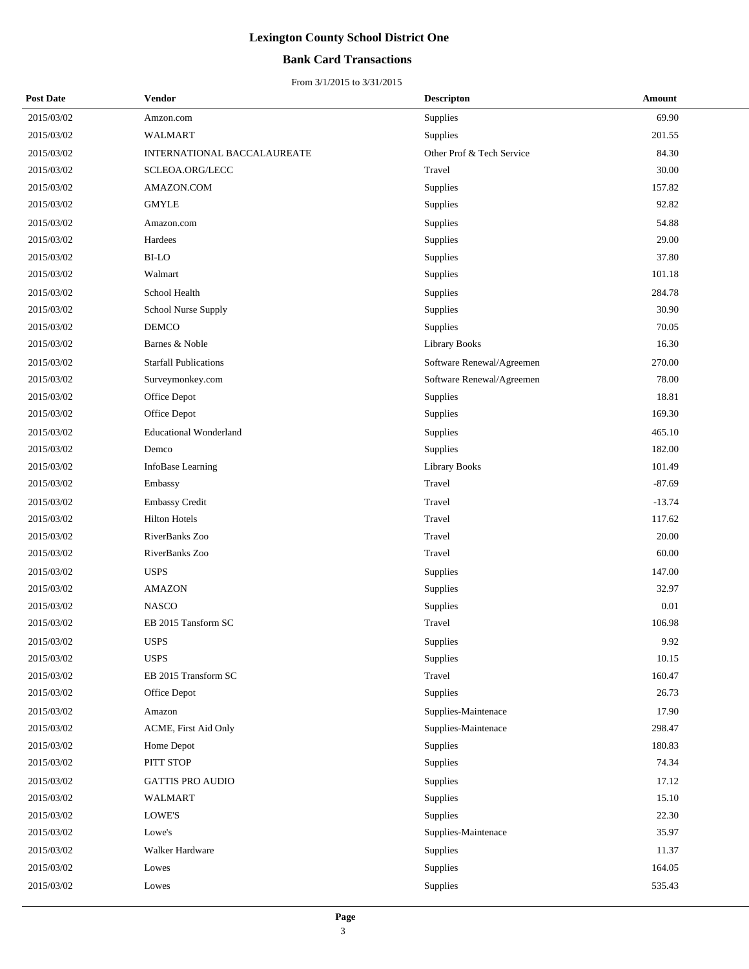### **Bank Card Transactions**

| <b>Post Date</b> | Vendor                        | <b>Descripton</b>         | Amount   |
|------------------|-------------------------------|---------------------------|----------|
| 2015/03/02       | Amzon.com                     | Supplies                  | 69.90    |
| 2015/03/02       | <b>WALMART</b>                | Supplies                  | 201.55   |
| 2015/03/02       | INTERNATIONAL BACCALAUREATE   | Other Prof & Tech Service | 84.30    |
| 2015/03/02       | SCLEOA.ORG/LECC               | Travel                    | 30.00    |
| 2015/03/02       | AMAZON.COM                    | Supplies                  | 157.82   |
| 2015/03/02       | <b>GMYLE</b>                  | Supplies                  | 92.82    |
| 2015/03/02       | Amazon.com                    | Supplies                  | 54.88    |
| 2015/03/02       | Hardees                       | <b>Supplies</b>           | 29.00    |
| 2015/03/02       | <b>BI-LO</b>                  | Supplies                  | 37.80    |
| 2015/03/02       | Walmart                       | Supplies                  | 101.18   |
| 2015/03/02       | School Health                 | Supplies                  | 284.78   |
| 2015/03/02       | School Nurse Supply           | Supplies                  | 30.90    |
| 2015/03/02       | <b>DEMCO</b>                  | Supplies                  | 70.05    |
| 2015/03/02       | Barnes & Noble                | Library Books             | 16.30    |
| 2015/03/02       | <b>Starfall Publications</b>  | Software Renewal/Agreemen | 270.00   |
| 2015/03/02       | Surveymonkey.com              | Software Renewal/Agreemen | 78.00    |
| 2015/03/02       | Office Depot                  | Supplies                  | 18.81    |
| 2015/03/02       | Office Depot                  | Supplies                  | 169.30   |
| 2015/03/02       | <b>Educational Wonderland</b> | Supplies                  | 465.10   |
| 2015/03/02       | Demco                         | Supplies                  | 182.00   |
| 2015/03/02       | InfoBase Learning             | <b>Library Books</b>      | 101.49   |
| 2015/03/02       | Embassy                       | Travel                    | $-87.69$ |
| 2015/03/02       | <b>Embassy Credit</b>         | Travel                    | $-13.74$ |
| 2015/03/02       | <b>Hilton Hotels</b>          | Travel                    | 117.62   |
| 2015/03/02       | RiverBanks Zoo                | Travel                    | 20.00    |
| 2015/03/02       | RiverBanks Zoo                | Travel                    | 60.00    |
| 2015/03/02       | <b>USPS</b>                   | Supplies                  | 147.00   |
| 2015/03/02       | <b>AMAZON</b>                 | Supplies                  | 32.97    |
| 2015/03/02       | <b>NASCO</b>                  | Supplies                  | $0.01\,$ |
| 2015/03/02       | EB 2015 Tansform SC           | Travel                    | 106.98   |
| 2015/03/02       | <b>USPS</b>                   | Supplies                  | 9.92     |
| 2015/03/02       | <b>USPS</b>                   | Supplies                  | 10.15    |
| 2015/03/02       | EB 2015 Transform SC          | Travel                    | 160.47   |
| 2015/03/02       | Office Depot                  | Supplies                  | 26.73    |
| 2015/03/02       | Amazon                        | Supplies-Maintenace       | 17.90    |
| 2015/03/02       | ACME, First Aid Only          | Supplies-Maintenace       | 298.47   |
| 2015/03/02       | Home Depot                    | <b>Supplies</b>           | 180.83   |
| 2015/03/02       | PITT STOP                     | Supplies                  | 74.34    |
| 2015/03/02       | <b>GATTIS PRO AUDIO</b>       | Supplies                  | 17.12    |
| 2015/03/02       | <b>WALMART</b>                | Supplies                  | 15.10    |
| 2015/03/02       | LOWE'S                        | Supplies                  | 22.30    |
| 2015/03/02       | Lowe's                        | Supplies-Maintenace       | 35.97    |
| 2015/03/02       | Walker Hardware               | Supplies                  | 11.37    |
| 2015/03/02       | Lowes                         | Supplies                  | 164.05   |
| 2015/03/02       | Lowes                         | Supplies                  | 535.43   |
|                  |                               |                           |          |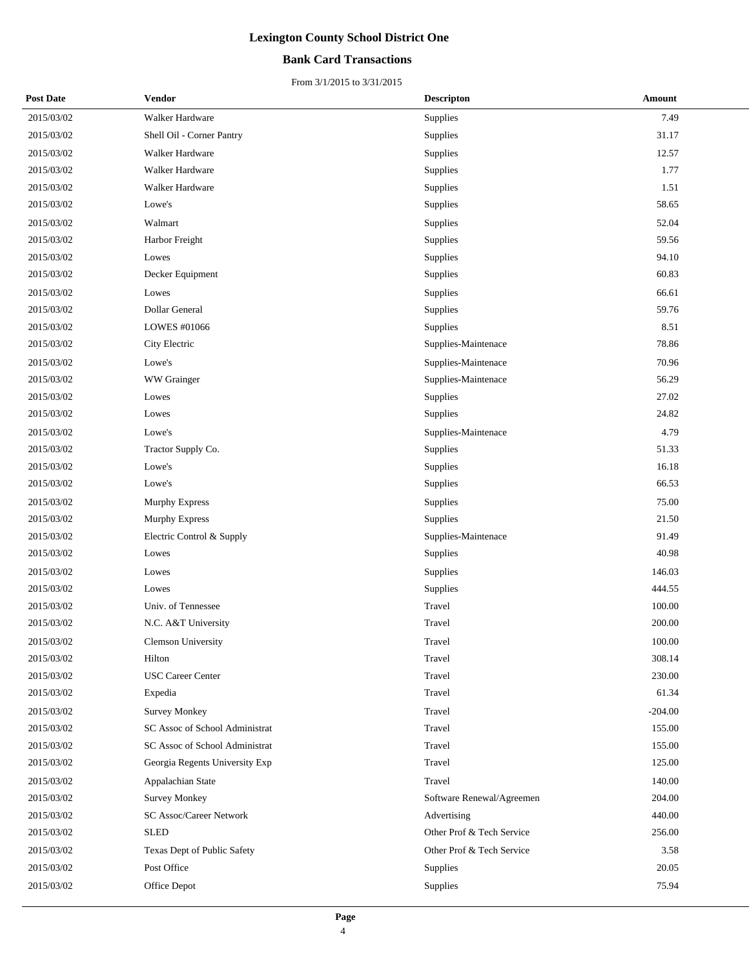### **Bank Card Transactions**

| <b>Post Date</b> | Vendor                         | <b>Descripton</b>         | Amount    |
|------------------|--------------------------------|---------------------------|-----------|
| 2015/03/02       | Walker Hardware                | Supplies                  | 7.49      |
| 2015/03/02       | Shell Oil - Corner Pantry      | Supplies                  | 31.17     |
| 2015/03/02       | Walker Hardware                | Supplies                  | 12.57     |
| 2015/03/02       | Walker Hardware                | Supplies                  | 1.77      |
| 2015/03/02       | Walker Hardware                | Supplies                  | 1.51      |
| 2015/03/02       | Lowe's                         | Supplies                  | 58.65     |
| 2015/03/02       | Walmart                        | Supplies                  | 52.04     |
| 2015/03/02       | Harbor Freight                 | Supplies                  | 59.56     |
| 2015/03/02       | Lowes                          | Supplies                  | 94.10     |
| 2015/03/02       | Decker Equipment               | Supplies                  | 60.83     |
| 2015/03/02       | Lowes                          | Supplies                  | 66.61     |
| 2015/03/02       | Dollar General                 | Supplies                  | 59.76     |
| 2015/03/02       | LOWES #01066                   | <b>Supplies</b>           | 8.51      |
| 2015/03/02       | City Electric                  | Supplies-Maintenace       | 78.86     |
| 2015/03/02       | Lowe's                         | Supplies-Maintenace       | 70.96     |
| 2015/03/02       | WW Grainger                    | Supplies-Maintenace       | 56.29     |
| 2015/03/02       | Lowes                          | Supplies                  | 27.02     |
| 2015/03/02       | Lowes                          | Supplies                  | 24.82     |
| 2015/03/02       | Lowe's                         | Supplies-Maintenace       | 4.79      |
| 2015/03/02       | Tractor Supply Co.             | Supplies                  | 51.33     |
| 2015/03/02       | Lowe's                         | Supplies                  | 16.18     |
| 2015/03/02       | Lowe's                         | Supplies                  | 66.53     |
| 2015/03/02       | Murphy Express                 | Supplies                  | 75.00     |
| 2015/03/02       | Murphy Express                 | Supplies                  | 21.50     |
| 2015/03/02       | Electric Control & Supply      | Supplies-Maintenace       | 91.49     |
| 2015/03/02       | Lowes                          | Supplies                  | 40.98     |
| 2015/03/02       | Lowes                          | Supplies                  | 146.03    |
| 2015/03/02       | Lowes                          | <b>Supplies</b>           | 444.55    |
| 2015/03/02       | Univ. of Tennessee             | Travel                    | 100.00    |
| 2015/03/02       | N.C. A&T University            | Travel                    | 200.00    |
| 2015/03/02       | Clemson University             | Travel                    | 100.00    |
| 2015/03/02       | Hilton                         | Travel                    | 308.14    |
| 2015/03/02       | <b>USC Career Center</b>       | Travel                    | 230.00    |
| 2015/03/02       | Expedia                        | Travel                    | 61.34     |
| 2015/03/02       | <b>Survey Monkey</b>           | Travel                    | $-204.00$ |
| 2015/03/02       | SC Assoc of School Administrat | Travel                    | 155.00    |
| 2015/03/02       | SC Assoc of School Administrat | Travel                    | 155.00    |
| 2015/03/02       | Georgia Regents University Exp | Travel                    | 125.00    |
| 2015/03/02       | Appalachian State              | Travel                    | 140.00    |
| 2015/03/02       | Survey Monkey                  | Software Renewal/Agreemen | 204.00    |
| 2015/03/02       | SC Assoc/Career Network        | Advertising               | 440.00    |
| 2015/03/02       | <b>SLED</b>                    | Other Prof & Tech Service | 256.00    |
| 2015/03/02       | Texas Dept of Public Safety    | Other Prof & Tech Service | 3.58      |
| 2015/03/02       | Post Office                    | Supplies                  | 20.05     |
| 2015/03/02       | Office Depot                   | Supplies                  | 75.94     |
|                  |                                |                           |           |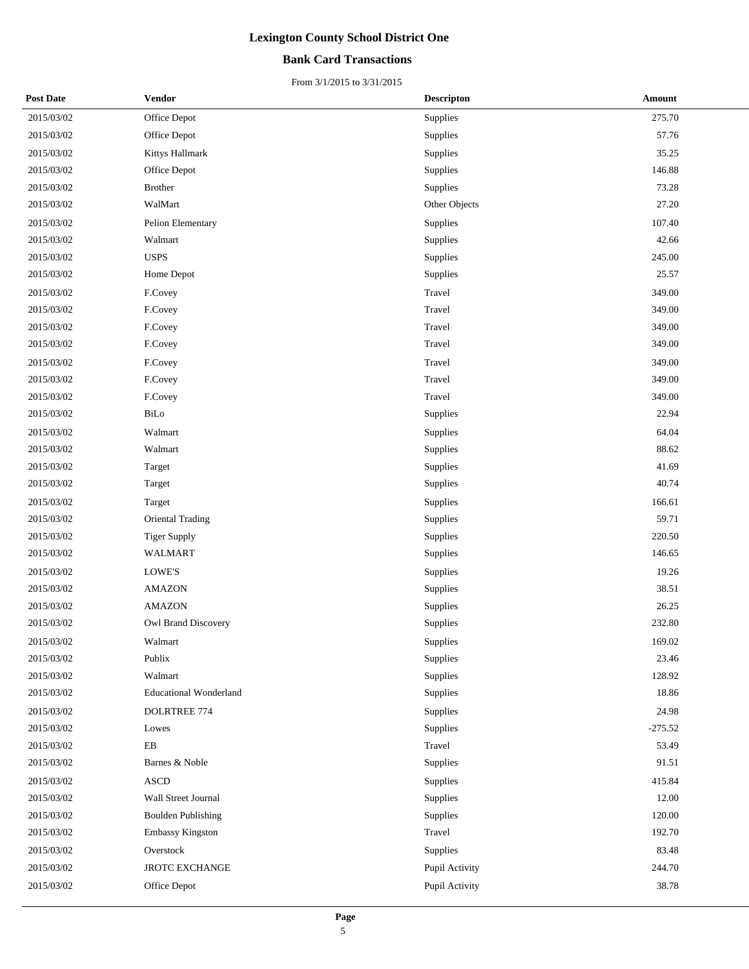### **Bank Card Transactions**

| <b>Post Date</b> | Vendor                        | <b>Descripton</b> | Amount    |
|------------------|-------------------------------|-------------------|-----------|
| 2015/03/02       | Office Depot                  | Supplies          | 275.70    |
| 2015/03/02       | Office Depot                  | Supplies          | 57.76     |
| 2015/03/02       | Kittys Hallmark               | Supplies          | 35.25     |
| 2015/03/02       | Office Depot                  | Supplies          | 146.88    |
| 2015/03/02       | Brother                       | Supplies          | 73.28     |
| 2015/03/02       | WalMart                       | Other Objects     | 27.20     |
| 2015/03/02       | Pelion Elementary             | Supplies          | 107.40    |
| 2015/03/02       | Walmart                       | Supplies          | 42.66     |
| 2015/03/02       | <b>USPS</b>                   | Supplies          | 245.00    |
| 2015/03/02       | Home Depot                    | Supplies          | 25.57     |
| 2015/03/02       | F.Covey                       | Travel            | 349.00    |
| 2015/03/02       | F.Covey                       | Travel            | 349.00    |
| 2015/03/02       | F.Covey                       | Travel            | 349.00    |
| 2015/03/02       | F.Covey                       | Travel            | 349.00    |
| 2015/03/02       | F.Covey                       | Travel            | 349.00    |
| 2015/03/02       | F.Covey                       | Travel            | 349.00    |
| 2015/03/02       | F.Covey                       | Travel            | 349.00    |
| 2015/03/02       | BiLo                          | Supplies          | 22.94     |
| 2015/03/02       | Walmart                       | Supplies          | 64.04     |
| 2015/03/02       | Walmart                       | Supplies          | 88.62     |
| 2015/03/02       | Target                        | Supplies          | 41.69     |
| 2015/03/02       | Target                        | Supplies          | 40.74     |
| 2015/03/02       | Target                        | Supplies          | 166.61    |
| 2015/03/02       | <b>Oriental Trading</b>       | Supplies          | 59.71     |
| 2015/03/02       | <b>Tiger Supply</b>           | Supplies          | 220.50    |
| 2015/03/02       | <b>WALMART</b>                | Supplies          | 146.65    |
| 2015/03/02       | <b>LOWE'S</b>                 | Supplies          | 19.26     |
| 2015/03/02       | <b>AMAZON</b>                 | Supplies          | 38.51     |
| 2015/03/02       | <b>AMAZON</b>                 | Supplies          | 26.25     |
| 2015/03/02       | Owl Brand Discovery           | Supplies          | 232.80    |
| 2015/03/02       | Walmart                       | Supplies          | 169.02    |
| 2015/03/02       | Publix                        | Supplies          | 23.46     |
| 2015/03/02       | Walmart                       | Supplies          | 128.92    |
| 2015/03/02       | <b>Educational Wonderland</b> | Supplies          | 18.86     |
| 2015/03/02       | DOLRTREE 774                  | Supplies          | 24.98     |
| 2015/03/02       | Lowes                         | Supplies          | $-275.52$ |
| 2015/03/02       | ${\bf EB}$                    | Travel            | 53.49     |
| 2015/03/02       | Barnes & Noble                | Supplies          | 91.51     |
| 2015/03/02       | <b>ASCD</b>                   | Supplies          | 415.84    |
| 2015/03/02       | Wall Street Journal           | Supplies          | 12.00     |
| 2015/03/02       | <b>Boulden Publishing</b>     | Supplies          | 120.00    |
| 2015/03/02       | Embassy Kingston              | Travel            | 192.70    |
| 2015/03/02       | Overstock                     | Supplies          | 83.48     |
| 2015/03/02       | <b>JROTC EXCHANGE</b>         | Pupil Activity    | 244.70    |
| 2015/03/02       | Office Depot                  | Pupil Activity    | 38.78     |
|                  |                               |                   |           |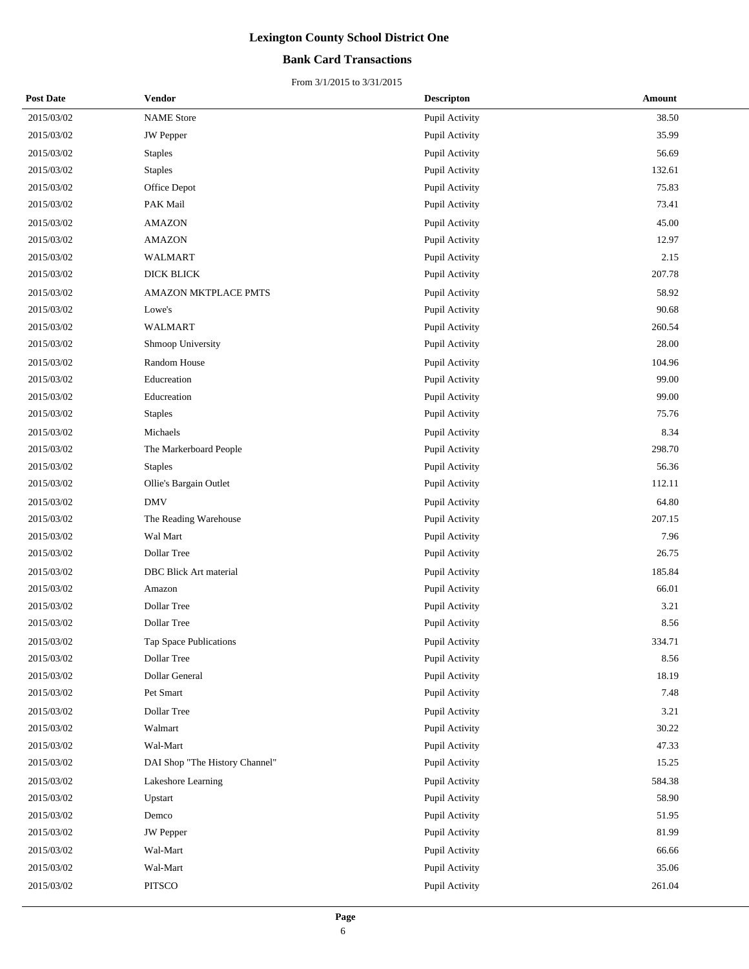### **Bank Card Transactions**

| <b>Post Date</b> | <b>Vendor</b>                  | <b>Descripton</b> | Amount |
|------------------|--------------------------------|-------------------|--------|
| 2015/03/02       | <b>NAME</b> Store              | Pupil Activity    | 38.50  |
| 2015/03/02       | <b>JW</b> Pepper               | Pupil Activity    | 35.99  |
| 2015/03/02       | <b>Staples</b>                 | Pupil Activity    | 56.69  |
| 2015/03/02       | <b>Staples</b>                 | Pupil Activity    | 132.61 |
| 2015/03/02       | Office Depot                   | Pupil Activity    | 75.83  |
| 2015/03/02       | PAK Mail                       | Pupil Activity    | 73.41  |
| 2015/03/02       | <b>AMAZON</b>                  | Pupil Activity    | 45.00  |
| 2015/03/02       | <b>AMAZON</b>                  | Pupil Activity    | 12.97  |
| 2015/03/02       | <b>WALMART</b>                 | Pupil Activity    | 2.15   |
| 2015/03/02       | <b>DICK BLICK</b>              | Pupil Activity    | 207.78 |
| 2015/03/02       | AMAZON MKTPLACE PMTS           | Pupil Activity    | 58.92  |
| 2015/03/02       | Lowe's                         | Pupil Activity    | 90.68  |
| 2015/03/02       | <b>WALMART</b>                 | Pupil Activity    | 260.54 |
| 2015/03/02       | Shmoop University              | Pupil Activity    | 28.00  |
| 2015/03/02       | Random House                   | Pupil Activity    | 104.96 |
| 2015/03/02       | Educreation                    | Pupil Activity    | 99.00  |
| 2015/03/02       | Educreation                    | Pupil Activity    | 99.00  |
| 2015/03/02       | <b>Staples</b>                 | Pupil Activity    | 75.76  |
| 2015/03/02       | Michaels                       | Pupil Activity    | 8.34   |
| 2015/03/02       | The Markerboard People         | Pupil Activity    | 298.70 |
| 2015/03/02       | <b>Staples</b>                 | Pupil Activity    | 56.36  |
| 2015/03/02       | Ollie's Bargain Outlet         | Pupil Activity    | 112.11 |
| 2015/03/02       | <b>DMV</b>                     | Pupil Activity    | 64.80  |
| 2015/03/02       | The Reading Warehouse          | Pupil Activity    | 207.15 |
| 2015/03/02       | Wal Mart                       | Pupil Activity    | 7.96   |
| 2015/03/02       | Dollar Tree                    | Pupil Activity    | 26.75  |
| 2015/03/02       | DBC Blick Art material         | Pupil Activity    | 185.84 |
| 2015/03/02       | Amazon                         | Pupil Activity    | 66.01  |
| 2015/03/02       | Dollar Tree                    | Pupil Activity    | 3.21   |
| 2015/03/02       | Dollar Tree                    | Pupil Activity    | 8.56   |
| 2015/03/02       | Tap Space Publications         | Pupil Activity    | 334.71 |
| 2015/03/02       | Dollar Tree                    | Pupil Activity    | 8.56   |
| 2015/03/02       | Dollar General                 | Pupil Activity    | 18.19  |
| 2015/03/02       | Pet Smart                      | Pupil Activity    | 7.48   |
| 2015/03/02       | Dollar Tree                    | Pupil Activity    | 3.21   |
| 2015/03/02       | Walmart                        | Pupil Activity    | 30.22  |
| 2015/03/02       | Wal-Mart                       | Pupil Activity    | 47.33  |
| 2015/03/02       | DAI Shop "The History Channel" | Pupil Activity    | 15.25  |
| 2015/03/02       | Lakeshore Learning             | Pupil Activity    | 584.38 |
| 2015/03/02       | Upstart                        | Pupil Activity    | 58.90  |
| 2015/03/02       | Demco                          | Pupil Activity    | 51.95  |
| 2015/03/02       | <b>JW</b> Pepper               | Pupil Activity    | 81.99  |
| 2015/03/02       | Wal-Mart                       | Pupil Activity    | 66.66  |
| 2015/03/02       | Wal-Mart                       | Pupil Activity    | 35.06  |
| 2015/03/02       | <b>PITSCO</b>                  | Pupil Activity    | 261.04 |
|                  |                                |                   |        |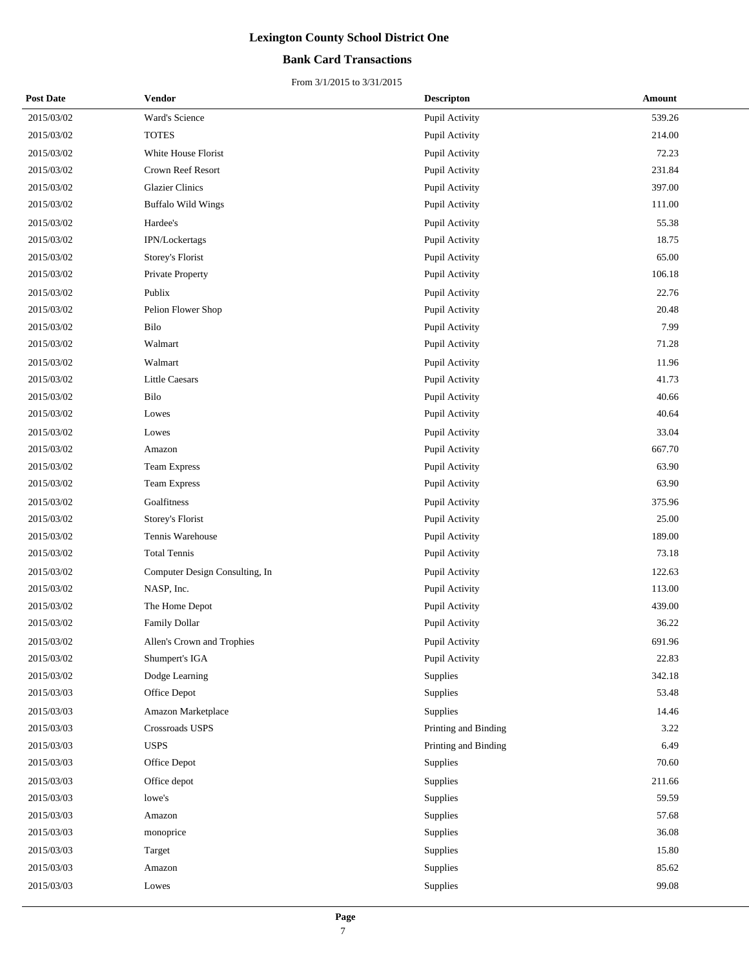### **Bank Card Transactions**

| <b>Post Date</b> | <b>Vendor</b>                  | <b>Descripton</b>    | Amount |
|------------------|--------------------------------|----------------------|--------|
| 2015/03/02       | Ward's Science                 | Pupil Activity       | 539.26 |
| 2015/03/02       | <b>TOTES</b>                   | Pupil Activity       | 214.00 |
| 2015/03/02       | White House Florist            | Pupil Activity       | 72.23  |
| 2015/03/02       | Crown Reef Resort              | Pupil Activity       | 231.84 |
| 2015/03/02       | <b>Glazier Clinics</b>         | Pupil Activity       | 397.00 |
| 2015/03/02       | <b>Buffalo Wild Wings</b>      | Pupil Activity       | 111.00 |
| 2015/03/02       | Hardee's                       | Pupil Activity       | 55.38  |
| 2015/03/02       | IPN/Lockertags                 | Pupil Activity       | 18.75  |
| 2015/03/02       | Storey's Florist               | Pupil Activity       | 65.00  |
| 2015/03/02       | Private Property               | Pupil Activity       | 106.18 |
| 2015/03/02       | Publix                         | Pupil Activity       | 22.76  |
| 2015/03/02       | Pelion Flower Shop             | Pupil Activity       | 20.48  |
| 2015/03/02       | Bilo                           | Pupil Activity       | 7.99   |
| 2015/03/02       | Walmart                        | Pupil Activity       | 71.28  |
| 2015/03/02       | Walmart                        | Pupil Activity       | 11.96  |
| 2015/03/02       | <b>Little Caesars</b>          | Pupil Activity       | 41.73  |
| 2015/03/02       | Bilo                           | Pupil Activity       | 40.66  |
| 2015/03/02       | Lowes                          | Pupil Activity       | 40.64  |
| 2015/03/02       | Lowes                          | Pupil Activity       | 33.04  |
| 2015/03/02       | Amazon                         | Pupil Activity       | 667.70 |
| 2015/03/02       | <b>Team Express</b>            | Pupil Activity       | 63.90  |
| 2015/03/02       | <b>Team Express</b>            | Pupil Activity       | 63.90  |
| 2015/03/02       | Goalfitness                    | Pupil Activity       | 375.96 |
| 2015/03/02       | Storey's Florist               | Pupil Activity       | 25.00  |
| 2015/03/02       | Tennis Warehouse               | Pupil Activity       | 189.00 |
| 2015/03/02       | <b>Total Tennis</b>            | Pupil Activity       | 73.18  |
| 2015/03/02       | Computer Design Consulting, In | Pupil Activity       | 122.63 |
| 2015/03/02       | NASP, Inc.                     | Pupil Activity       | 113.00 |
| 2015/03/02       | The Home Depot                 | Pupil Activity       | 439.00 |
| 2015/03/02       | Family Dollar                  | Pupil Activity       | 36.22  |
| 2015/03/02       | Allen's Crown and Trophies     | Pupil Activity       | 691.96 |
| 2015/03/02       | Shumpert's IGA                 | Pupil Activity       | 22.83  |
| 2015/03/02       | Dodge Learning                 | Supplies             | 342.18 |
| 2015/03/03       | Office Depot                   | Supplies             | 53.48  |
| 2015/03/03       | Amazon Marketplace             | Supplies             | 14.46  |
| 2015/03/03       | Crossroads USPS                | Printing and Binding | 3.22   |
| 2015/03/03       | <b>USPS</b>                    | Printing and Binding | 6.49   |
| 2015/03/03       | Office Depot                   | Supplies             | 70.60  |
| 2015/03/03       | Office depot                   | Supplies             | 211.66 |
| 2015/03/03       | lowe's                         | Supplies             | 59.59  |
| 2015/03/03       | Amazon                         | Supplies             | 57.68  |
| 2015/03/03       | monoprice                      | Supplies             | 36.08  |
| 2015/03/03       | Target                         | Supplies             | 15.80  |
| 2015/03/03       | Amazon                         | Supplies             | 85.62  |
| 2015/03/03       | Lowes                          | Supplies             | 99.08  |
|                  |                                |                      |        |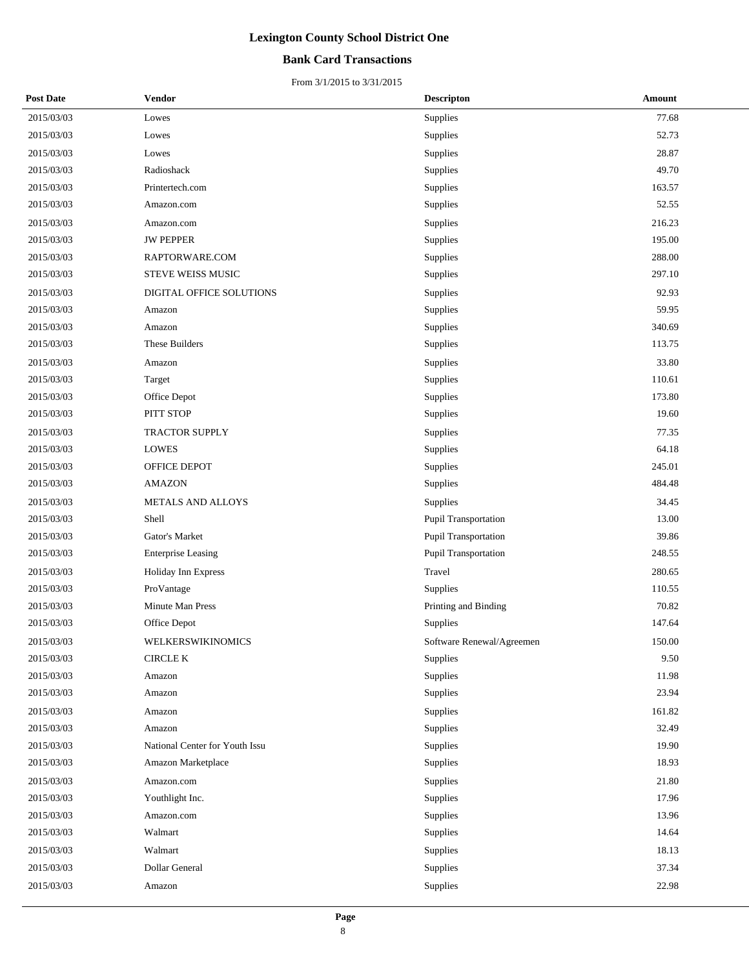### **Bank Card Transactions**

| <b>Post Date</b> | <b>Vendor</b>                  | <b>Descripton</b>         | Amount |
|------------------|--------------------------------|---------------------------|--------|
| 2015/03/03       | Lowes                          | Supplies                  | 77.68  |
| 2015/03/03       | Lowes                          | Supplies                  | 52.73  |
| 2015/03/03       | Lowes                          | Supplies                  | 28.87  |
| 2015/03/03       | Radioshack                     | Supplies                  | 49.70  |
| 2015/03/03       | Printertech.com                | Supplies                  | 163.57 |
| 2015/03/03       | Amazon.com                     | Supplies                  | 52.55  |
| 2015/03/03       | Amazon.com                     | Supplies                  | 216.23 |
| 2015/03/03       | <b>JW PEPPER</b>               | Supplies                  | 195.00 |
| 2015/03/03       | RAPTORWARE.COM                 | Supplies                  | 288.00 |
| 2015/03/03       | STEVE WEISS MUSIC              | Supplies                  | 297.10 |
| 2015/03/03       | DIGITAL OFFICE SOLUTIONS       | Supplies                  | 92.93  |
| 2015/03/03       | Amazon                         | <b>Supplies</b>           | 59.95  |
| 2015/03/03       | Amazon                         | Supplies                  | 340.69 |
| 2015/03/03       | These Builders                 | Supplies                  | 113.75 |
| 2015/03/03       | Amazon                         | Supplies                  | 33.80  |
| 2015/03/03       | Target                         | Supplies                  | 110.61 |
| 2015/03/03       | Office Depot                   | Supplies                  | 173.80 |
| 2015/03/03       | PITT STOP                      | Supplies                  | 19.60  |
| 2015/03/03       | <b>TRACTOR SUPPLY</b>          | Supplies                  | 77.35  |
| 2015/03/03       | <b>LOWES</b>                   | Supplies                  | 64.18  |
| 2015/03/03       | OFFICE DEPOT                   | Supplies                  | 245.01 |
| 2015/03/03       | <b>AMAZON</b>                  | Supplies                  | 484.48 |
| 2015/03/03       | METALS AND ALLOYS              | Supplies                  | 34.45  |
| 2015/03/03       | Shell                          | Pupil Transportation      | 13.00  |
| 2015/03/03       | Gator's Market                 | Pupil Transportation      | 39.86  |
| 2015/03/03       | <b>Enterprise Leasing</b>      | Pupil Transportation      | 248.55 |
| 2015/03/03       | Holiday Inn Express            | Travel                    | 280.65 |
| 2015/03/03       | ProVantage                     | Supplies                  | 110.55 |
| 2015/03/03       | <b>Minute Man Press</b>        | Printing and Binding      | 70.82  |
| 2015/03/03       | Office Depot                   | Supplies                  | 147.64 |
| 2015/03/03       | WELKERSWIKINOMICS              | Software Renewal/Agreemen | 150.00 |
| 2015/03/03       | <b>CIRCLE K</b>                | Supplies                  | 9.50   |
| 2015/03/03       | Amazon                         | Supplies                  | 11.98  |
| 2015/03/03       | Amazon                         | Supplies                  | 23.94  |
| 2015/03/03       | Amazon                         | Supplies                  | 161.82 |
| 2015/03/03       | Amazon                         | Supplies                  | 32.49  |
| 2015/03/03       | National Center for Youth Issu | Supplies                  | 19.90  |
| 2015/03/03       | Amazon Marketplace             | Supplies                  | 18.93  |
| 2015/03/03       | Amazon.com                     | Supplies                  | 21.80  |
| 2015/03/03       | Youthlight Inc.                | Supplies                  | 17.96  |
| 2015/03/03       | Amazon.com                     | Supplies                  | 13.96  |
| 2015/03/03       | Walmart                        | Supplies                  | 14.64  |
| 2015/03/03       | Walmart                        | Supplies                  | 18.13  |
| 2015/03/03       | Dollar General                 | Supplies                  | 37.34  |
| 2015/03/03       | Amazon                         | Supplies                  | 22.98  |
|                  |                                |                           |        |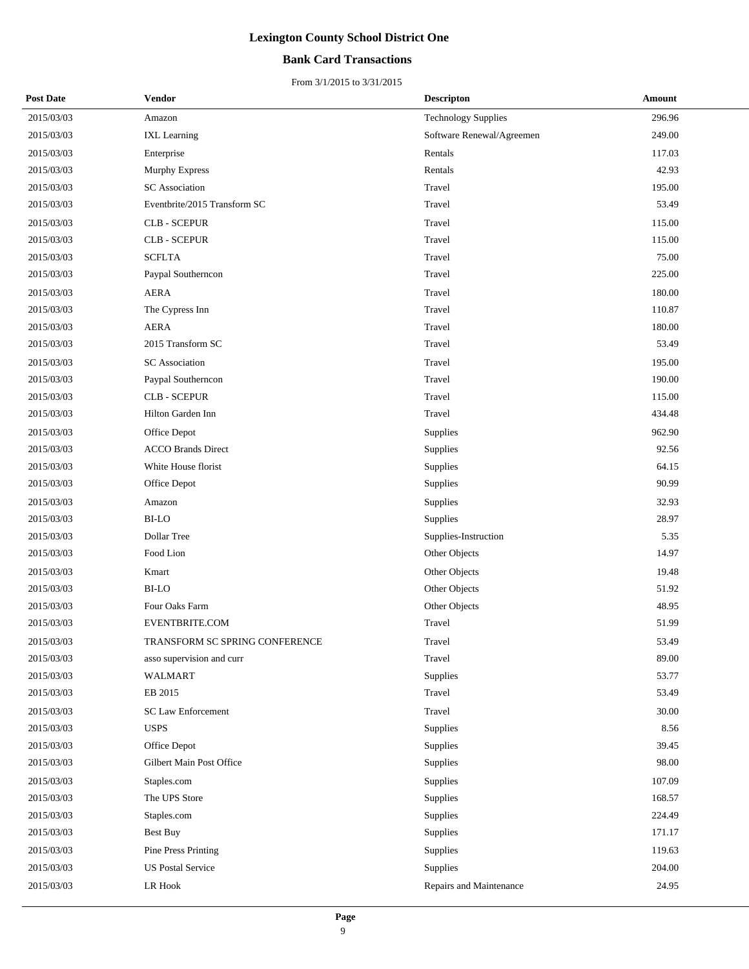### **Bank Card Transactions**

| <b>Post Date</b> | Vendor                         | <b>Descripton</b>          | Amount |
|------------------|--------------------------------|----------------------------|--------|
| 2015/03/03       | Amazon                         | <b>Technology Supplies</b> | 296.96 |
| 2015/03/03       | <b>IXL</b> Learning            | Software Renewal/Agreemen  | 249.00 |
| 2015/03/03       | Enterprise                     | Rentals                    | 117.03 |
| 2015/03/03       | Murphy Express                 | Rentals                    | 42.93  |
| 2015/03/03       | <b>SC</b> Association          | Travel                     | 195.00 |
| 2015/03/03       | Eventbrite/2015 Transform SC   | Travel                     | 53.49  |
| 2015/03/03       | <b>CLB - SCEPUR</b>            | Travel                     | 115.00 |
| 2015/03/03       | <b>CLB - SCEPUR</b>            | Travel                     | 115.00 |
| 2015/03/03       | <b>SCFLTA</b>                  | Travel                     | 75.00  |
| 2015/03/03       | Paypal Southerncon             | Travel                     | 225.00 |
| 2015/03/03       | <b>AERA</b>                    | Travel                     | 180.00 |
| 2015/03/03       | The Cypress Inn                | Travel                     | 110.87 |
| 2015/03/03       | <b>AERA</b>                    | Travel                     | 180.00 |
| 2015/03/03       | 2015 Transform SC              | Travel                     | 53.49  |
| 2015/03/03       | <b>SC</b> Association          | Travel                     | 195.00 |
| 2015/03/03       | Paypal Southerncon             | Travel                     | 190.00 |
| 2015/03/03       | <b>CLB - SCEPUR</b>            | Travel                     | 115.00 |
| 2015/03/03       | Hilton Garden Inn              | Travel                     | 434.48 |
| 2015/03/03       | Office Depot                   | Supplies                   | 962.90 |
| 2015/03/03       | <b>ACCO Brands Direct</b>      | Supplies                   | 92.56  |
| 2015/03/03       | White House florist            | Supplies                   | 64.15  |
| 2015/03/03       | Office Depot                   | Supplies                   | 90.99  |
| 2015/03/03       | Amazon                         | Supplies                   | 32.93  |
| 2015/03/03       | <b>BI-LO</b>                   | Supplies                   | 28.97  |
| 2015/03/03       | Dollar Tree                    | Supplies-Instruction       | 5.35   |
| 2015/03/03       | Food Lion                      | Other Objects              | 14.97  |
| 2015/03/03       | Kmart                          | Other Objects              | 19.48  |
| 2015/03/03       | <b>BI-LO</b>                   | Other Objects              | 51.92  |
| 2015/03/03       | Four Oaks Farm                 | Other Objects              | 48.95  |
| 2015/03/03       | EVENTBRITE.COM                 | Travel                     | 51.99  |
| 2015/03/03       | TRANSFORM SC SPRING CONFERENCE | Travel                     | 53.49  |
| 2015/03/03       | asso supervision and curr      | Travel                     | 89.00  |
| 2015/03/03       | <b>WALMART</b>                 | Supplies                   | 53.77  |
| 2015/03/03       | EB 2015                        | Travel                     | 53.49  |
| 2015/03/03       | <b>SC Law Enforcement</b>      | Travel                     | 30.00  |
| 2015/03/03       | <b>USPS</b>                    | Supplies                   | 8.56   |
| 2015/03/03       | Office Depot                   | Supplies                   | 39.45  |
| 2015/03/03       | Gilbert Main Post Office       | Supplies                   | 98.00  |
| 2015/03/03       | Staples.com                    | Supplies                   | 107.09 |
| 2015/03/03       | The UPS Store                  | Supplies                   | 168.57 |
| 2015/03/03       | Staples.com                    | Supplies                   | 224.49 |
| 2015/03/03       | <b>Best Buy</b>                | Supplies                   | 171.17 |
| 2015/03/03       | Pine Press Printing            | Supplies                   | 119.63 |
| 2015/03/03       | <b>US Postal Service</b>       | Supplies                   | 204.00 |
| 2015/03/03       | LR Hook                        | Repairs and Maintenance    | 24.95  |
|                  |                                |                            |        |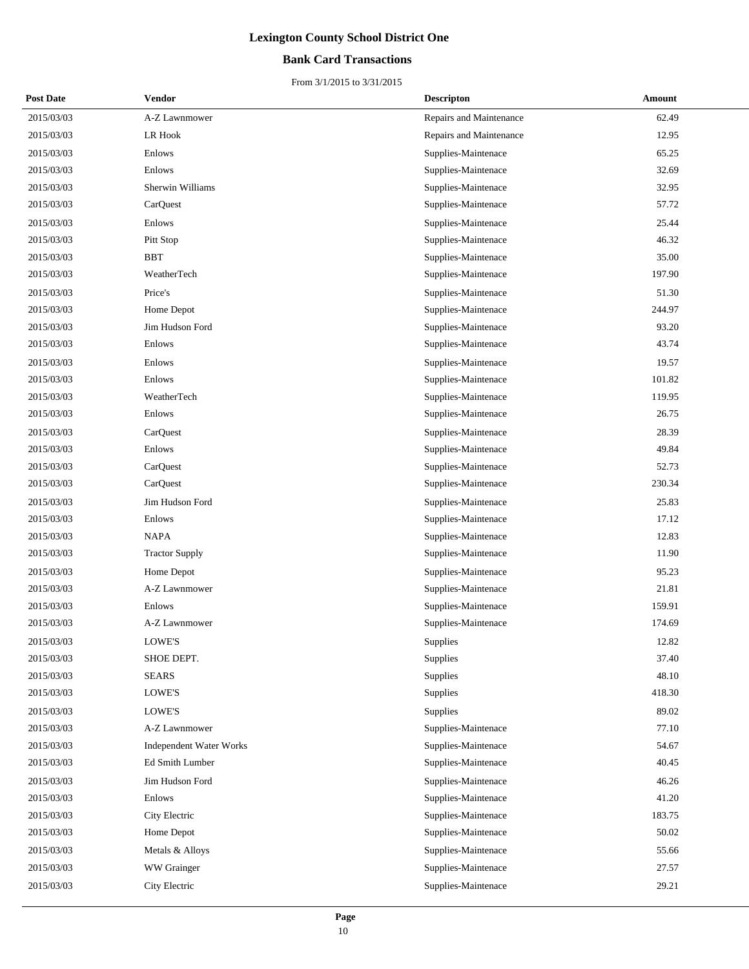### **Bank Card Transactions**

| <b>Post Date</b> | Vendor                         | <b>Descripton</b>       | Amount |
|------------------|--------------------------------|-------------------------|--------|
| 2015/03/03       | A-Z Lawnmower                  | Repairs and Maintenance | 62.49  |
| 2015/03/03       | LR Hook                        | Repairs and Maintenance | 12.95  |
| 2015/03/03       | Enlows                         | Supplies-Maintenace     | 65.25  |
| 2015/03/03       | Enlows                         | Supplies-Maintenace     | 32.69  |
| 2015/03/03       | Sherwin Williams               | Supplies-Maintenace     | 32.95  |
| 2015/03/03       | CarQuest                       | Supplies-Maintenace     | 57.72  |
| 2015/03/03       | Enlows                         | Supplies-Maintenace     | 25.44  |
| 2015/03/03       | Pitt Stop                      | Supplies-Maintenace     | 46.32  |
| 2015/03/03       | <b>BBT</b>                     | Supplies-Maintenace     | 35.00  |
| 2015/03/03       | WeatherTech                    | Supplies-Maintenace     | 197.90 |
| 2015/03/03       | Price's                        | Supplies-Maintenace     | 51.30  |
| 2015/03/03       | Home Depot                     | Supplies-Maintenace     | 244.97 |
| 2015/03/03       | Jim Hudson Ford                | Supplies-Maintenace     | 93.20  |
| 2015/03/03       | Enlows                         | Supplies-Maintenace     | 43.74  |
| 2015/03/03       | Enlows                         | Supplies-Maintenace     | 19.57  |
| 2015/03/03       | Enlows                         | Supplies-Maintenace     | 101.82 |
| 2015/03/03       | WeatherTech                    | Supplies-Maintenace     | 119.95 |
| 2015/03/03       | Enlows                         | Supplies-Maintenace     | 26.75  |
| 2015/03/03       | CarQuest                       | Supplies-Maintenace     | 28.39  |
| 2015/03/03       | Enlows                         | Supplies-Maintenace     | 49.84  |
| 2015/03/03       | CarQuest                       | Supplies-Maintenace     | 52.73  |
| 2015/03/03       | CarQuest                       | Supplies-Maintenace     | 230.34 |
| 2015/03/03       | Jim Hudson Ford                | Supplies-Maintenace     | 25.83  |
| 2015/03/03       | Enlows                         | Supplies-Maintenace     | 17.12  |
| 2015/03/03       | <b>NAPA</b>                    | Supplies-Maintenace     | 12.83  |
| 2015/03/03       | <b>Tractor Supply</b>          | Supplies-Maintenace     | 11.90  |
| 2015/03/03       | Home Depot                     | Supplies-Maintenace     | 95.23  |
| 2015/03/03       | A-Z Lawnmower                  | Supplies-Maintenace     | 21.81  |
| 2015/03/03       | Enlows                         | Supplies-Maintenace     | 159.91 |
| 2015/03/03       | A-Z Lawnmower                  | Supplies-Maintenace     | 174.69 |
| 2015/03/03       | LOWE'S                         | Supplies                | 12.82  |
| 2015/03/03       | SHOE DEPT.                     | Supplies                | 37.40  |
| 2015/03/03       | <b>SEARS</b>                   | <b>Supplies</b>         | 48.10  |
| 2015/03/03       | LOWE'S                         | Supplies                | 418.30 |
| 2015/03/03       | LOWE'S                         | Supplies                | 89.02  |
| 2015/03/03       | A-Z Lawnmower                  | Supplies-Maintenace     | 77.10  |
| 2015/03/03       | <b>Independent Water Works</b> | Supplies-Maintenace     | 54.67  |
| 2015/03/03       | Ed Smith Lumber                | Supplies-Maintenace     | 40.45  |
| 2015/03/03       | Jim Hudson Ford                | Supplies-Maintenace     | 46.26  |
| 2015/03/03       | Enlows                         | Supplies-Maintenace     | 41.20  |
| 2015/03/03       | City Electric                  | Supplies-Maintenace     | 183.75 |
| 2015/03/03       | Home Depot                     | Supplies-Maintenace     | 50.02  |
| 2015/03/03       | Metals & Alloys                | Supplies-Maintenace     | 55.66  |
| 2015/03/03       | WW Grainger                    | Supplies-Maintenace     | 27.57  |
| 2015/03/03       | City Electric                  | Supplies-Maintenace     | 29.21  |
|                  |                                |                         |        |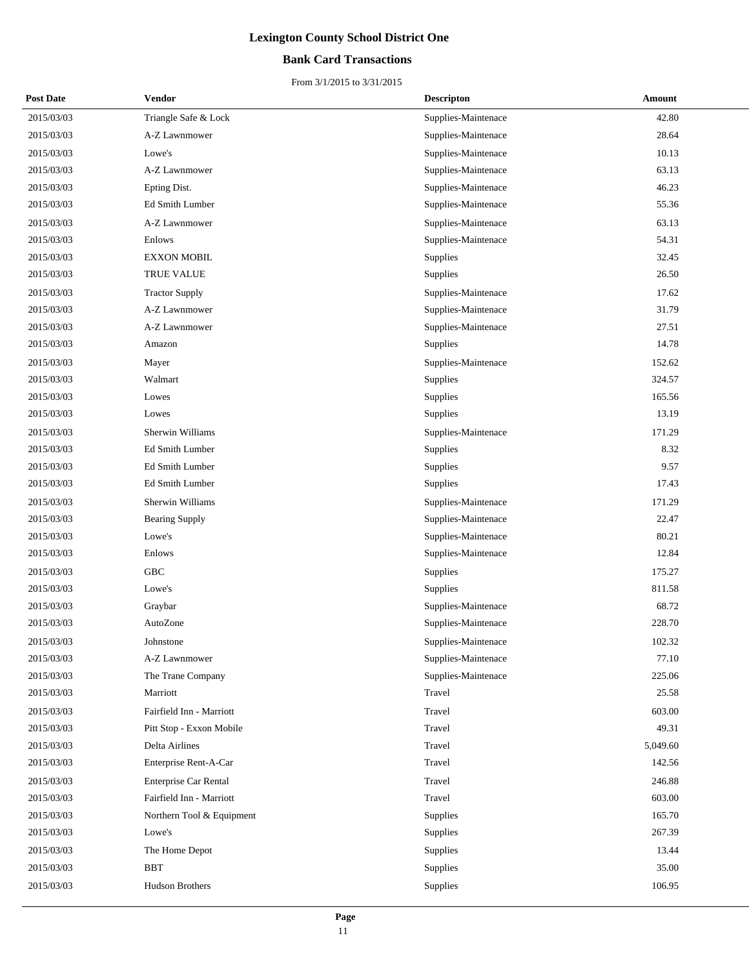### **Bank Card Transactions**

| <b>Post Date</b> | <b>Vendor</b>             | <b>Descripton</b>   | Amount   |
|------------------|---------------------------|---------------------|----------|
| 2015/03/03       | Triangle Safe & Lock      | Supplies-Maintenace | 42.80    |
| 2015/03/03       | A-Z Lawnmower             | Supplies-Maintenace | 28.64    |
| 2015/03/03       | Lowe's                    | Supplies-Maintenace | 10.13    |
| 2015/03/03       | A-Z Lawnmower             | Supplies-Maintenace | 63.13    |
| 2015/03/03       | Epting Dist.              | Supplies-Maintenace | 46.23    |
| 2015/03/03       | Ed Smith Lumber           | Supplies-Maintenace | 55.36    |
| 2015/03/03       | A-Z Lawnmower             | Supplies-Maintenace | 63.13    |
| 2015/03/03       | Enlows                    | Supplies-Maintenace | 54.31    |
| 2015/03/03       | <b>EXXON MOBIL</b>        | Supplies            | 32.45    |
| 2015/03/03       | TRUE VALUE                | Supplies            | 26.50    |
| 2015/03/03       | <b>Tractor Supply</b>     | Supplies-Maintenace | 17.62    |
| 2015/03/03       | A-Z Lawnmower             | Supplies-Maintenace | 31.79    |
| 2015/03/03       | A-Z Lawnmower             | Supplies-Maintenace | 27.51    |
| 2015/03/03       | Amazon                    | Supplies            | 14.78    |
| 2015/03/03       | Mayer                     | Supplies-Maintenace | 152.62   |
| 2015/03/03       | Walmart                   | Supplies            | 324.57   |
| 2015/03/03       | Lowes                     | Supplies            | 165.56   |
| 2015/03/03       | Lowes                     | Supplies            | 13.19    |
| 2015/03/03       | Sherwin Williams          | Supplies-Maintenace | 171.29   |
| 2015/03/03       | Ed Smith Lumber           | Supplies            | 8.32     |
| 2015/03/03       | Ed Smith Lumber           | Supplies            | 9.57     |
| 2015/03/03       | Ed Smith Lumber           | Supplies            | 17.43    |
| 2015/03/03       | Sherwin Williams          | Supplies-Maintenace | 171.29   |
| 2015/03/03       | <b>Bearing Supply</b>     | Supplies-Maintenace | 22.47    |
| 2015/03/03       | Lowe's                    | Supplies-Maintenace | 80.21    |
| 2015/03/03       | Enlows                    | Supplies-Maintenace | 12.84    |
| 2015/03/03       | <b>GBC</b>                | Supplies            | 175.27   |
| 2015/03/03       | Lowe's                    | Supplies            | 811.58   |
| 2015/03/03       | Graybar                   | Supplies-Maintenace | 68.72    |
| 2015/03/03       | AutoZone                  | Supplies-Maintenace | 228.70   |
| 2015/03/03       | Johnstone                 | Supplies-Maintenace | 102.32   |
| 2015/03/03       | A-Z Lawnmower             | Supplies-Maintenace | 77.10    |
| 2015/03/03       | The Trane Company         | Supplies-Maintenace | 225.06   |
| 2015/03/03       | Marriott                  | Travel              | 25.58    |
| 2015/03/03       | Fairfield Inn - Marriott  | Travel              | 603.00   |
| 2015/03/03       | Pitt Stop - Exxon Mobile  | Travel              | 49.31    |
| 2015/03/03       | Delta Airlines            | Travel              | 5,049.60 |
| 2015/03/03       | Enterprise Rent-A-Car     | Travel              | 142.56   |
| 2015/03/03       | Enterprise Car Rental     | Travel              | 246.88   |
| 2015/03/03       | Fairfield Inn - Marriott  | Travel              | 603.00   |
| 2015/03/03       | Northern Tool & Equipment | Supplies            | 165.70   |
| 2015/03/03       | Lowe's                    | Supplies            | 267.39   |
| 2015/03/03       | The Home Depot            | Supplies            | 13.44    |
| 2015/03/03       | <b>BBT</b>                | Supplies            | 35.00    |
| 2015/03/03       | Hudson Brothers           | Supplies            | 106.95   |
|                  |                           |                     |          |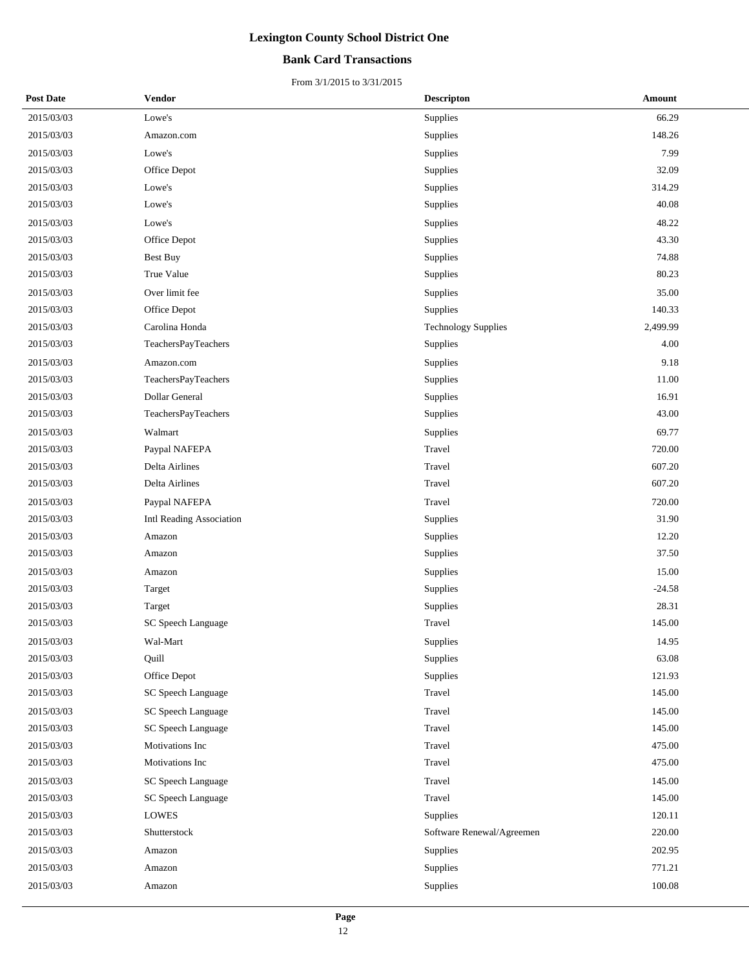### **Bank Card Transactions**

| <b>Post Date</b> | Vendor                   | <b>Descripton</b>          | Amount     |
|------------------|--------------------------|----------------------------|------------|
| 2015/03/03       | Lowe's                   | Supplies                   | 66.29      |
| 2015/03/03       | Amazon.com               | Supplies                   | 148.26     |
| 2015/03/03       | Lowe's                   | Supplies                   | 7.99       |
| 2015/03/03       | Office Depot             | Supplies                   | 32.09      |
| 2015/03/03       | Lowe's                   | Supplies                   | 314.29     |
| 2015/03/03       | Lowe's                   | Supplies                   | 40.08      |
| 2015/03/03       | Lowe's                   | Supplies                   | 48.22      |
| 2015/03/03       | Office Depot             | Supplies                   | 43.30      |
| 2015/03/03       | Best Buy                 | Supplies                   | 74.88      |
| 2015/03/03       | True Value               | Supplies                   | 80.23      |
| 2015/03/03       | Over limit fee           | Supplies                   | 35.00      |
| 2015/03/03       | Office Depot             | Supplies                   | 140.33     |
| 2015/03/03       | Carolina Honda           | <b>Technology Supplies</b> | 2,499.99   |
| 2015/03/03       | TeachersPayTeachers      | Supplies                   | 4.00       |
| 2015/03/03       | Amazon.com               | Supplies                   | 9.18       |
| 2015/03/03       | TeachersPayTeachers      | Supplies                   | 11.00      |
| 2015/03/03       | Dollar General           | Supplies                   | 16.91      |
| 2015/03/03       | TeachersPayTeachers      | Supplies                   | 43.00      |
| 2015/03/03       | Walmart                  | Supplies                   | 69.77      |
| 2015/03/03       | Paypal NAFEPA            | Travel                     | 720.00     |
| 2015/03/03       | Delta Airlines           | Travel                     | 607.20     |
| 2015/03/03       | Delta Airlines           | Travel                     | 607.20     |
| 2015/03/03       | Paypal NAFEPA            | Travel                     | 720.00     |
| 2015/03/03       | Intl Reading Association | Supplies                   | 31.90      |
| 2015/03/03       | Amazon                   | Supplies                   | 12.20      |
| 2015/03/03       | Amazon                   | Supplies                   | 37.50      |
| 2015/03/03       | Amazon                   | Supplies                   | 15.00      |
| 2015/03/03       | Target                   | Supplies                   | $-24.58$   |
| 2015/03/03       | Target                   | Supplies                   | 28.31      |
| 2015/03/03       | SC Speech Language       | Travel                     | 145.00     |
| 2015/03/03       | Wal-Mart                 | Supplies                   | 14.95      |
| 2015/03/03       | Quill                    | Supplies                   | 63.08      |
| 2015/03/03       | Office Depot             | Supplies                   | 121.93     |
| 2015/03/03       | SC Speech Language       | Travel                     | 145.00     |
| 2015/03/03       | SC Speech Language       | Travel                     | 145.00     |
| 2015/03/03       | SC Speech Language       | Travel                     | 145.00     |
| 2015/03/03       | Motivations Inc          | Travel                     | 475.00     |
| 2015/03/03       | Motivations Inc          | Travel                     | 475.00     |
| 2015/03/03       | SC Speech Language       | Travel                     | 145.00     |
| 2015/03/03       | SC Speech Language       | Travel                     | 145.00     |
| 2015/03/03       | LOWES                    | Supplies                   | 120.11     |
| 2015/03/03       | Shutterstock             | Software Renewal/Agreemen  | 220.00     |
| 2015/03/03       | Amazon                   | Supplies                   | 202.95     |
| 2015/03/03       | Amazon                   | Supplies                   | 771.21     |
| 2015/03/03       | Amazon                   | Supplies                   | $100.08\,$ |
|                  |                          |                            |            |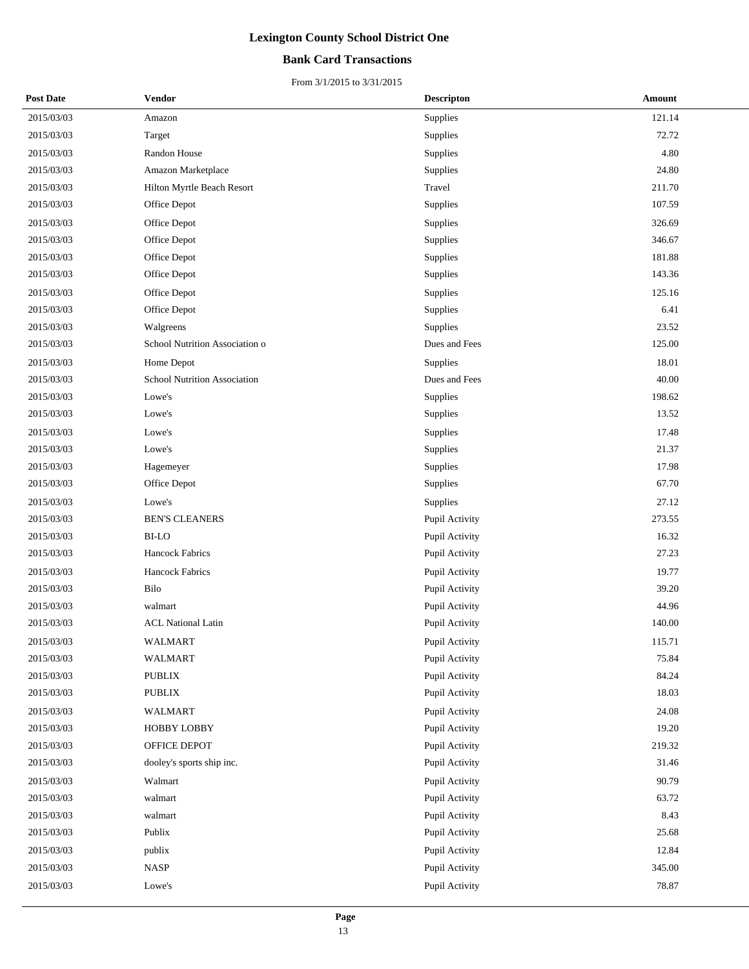### **Bank Card Transactions**

| <b>Post Date</b> | Vendor                         | <b>Descripton</b>     | <b>Amount</b> |
|------------------|--------------------------------|-----------------------|---------------|
| 2015/03/03       | Amazon                         | Supplies              | 121.14        |
| 2015/03/03       | Target                         | Supplies              | 72.72         |
| 2015/03/03       | Randon House                   | Supplies              | 4.80          |
| 2015/03/03       | Amazon Marketplace             | Supplies              | 24.80         |
| 2015/03/03       | Hilton Myrtle Beach Resort     | Travel                | 211.70        |
| 2015/03/03       | Office Depot                   | Supplies              | 107.59        |
| 2015/03/03       | Office Depot                   | Supplies              | 326.69        |
| 2015/03/03       | Office Depot                   | Supplies              | 346.67        |
| 2015/03/03       | Office Depot                   | Supplies              | 181.88        |
| 2015/03/03       | Office Depot                   | Supplies              | 143.36        |
| 2015/03/03       | Office Depot                   | Supplies              | 125.16        |
| 2015/03/03       | Office Depot                   | Supplies              | 6.41          |
| 2015/03/03       | Walgreens                      | Supplies              | 23.52         |
| 2015/03/03       | School Nutrition Association o | Dues and Fees         | 125.00        |
| 2015/03/03       | Home Depot                     | Supplies              | 18.01         |
| 2015/03/03       | School Nutrition Association   | Dues and Fees         | 40.00         |
| 2015/03/03       | Lowe's                         | Supplies              | 198.62        |
| 2015/03/03       | Lowe's                         | Supplies              | 13.52         |
| 2015/03/03       | Lowe's                         | Supplies              | 17.48         |
| 2015/03/03       | Lowe's                         | Supplies              | 21.37         |
| 2015/03/03       | Hagemeyer                      | Supplies              | 17.98         |
| 2015/03/03       | Office Depot                   | Supplies              | 67.70         |
| 2015/03/03       | Lowe's                         | Supplies              | 27.12         |
| 2015/03/03       | <b>BEN'S CLEANERS</b>          | Pupil Activity        | 273.55        |
| 2015/03/03       | <b>BI-LO</b>                   | Pupil Activity        | 16.32         |
| 2015/03/03       | Hancock Fabrics                | Pupil Activity        | 27.23         |
| 2015/03/03       | Hancock Fabrics                | Pupil Activity        | 19.77         |
| 2015/03/03       | Bilo                           | Pupil Activity        | 39.20         |
| 2015/03/03       | walmart                        | Pupil Activity        | 44.96         |
| 2015/03/03       | <b>ACL National Latin</b>      | Pupil Activity        | 140.00        |
| 2015/03/03       | WALMART                        | <b>Pupil Activity</b> | 115.71        |
| 2015/03/03       | WALMART                        | Pupil Activity        | 75.84         |
| 2015/03/03       | PUBLIX                         | Pupil Activity        | 84.24         |
| 2015/03/03       | PUBLIX                         | Pupil Activity        | 18.03         |
| 2015/03/03       | <b>WALMART</b>                 | Pupil Activity        | 24.08         |
| 2015/03/03       | HOBBY LOBBY                    | Pupil Activity        | 19.20         |
| 2015/03/03       | OFFICE DEPOT                   | Pupil Activity        | 219.32        |
| 2015/03/03       | dooley's sports ship inc.      | Pupil Activity        | 31.46         |
| 2015/03/03       | Walmart                        | Pupil Activity        | 90.79         |
| 2015/03/03       | walmart                        | Pupil Activity        | 63.72         |
| 2015/03/03       | walmart                        | Pupil Activity        | 8.43          |
| 2015/03/03       | Publix                         | Pupil Activity        | 25.68         |
| 2015/03/03       | publix                         | Pupil Activity        | 12.84         |
| 2015/03/03       | <b>NASP</b>                    | Pupil Activity        | 345.00        |
| 2015/03/03       | Lowe's                         | Pupil Activity        | 78.87         |
|                  |                                |                       |               |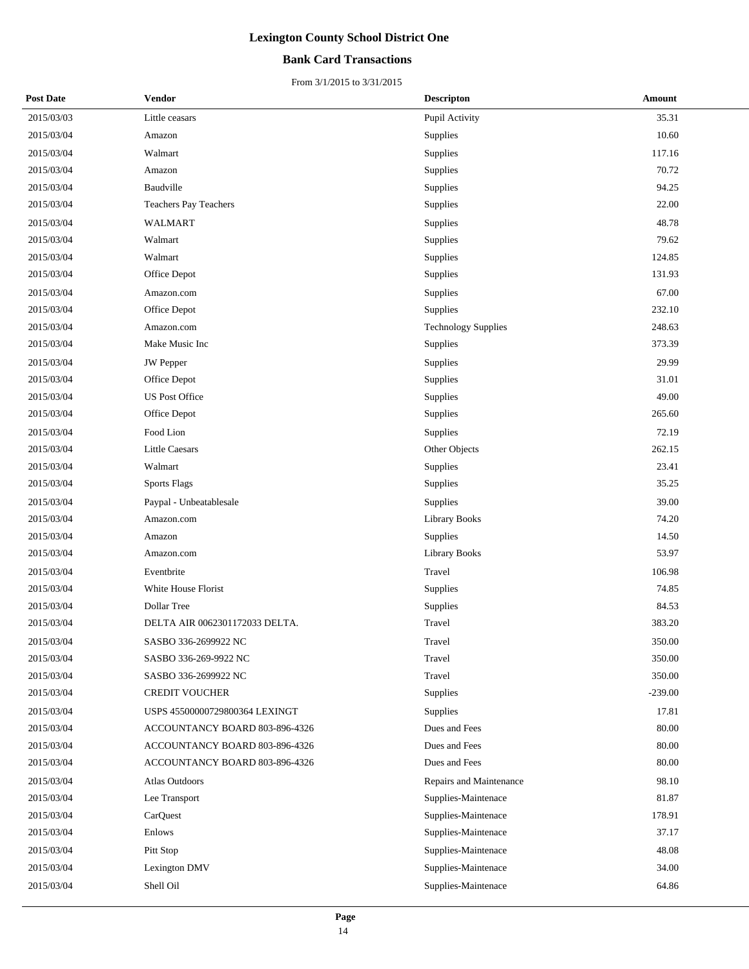### **Bank Card Transactions**

| <b>Post Date</b> | Vendor                         | <b>Descripton</b>          | Amount    |
|------------------|--------------------------------|----------------------------|-----------|
| 2015/03/03       | Little ceasars                 | Pupil Activity             | 35.31     |
| 2015/03/04       | Amazon                         | Supplies                   | 10.60     |
| 2015/03/04       | Walmart                        | Supplies                   | 117.16    |
| 2015/03/04       | Amazon                         | Supplies                   | 70.72     |
| 2015/03/04       | Baudville                      | Supplies                   | 94.25     |
| 2015/03/04       | <b>Teachers Pay Teachers</b>   | Supplies                   | 22.00     |
| 2015/03/04       | <b>WALMART</b>                 | Supplies                   | 48.78     |
| 2015/03/04       | Walmart                        | Supplies                   | 79.62     |
| 2015/03/04       | Walmart                        | Supplies                   | 124.85    |
| 2015/03/04       | Office Depot                   | Supplies                   | 131.93    |
| 2015/03/04       | Amazon.com                     | Supplies                   | 67.00     |
| 2015/03/04       | Office Depot                   | Supplies                   | 232.10    |
| 2015/03/04       | Amazon.com                     | <b>Technology Supplies</b> | 248.63    |
| 2015/03/04       | Make Music Inc                 | Supplies                   | 373.39    |
| 2015/03/04       | JW Pepper                      | Supplies                   | 29.99     |
| 2015/03/04       | Office Depot                   | Supplies                   | 31.01     |
| 2015/03/04       | <b>US Post Office</b>          | Supplies                   | 49.00     |
| 2015/03/04       | Office Depot                   | Supplies                   | 265.60    |
| 2015/03/04       | Food Lion                      | Supplies                   | 72.19     |
| 2015/03/04       | <b>Little Caesars</b>          | Other Objects              | 262.15    |
| 2015/03/04       | Walmart                        | Supplies                   | 23.41     |
| 2015/03/04       | <b>Sports Flags</b>            | Supplies                   | 35.25     |
| 2015/03/04       | Paypal - Unbeatablesale        | Supplies                   | 39.00     |
| 2015/03/04       | Amazon.com                     | <b>Library Books</b>       | 74.20     |
| 2015/03/04       | Amazon                         | Supplies                   | 14.50     |
| 2015/03/04       | Amazon.com                     | <b>Library Books</b>       | 53.97     |
| 2015/03/04       | Eventbrite                     | Travel                     | 106.98    |
| 2015/03/04       | White House Florist            | Supplies                   | 74.85     |
| 2015/03/04       | Dollar Tree                    | Supplies                   | 84.53     |
| 2015/03/04       | DELTA AIR 0062301172033 DELTA. | Travel                     | 383.20    |
| 2015/03/04       | SASBO 336-2699922 NC           | Travel                     | 350.00    |
| 2015/03/04       | SASBO 336-269-9922 NC          | Travel                     | 350.00    |
| 2015/03/04       | SASBO 336-2699922 NC           | Travel                     | 350.00    |
| 2015/03/04       | <b>CREDIT VOUCHER</b>          | Supplies                   | $-239.00$ |
| 2015/03/04       | USPS 45500000729800364 LEXINGT | Supplies                   | 17.81     |
| 2015/03/04       | ACCOUNTANCY BOARD 803-896-4326 | Dues and Fees              | 80.00     |
| 2015/03/04       | ACCOUNTANCY BOARD 803-896-4326 | Dues and Fees              | 80.00     |
| 2015/03/04       | ACCOUNTANCY BOARD 803-896-4326 | Dues and Fees              | 80.00     |
| 2015/03/04       | Atlas Outdoors                 | Repairs and Maintenance    | 98.10     |
| 2015/03/04       | Lee Transport                  | Supplies-Maintenace        | 81.87     |
| 2015/03/04       | CarQuest                       | Supplies-Maintenace        | 178.91    |
| 2015/03/04       | Enlows                         | Supplies-Maintenace        | 37.17     |
| 2015/03/04       | Pitt Stop                      | Supplies-Maintenace        | 48.08     |
| 2015/03/04       | Lexington DMV                  | Supplies-Maintenace        | 34.00     |
| 2015/03/04       | Shell Oil                      | Supplies-Maintenace        | 64.86     |
|                  |                                |                            |           |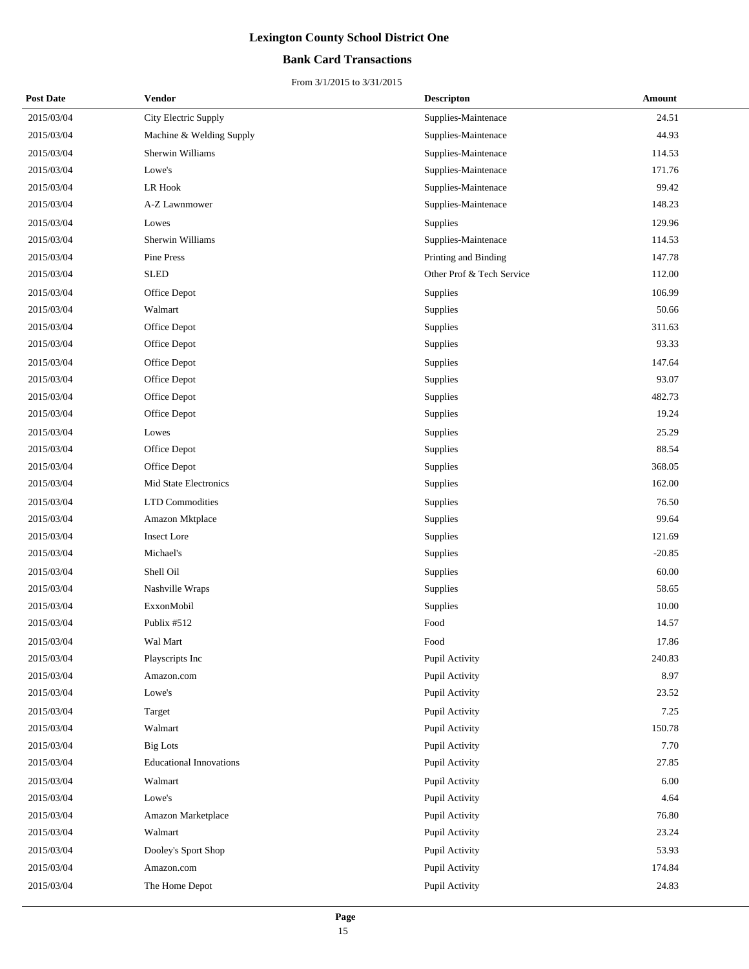### **Bank Card Transactions**

| <b>Post Date</b> | Vendor                         | <b>Descripton</b>         | Amount   |
|------------------|--------------------------------|---------------------------|----------|
| 2015/03/04       | City Electric Supply           | Supplies-Maintenace       | 24.51    |
| 2015/03/04       | Machine & Welding Supply       | Supplies-Maintenace       | 44.93    |
| 2015/03/04       | Sherwin Williams               | Supplies-Maintenace       | 114.53   |
| 2015/03/04       | Lowe's                         | Supplies-Maintenace       | 171.76   |
| 2015/03/04       | <b>LR Hook</b>                 | Supplies-Maintenace       | 99.42    |
| 2015/03/04       | A-Z Lawnmower                  | Supplies-Maintenace       | 148.23   |
| 2015/03/04       | Lowes                          | Supplies                  | 129.96   |
| 2015/03/04       | Sherwin Williams               | Supplies-Maintenace       | 114.53   |
| 2015/03/04       | Pine Press                     | Printing and Binding      | 147.78   |
| 2015/03/04       | <b>SLED</b>                    | Other Prof & Tech Service | 112.00   |
| 2015/03/04       | Office Depot                   | Supplies                  | 106.99   |
| 2015/03/04       | Walmart                        | Supplies                  | 50.66    |
| 2015/03/04       | Office Depot                   | Supplies                  | 311.63   |
| 2015/03/04       | Office Depot                   | Supplies                  | 93.33    |
| 2015/03/04       | Office Depot                   | Supplies                  | 147.64   |
| 2015/03/04       | Office Depot                   | Supplies                  | 93.07    |
| 2015/03/04       | Office Depot                   | Supplies                  | 482.73   |
| 2015/03/04       | Office Depot                   | Supplies                  | 19.24    |
| 2015/03/04       | Lowes                          | Supplies                  | 25.29    |
| 2015/03/04       | Office Depot                   | Supplies                  | 88.54    |
| 2015/03/04       | Office Depot                   | Supplies                  | 368.05   |
| 2015/03/04       | Mid State Electronics          | Supplies                  | 162.00   |
| 2015/03/04       | <b>LTD Commodities</b>         | Supplies                  | 76.50    |
| 2015/03/04       | Amazon Mktplace                | Supplies                  | 99.64    |
| 2015/03/04       | <b>Insect Lore</b>             | Supplies                  | 121.69   |
| 2015/03/04       | Michael's                      | Supplies                  | $-20.85$ |
| 2015/03/04       | Shell Oil                      | Supplies                  | 60.00    |
| 2015/03/04       | Nashville Wraps                | Supplies                  | 58.65    |
| 2015/03/04       | ExxonMobil                     | Supplies                  | 10.00    |
| 2015/03/04       | Publix #512                    | Food                      | 14.57    |
| 2015/03/04       | Wal Mart                       | Food                      | 17.86    |
| 2015/03/04       | Playscripts Inc                | Pupil Activity            | 240.83   |
| 2015/03/04       | Amazon.com                     | Pupil Activity            | 8.97     |
| 2015/03/04       | Lowe's                         | Pupil Activity            | 23.52    |
| 2015/03/04       | Target                         | Pupil Activity            | 7.25     |
| 2015/03/04       | Walmart                        | Pupil Activity            | 150.78   |
| 2015/03/04       | <b>Big Lots</b>                | Pupil Activity            | 7.70     |
| 2015/03/04       | <b>Educational Innovations</b> | Pupil Activity            | 27.85    |
| 2015/03/04       | Walmart                        | Pupil Activity            | 6.00     |
| 2015/03/04       | Lowe's                         | Pupil Activity            | 4.64     |
| 2015/03/04       | Amazon Marketplace             | Pupil Activity            | 76.80    |
| 2015/03/04       | Walmart                        | Pupil Activity            | 23.24    |
| 2015/03/04       | Dooley's Sport Shop            | Pupil Activity            | 53.93    |
| 2015/03/04       | Amazon.com                     | Pupil Activity            | 174.84   |
| 2015/03/04       | The Home Depot                 | Pupil Activity            | 24.83    |
|                  |                                |                           |          |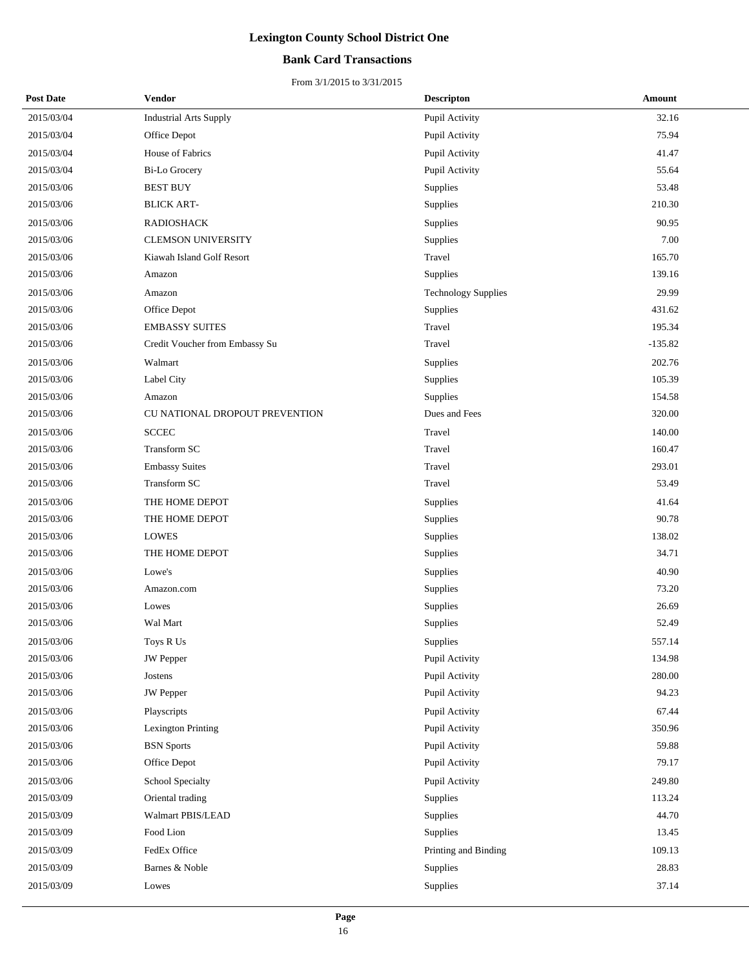### **Bank Card Transactions**

| <b>Post Date</b> | <b>Vendor</b>                  | <b>Descripton</b>          | <b>Amount</b> |
|------------------|--------------------------------|----------------------------|---------------|
| 2015/03/04       | <b>Industrial Arts Supply</b>  | Pupil Activity             | 32.16         |
| 2015/03/04       | Office Depot                   | Pupil Activity             | 75.94         |
| 2015/03/04       | House of Fabrics               | Pupil Activity             | 41.47         |
| 2015/03/04       | <b>Bi-Lo Grocery</b>           | Pupil Activity             | 55.64         |
| 2015/03/06       | <b>BEST BUY</b>                | Supplies                   | 53.48         |
| 2015/03/06       | <b>BLICK ART-</b>              | Supplies                   | 210.30        |
| 2015/03/06       | <b>RADIOSHACK</b>              | Supplies                   | 90.95         |
| 2015/03/06       | <b>CLEMSON UNIVERSITY</b>      | Supplies                   | 7.00          |
| 2015/03/06       | Kiawah Island Golf Resort      | Travel                     | 165.70        |
| 2015/03/06       | Amazon                         | Supplies                   | 139.16        |
| 2015/03/06       | Amazon                         | <b>Technology Supplies</b> | 29.99         |
| 2015/03/06       | Office Depot                   | Supplies                   | 431.62        |
| 2015/03/06       | <b>EMBASSY SUITES</b>          | Travel                     | 195.34        |
| 2015/03/06       | Credit Voucher from Embassy Su | Travel                     | -135.82       |
| 2015/03/06       | Walmart                        | Supplies                   | 202.76        |
| 2015/03/06       | Label City                     | Supplies                   | 105.39        |
| 2015/03/06       | Amazon                         | Supplies                   | 154.58        |
| 2015/03/06       | CU NATIONAL DROPOUT PREVENTION | Dues and Fees              | 320.00        |
| 2015/03/06       | <b>SCCEC</b>                   | Travel                     | 140.00        |
| 2015/03/06       | Transform SC                   | Travel                     | 160.47        |
| 2015/03/06       | <b>Embassy Suites</b>          | Travel                     | 293.01        |
| 2015/03/06       | Transform SC                   | Travel                     | 53.49         |
| 2015/03/06       | THE HOME DEPOT                 | Supplies                   | 41.64         |
| 2015/03/06       | THE HOME DEPOT                 | Supplies                   | 90.78         |
| 2015/03/06       | <b>LOWES</b>                   | Supplies                   | 138.02        |
| 2015/03/06       | THE HOME DEPOT                 | Supplies                   | 34.71         |
| 2015/03/06       | Lowe's                         | Supplies                   | 40.90         |
| 2015/03/06       | Amazon.com                     | Supplies                   | 73.20         |
| 2015/03/06       | Lowes                          | Supplies                   | 26.69         |
| 2015/03/06       | Wal Mart                       | Supplies                   | 52.49         |
| 2015/03/06       | Toys R Us                      | Supplies                   | 557.14        |
| 2015/03/06       | <b>JW</b> Pepper               | Pupil Activity             | 134.98        |
| 2015/03/06       | Jostens                        | Pupil Activity             | 280.00        |
| 2015/03/06       | <b>JW</b> Pepper               | Pupil Activity             | 94.23         |
| 2015/03/06       | Playscripts                    | Pupil Activity             | 67.44         |
| 2015/03/06       | Lexington Printing             | Pupil Activity             | 350.96        |
| 2015/03/06       | <b>BSN</b> Sports              | Pupil Activity             | 59.88         |
| 2015/03/06       | Office Depot                   | Pupil Activity             | 79.17         |
| 2015/03/06       | School Specialty               | Pupil Activity             | 249.80        |
| 2015/03/09       | Oriental trading               | Supplies                   | 113.24        |
| 2015/03/09       | Walmart PBIS/LEAD              | Supplies                   | 44.70         |
| 2015/03/09       | Food Lion                      | Supplies                   | 13.45         |
| 2015/03/09       | FedEx Office                   | Printing and Binding       | 109.13        |
| 2015/03/09       | Barnes & Noble                 | Supplies                   | 28.83         |
| 2015/03/09       | Lowes                          | Supplies                   | 37.14         |
|                  |                                |                            |               |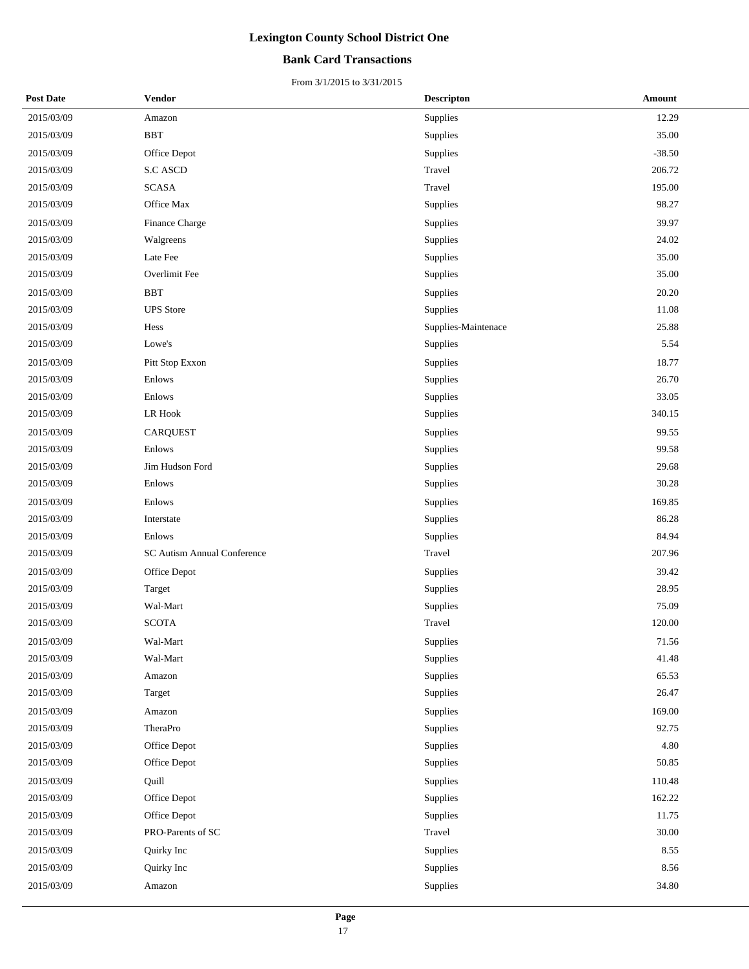### **Bank Card Transactions**

| <b>Post Date</b> | Vendor                      | <b>Descripton</b>   | Amount    |
|------------------|-----------------------------|---------------------|-----------|
| 2015/03/09       | Amazon                      | Supplies            | 12.29     |
| 2015/03/09       | <b>BBT</b>                  | Supplies            | 35.00     |
| 2015/03/09       | Office Depot                | Supplies            | $-38.50$  |
| 2015/03/09       | <b>S.C ASCD</b>             | Travel              | 206.72    |
| 2015/03/09       | <b>SCASA</b>                | Travel              | 195.00    |
| 2015/03/09       | Office Max                  | Supplies            | 98.27     |
| 2015/03/09       | Finance Charge              | Supplies            | 39.97     |
| 2015/03/09       | Walgreens                   | Supplies            | 24.02     |
| 2015/03/09       | Late Fee                    | Supplies            | 35.00     |
| 2015/03/09       | Overlimit Fee               | Supplies            | 35.00     |
| 2015/03/09       | <b>BBT</b>                  | Supplies            | 20.20     |
| 2015/03/09       | <b>UPS</b> Store            | Supplies            | 11.08     |
| 2015/03/09       | Hess                        | Supplies-Maintenace | 25.88     |
| 2015/03/09       | Lowe's                      | Supplies            | 5.54      |
| 2015/03/09       | Pitt Stop Exxon             | Supplies            | 18.77     |
| 2015/03/09       | Enlows                      | Supplies            | 26.70     |
| 2015/03/09       | Enlows                      | Supplies            | 33.05     |
| 2015/03/09       | ${\rm LR}$ Hook             | Supplies            | 340.15    |
| 2015/03/09       | <b>CARQUEST</b>             | Supplies            | 99.55     |
| 2015/03/09       | Enlows                      | Supplies            | 99.58     |
| 2015/03/09       | Jim Hudson Ford             | Supplies            | 29.68     |
| 2015/03/09       | Enlows                      | Supplies            | 30.28     |
| 2015/03/09       | Enlows                      | Supplies            | 169.85    |
| 2015/03/09       | Interstate                  | Supplies            | 86.28     |
| 2015/03/09       | Enlows                      | Supplies            | 84.94     |
| 2015/03/09       | SC Autism Annual Conference | Travel              | 207.96    |
| 2015/03/09       | Office Depot                | Supplies            | 39.42     |
| 2015/03/09       | Target                      | Supplies            | 28.95     |
| 2015/03/09       | Wal-Mart                    | Supplies            | 75.09     |
| 2015/03/09       | <b>SCOTA</b>                | Travel              | 120.00    |
| 2015/03/09       | Wal-Mart                    | Supplies            | 71.56     |
| 2015/03/09       | Wal-Mart                    | Supplies            | 41.48     |
| 2015/03/09       | Amazon                      | Supplies            | 65.53     |
| 2015/03/09       | Target                      | Supplies            | 26.47     |
| 2015/03/09       | Amazon                      | Supplies            | 169.00    |
| 2015/03/09       | <b>TheraPro</b>             | Supplies            | 92.75     |
| 2015/03/09       | Office Depot                | Supplies            | 4.80      |
| 2015/03/09       | Office Depot                | Supplies            | 50.85     |
| 2015/03/09       | Quill                       | Supplies            | 110.48    |
| 2015/03/09       | Office Depot                | Supplies            | 162.22    |
| 2015/03/09       | Office Depot                | Supplies            | 11.75     |
| 2015/03/09       | PRO-Parents of SC           | Travel              | $30.00\,$ |
| 2015/03/09       | Quirky Inc                  | Supplies            | 8.55      |
| 2015/03/09       | Quirky Inc                  | Supplies            | 8.56      |
| 2015/03/09       | Amazon                      | Supplies            | 34.80     |
|                  |                             |                     |           |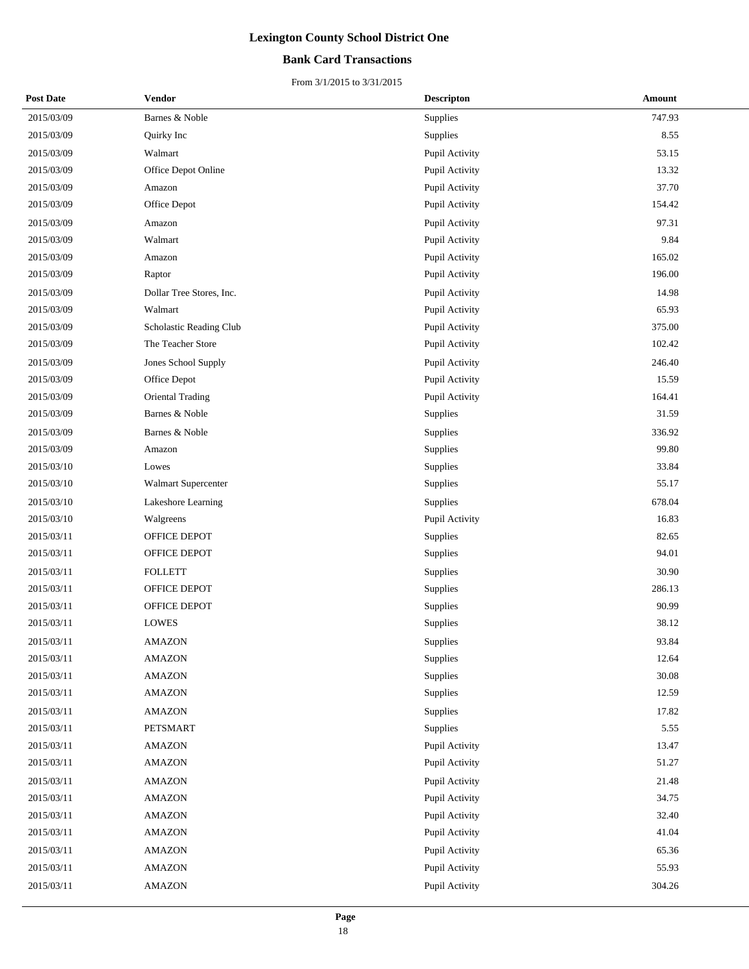### **Bank Card Transactions**

| <b>Post Date</b> | <b>Vendor</b>            | <b>Descripton</b> | Amount |
|------------------|--------------------------|-------------------|--------|
| 2015/03/09       | Barnes & Noble           | Supplies          | 747.93 |
| 2015/03/09       | Quirky Inc               | Supplies          | 8.55   |
| 2015/03/09       | Walmart                  | Pupil Activity    | 53.15  |
| 2015/03/09       | Office Depot Online      | Pupil Activity    | 13.32  |
| 2015/03/09       | Amazon                   | Pupil Activity    | 37.70  |
| 2015/03/09       | Office Depot             | Pupil Activity    | 154.42 |
| 2015/03/09       | Amazon                   | Pupil Activity    | 97.31  |
| 2015/03/09       | Walmart                  | Pupil Activity    | 9.84   |
| 2015/03/09       | Amazon                   | Pupil Activity    | 165.02 |
| 2015/03/09       | Raptor                   | Pupil Activity    | 196.00 |
| 2015/03/09       | Dollar Tree Stores, Inc. | Pupil Activity    | 14.98  |
| 2015/03/09       | Walmart                  | Pupil Activity    | 65.93  |
| 2015/03/09       | Scholastic Reading Club  | Pupil Activity    | 375.00 |
| 2015/03/09       | The Teacher Store        | Pupil Activity    | 102.42 |
| 2015/03/09       | Jones School Supply      | Pupil Activity    | 246.40 |
| 2015/03/09       | Office Depot             | Pupil Activity    | 15.59  |
| 2015/03/09       | Oriental Trading         | Pupil Activity    | 164.41 |
| 2015/03/09       | Barnes & Noble           | Supplies          | 31.59  |
| 2015/03/09       | Barnes & Noble           | Supplies          | 336.92 |
| 2015/03/09       | Amazon                   | Supplies          | 99.80  |
| 2015/03/10       | Lowes                    | Supplies          | 33.84  |
| 2015/03/10       | Walmart Supercenter      | Supplies          | 55.17  |
| 2015/03/10       | Lakeshore Learning       | Supplies          | 678.04 |
| 2015/03/10       | Walgreens                | Pupil Activity    | 16.83  |
| 2015/03/11       | OFFICE DEPOT             | Supplies          | 82.65  |
| 2015/03/11       | OFFICE DEPOT             | Supplies          | 94.01  |
| 2015/03/11       | <b>FOLLETT</b>           | Supplies          | 30.90  |
| 2015/03/11       | OFFICE DEPOT             | Supplies          | 286.13 |
| 2015/03/11       | OFFICE DEPOT             | Supplies          | 90.99  |
| 2015/03/11       | <b>LOWES</b>             | Supplies          | 38.12  |
| 2015/03/11       | <b>AMAZON</b>            | Supplies          | 93.84  |
| 2015/03/11       | <b>AMAZON</b>            | Supplies          | 12.64  |
| 2015/03/11       | <b>AMAZON</b>            | Supplies          | 30.08  |
| 2015/03/11       | <b>AMAZON</b>            | Supplies          | 12.59  |
| 2015/03/11       | <b>AMAZON</b>            | Supplies          | 17.82  |
| 2015/03/11       | PETSMART                 | Supplies          | 5.55   |
| 2015/03/11       | <b>AMAZON</b>            | Pupil Activity    | 13.47  |
| 2015/03/11       | <b>AMAZON</b>            | Pupil Activity    | 51.27  |
| 2015/03/11       | <b>AMAZON</b>            | Pupil Activity    | 21.48  |
| 2015/03/11       | <b>AMAZON</b>            | Pupil Activity    | 34.75  |
| 2015/03/11       | <b>AMAZON</b>            | Pupil Activity    | 32.40  |
| 2015/03/11       | AMAZON                   | Pupil Activity    | 41.04  |
| 2015/03/11       | <b>AMAZON</b>            | Pupil Activity    | 65.36  |
| 2015/03/11       | <b>AMAZON</b>            | Pupil Activity    | 55.93  |
| 2015/03/11       | <b>AMAZON</b>            | Pupil Activity    | 304.26 |
|                  |                          |                   |        |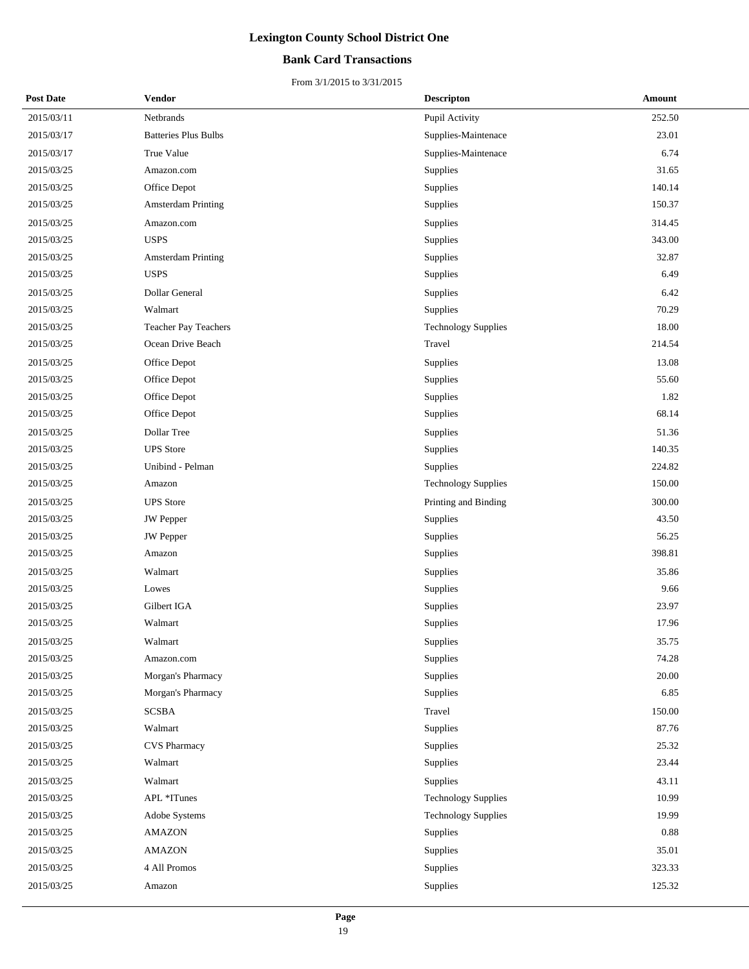### **Bank Card Transactions**

| <b>Post Date</b> | Vendor                      | <b>Descripton</b>          | Amount |
|------------------|-----------------------------|----------------------------|--------|
| 2015/03/11       | Netbrands                   | Pupil Activity             | 252.50 |
| 2015/03/17       | <b>Batteries Plus Bulbs</b> | Supplies-Maintenace        | 23.01  |
| 2015/03/17       | True Value                  | Supplies-Maintenace        | 6.74   |
| 2015/03/25       | Amazon.com                  | Supplies                   | 31.65  |
| 2015/03/25       | Office Depot                | Supplies                   | 140.14 |
| 2015/03/25       | Amsterdam Printing          | Supplies                   | 150.37 |
| 2015/03/25       | Amazon.com                  | Supplies                   | 314.45 |
| 2015/03/25       | <b>USPS</b>                 | Supplies                   | 343.00 |
| 2015/03/25       | <b>Amsterdam Printing</b>   | Supplies                   | 32.87  |
| 2015/03/25       | <b>USPS</b>                 | Supplies                   | 6.49   |
| 2015/03/25       | Dollar General              | Supplies                   | 6.42   |
| 2015/03/25       | Walmart                     | Supplies                   | 70.29  |
| 2015/03/25       | Teacher Pay Teachers        | <b>Technology Supplies</b> | 18.00  |
| 2015/03/25       | Ocean Drive Beach           | Travel                     | 214.54 |
| 2015/03/25       | Office Depot                | Supplies                   | 13.08  |
| 2015/03/25       | Office Depot                | Supplies                   | 55.60  |
| 2015/03/25       | Office Depot                | Supplies                   | 1.82   |
| 2015/03/25       | Office Depot                | Supplies                   | 68.14  |
| 2015/03/25       | Dollar Tree                 | Supplies                   | 51.36  |
| 2015/03/25       | <b>UPS</b> Store            | Supplies                   | 140.35 |
| 2015/03/25       | Unibind - Pelman            | Supplies                   | 224.82 |
| 2015/03/25       | Amazon                      | <b>Technology Supplies</b> | 150.00 |
| 2015/03/25       | <b>UPS</b> Store            | Printing and Binding       | 300.00 |
| 2015/03/25       | <b>JW</b> Pepper            | Supplies                   | 43.50  |
| 2015/03/25       | <b>JW</b> Pepper            | Supplies                   | 56.25  |
| 2015/03/25       | Amazon                      | Supplies                   | 398.81 |
| 2015/03/25       | Walmart                     | Supplies                   | 35.86  |
| 2015/03/25       | Lowes                       | Supplies                   | 9.66   |
| 2015/03/25       | Gilbert IGA                 | Supplies                   | 23.97  |
| 2015/03/25       | Walmart                     | Supplies                   | 17.96  |
| 2015/03/25       | Walmart                     | Supplies                   | 35.75  |
| 2015/03/25       | Amazon.com                  | Supplies                   | 74.28  |
| 2015/03/25       | Morgan's Pharmacy           | Supplies                   | 20.00  |
| 2015/03/25       | Morgan's Pharmacy           | Supplies                   | 6.85   |
| 2015/03/25       | <b>SCSBA</b>                | Travel                     | 150.00 |
| 2015/03/25       | Walmart                     | Supplies                   | 87.76  |
| 2015/03/25       | <b>CVS Pharmacy</b>         | Supplies                   | 25.32  |
| 2015/03/25       | Walmart                     | Supplies                   | 23.44  |
| 2015/03/25       | Walmart                     | Supplies                   | 43.11  |
| 2015/03/25       | APL *ITunes                 | <b>Technology Supplies</b> | 10.99  |
| 2015/03/25       | Adobe Systems               | <b>Technology Supplies</b> | 19.99  |
| 2015/03/25       | <b>AMAZON</b>               | Supplies                   | 0.88   |
| 2015/03/25       | <b>AMAZON</b>               | Supplies                   | 35.01  |
| 2015/03/25       | 4 All Promos                | Supplies                   | 323.33 |
| 2015/03/25       | Amazon                      | Supplies                   | 125.32 |
|                  |                             |                            |        |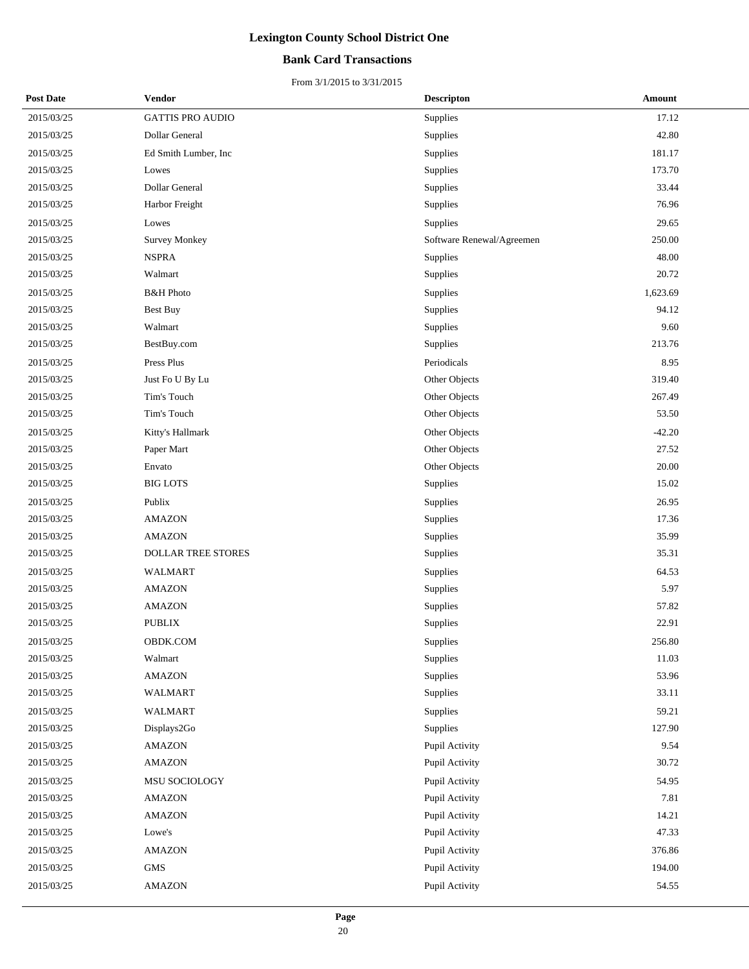### **Bank Card Transactions**

| <b>Post Date</b> | Vendor                  | <b>Descripton</b>         | Amount   |
|------------------|-------------------------|---------------------------|----------|
| 2015/03/25       | <b>GATTIS PRO AUDIO</b> | Supplies                  | 17.12    |
| 2015/03/25       | Dollar General          | Supplies                  | 42.80    |
| 2015/03/25       | Ed Smith Lumber, Inc.   | Supplies                  | 181.17   |
| 2015/03/25       | Lowes                   | Supplies                  | 173.70   |
| 2015/03/25       | Dollar General          | Supplies                  | 33.44    |
| 2015/03/25       | Harbor Freight          | Supplies                  | 76.96    |
| 2015/03/25       | Lowes                   | Supplies                  | 29.65    |
| 2015/03/25       | <b>Survey Monkey</b>    | Software Renewal/Agreemen | 250.00   |
| 2015/03/25       | <b>NSPRA</b>            | Supplies                  | 48.00    |
| 2015/03/25       | Walmart                 | Supplies                  | 20.72    |
| 2015/03/25       | <b>B&amp;H</b> Photo    | Supplies                  | 1,623.69 |
| 2015/03/25       | <b>Best Buy</b>         | Supplies                  | 94.12    |
| 2015/03/25       | Walmart                 | Supplies                  | 9.60     |
| 2015/03/25       | BestBuy.com             | Supplies                  | 213.76   |
| 2015/03/25       | Press Plus              | Periodicals               | 8.95     |
| 2015/03/25       | Just Fo U By Lu         | Other Objects             | 319.40   |
| 2015/03/25       | Tim's Touch             | Other Objects             | 267.49   |
| 2015/03/25       | Tim's Touch             | Other Objects             | 53.50    |
| 2015/03/25       | Kitty's Hallmark        | Other Objects             | $-42.20$ |
| 2015/03/25       | Paper Mart              | Other Objects             | 27.52    |
| 2015/03/25       | Envato                  | Other Objects             | 20.00    |
| 2015/03/25       | <b>BIG LOTS</b>         | Supplies                  | 15.02    |
| 2015/03/25       | Publix                  | Supplies                  | 26.95    |
| 2015/03/25       | <b>AMAZON</b>           | Supplies                  | 17.36    |
| 2015/03/25       | <b>AMAZON</b>           | Supplies                  | 35.99    |
| 2015/03/25       | DOLLAR TREE STORES      | Supplies                  | 35.31    |
| 2015/03/25       | WALMART                 | Supplies                  | 64.53    |
| 2015/03/25       | <b>AMAZON</b>           | Supplies                  | 5.97     |
| 2015/03/25       | <b>AMAZON</b>           | Supplies                  | 57.82    |
| 2015/03/25       | <b>PUBLIX</b>           | Supplies                  | 22.91    |
| 2015/03/25       | <b>OBDK.COM</b>         | Supplies                  | 256.80   |
| 2015/03/25       | Walmart                 | Supplies                  | 11.03    |
| 2015/03/25       | <b>AMAZON</b>           | Supplies                  | 53.96    |
| 2015/03/25       | WALMART                 | Supplies                  | 33.11    |
| 2015/03/25       | <b>WALMART</b>          | Supplies                  | 59.21    |
| 2015/03/25       | Displays2Go             | Supplies                  | 127.90   |
| 2015/03/25       | <b>AMAZON</b>           | Pupil Activity            | 9.54     |
| 2015/03/25       | <b>AMAZON</b>           | Pupil Activity            | 30.72    |
| 2015/03/25       | MSU SOCIOLOGY           | Pupil Activity            | 54.95    |
| 2015/03/25       | <b>AMAZON</b>           | Pupil Activity            | 7.81     |
| 2015/03/25       | <b>AMAZON</b>           | Pupil Activity            | 14.21    |
| 2015/03/25       | Lowe's                  | Pupil Activity            | 47.33    |
| 2015/03/25       | <b>AMAZON</b>           | Pupil Activity            | 376.86   |
| 2015/03/25       | <b>GMS</b>              | Pupil Activity            | 194.00   |
| 2015/03/25       | <b>AMAZON</b>           | Pupil Activity            | 54.55    |
|                  |                         |                           |          |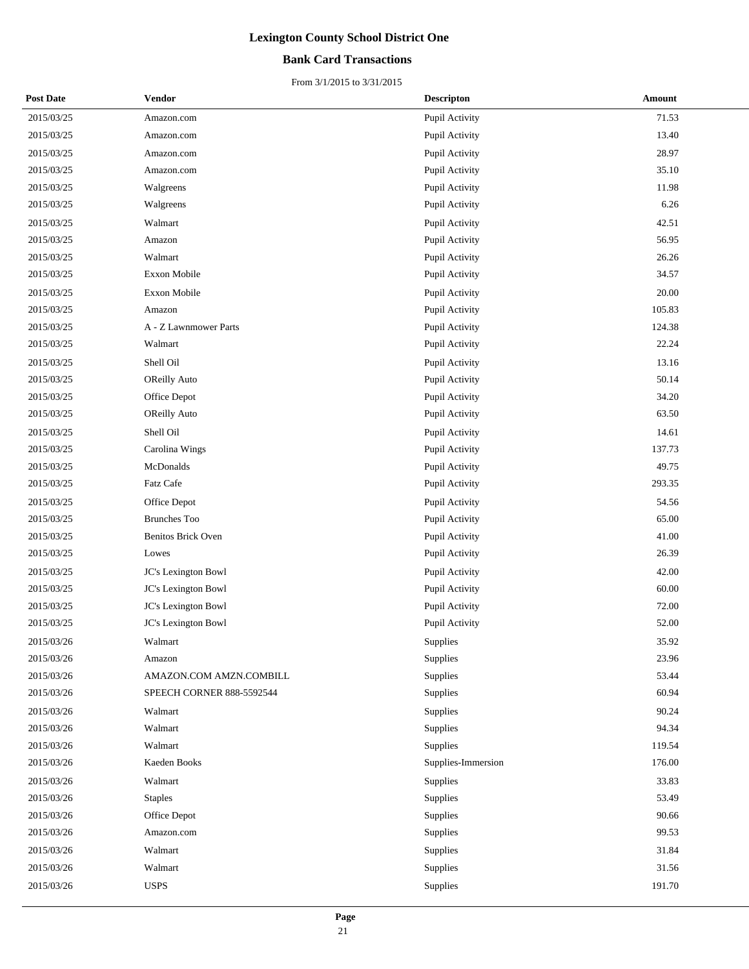### **Bank Card Transactions**

| <b>Post Date</b> | Vendor                    | <b>Descripton</b>  | Amount |
|------------------|---------------------------|--------------------|--------|
| 2015/03/25       | Amazon.com                | Pupil Activity     | 71.53  |
| 2015/03/25       | Amazon.com                | Pupil Activity     | 13.40  |
| 2015/03/25       | Amazon.com                | Pupil Activity     | 28.97  |
| 2015/03/25       | Amazon.com                | Pupil Activity     | 35.10  |
| 2015/03/25       | Walgreens                 | Pupil Activity     | 11.98  |
| 2015/03/25       | Walgreens                 | Pupil Activity     | 6.26   |
| 2015/03/25       | Walmart                   | Pupil Activity     | 42.51  |
| 2015/03/25       | Amazon                    | Pupil Activity     | 56.95  |
| 2015/03/25       | Walmart                   | Pupil Activity     | 26.26  |
| 2015/03/25       | Exxon Mobile              | Pupil Activity     | 34.57  |
| 2015/03/25       | Exxon Mobile              | Pupil Activity     | 20.00  |
| 2015/03/25       | Amazon                    | Pupil Activity     | 105.83 |
| 2015/03/25       | A - Z Lawnmower Parts     | Pupil Activity     | 124.38 |
| 2015/03/25       | Walmart                   | Pupil Activity     | 22.24  |
| 2015/03/25       | Shell Oil                 | Pupil Activity     | 13.16  |
| 2015/03/25       | <b>OReilly Auto</b>       | Pupil Activity     | 50.14  |
| 2015/03/25       | Office Depot              | Pupil Activity     | 34.20  |
| 2015/03/25       | <b>OReilly Auto</b>       | Pupil Activity     | 63.50  |
| 2015/03/25       | Shell Oil                 | Pupil Activity     | 14.61  |
| 2015/03/25       | Carolina Wings            | Pupil Activity     | 137.73 |
| 2015/03/25       | McDonalds                 | Pupil Activity     | 49.75  |
| 2015/03/25       | Fatz Cafe                 | Pupil Activity     | 293.35 |
| 2015/03/25       | Office Depot              | Pupil Activity     | 54.56  |
| 2015/03/25       | <b>Brunches Too</b>       | Pupil Activity     | 65.00  |
| 2015/03/25       | Benitos Brick Oven        | Pupil Activity     | 41.00  |
| 2015/03/25       | Lowes                     | Pupil Activity     | 26.39  |
| 2015/03/25       | JC's Lexington Bowl       | Pupil Activity     | 42.00  |
| 2015/03/25       | JC's Lexington Bowl       | Pupil Activity     | 60.00  |
| 2015/03/25       | JC's Lexington Bowl       | Pupil Activity     | 72.00  |
| 2015/03/25       | JC's Lexington Bowl       | Pupil Activity     | 52.00  |
| 2015/03/26       | Walmart                   | Supplies           | 35.92  |
| 2015/03/26       | Amazon                    | Supplies           | 23.96  |
| 2015/03/26       | AMAZON.COM AMZN.COMBILL   | Supplies           | 53.44  |
| 2015/03/26       | SPEECH CORNER 888-5592544 | Supplies           | 60.94  |
| 2015/03/26       | Walmart                   | Supplies           | 90.24  |
| 2015/03/26       | Walmart                   | Supplies           | 94.34  |
| 2015/03/26       | Walmart                   | Supplies           | 119.54 |
| 2015/03/26       | Kaeden Books              | Supplies-Immersion | 176.00 |
| 2015/03/26       | Walmart                   | Supplies           | 33.83  |
| 2015/03/26       | <b>Staples</b>            | Supplies           | 53.49  |
| 2015/03/26       | Office Depot              | Supplies           | 90.66  |
| 2015/03/26       | Amazon.com                | Supplies           | 99.53  |
| 2015/03/26       | Walmart                   | Supplies           | 31.84  |
| 2015/03/26       | Walmart                   | Supplies           | 31.56  |
| 2015/03/26       | <b>USPS</b>               | Supplies           | 191.70 |
|                  |                           |                    |        |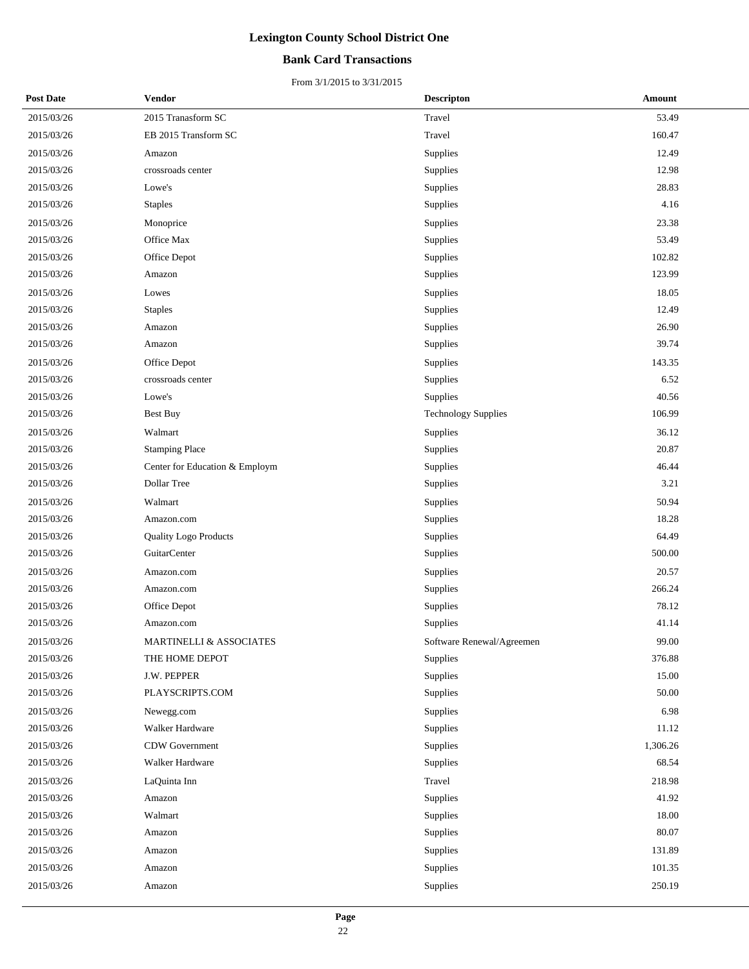### **Bank Card Transactions**

| <b>Post Date</b> | Vendor                             | <b>Descripton</b>          | Amount   |
|------------------|------------------------------------|----------------------------|----------|
| 2015/03/26       | $2015$ Tranasform $\cal{SC}$       | Travel                     | 53.49    |
| 2015/03/26       | EB 2015 Transform SC               | Travel                     | 160.47   |
| 2015/03/26       | Amazon                             | Supplies                   | 12.49    |
| 2015/03/26       | crossroads center                  | Supplies                   | 12.98    |
| 2015/03/26       | Lowe's                             | Supplies                   | 28.83    |
| 2015/03/26       | <b>Staples</b>                     | Supplies                   | 4.16     |
| 2015/03/26       | Monoprice                          | Supplies                   | 23.38    |
| 2015/03/26       | Office Max                         | Supplies                   | 53.49    |
| 2015/03/26       | Office Depot                       | Supplies                   | 102.82   |
| 2015/03/26       | Amazon                             | Supplies                   | 123.99   |
| 2015/03/26       | Lowes                              | Supplies                   | 18.05    |
| 2015/03/26       | <b>Staples</b>                     | Supplies                   | 12.49    |
| 2015/03/26       | Amazon                             | Supplies                   | 26.90    |
| 2015/03/26       | Amazon                             | Supplies                   | 39.74    |
| 2015/03/26       | Office Depot                       | Supplies                   | 143.35   |
| 2015/03/26       | crossroads center                  | Supplies                   | 6.52     |
| 2015/03/26       | Lowe's                             | Supplies                   | 40.56    |
| 2015/03/26       | <b>Best Buy</b>                    | <b>Technology Supplies</b> | 106.99   |
| 2015/03/26       | Walmart                            | Supplies                   | 36.12    |
| 2015/03/26       | <b>Stamping Place</b>              | Supplies                   | 20.87    |
| 2015/03/26       | Center for Education & Employm     | Supplies                   | 46.44    |
| 2015/03/26       | Dollar Tree                        | Supplies                   | 3.21     |
| 2015/03/26       | Walmart                            | Supplies                   | 50.94    |
| 2015/03/26       | Amazon.com                         | Supplies                   | 18.28    |
| 2015/03/26       | <b>Quality Logo Products</b>       | Supplies                   | 64.49    |
| 2015/03/26       | GuitarCenter                       | Supplies                   | 500.00   |
| 2015/03/26       | Amazon.com                         | Supplies                   | 20.57    |
| 2015/03/26       | Amazon.com                         | Supplies                   | 266.24   |
| 2015/03/26       | Office Depot                       | Supplies                   | 78.12    |
| 2015/03/26       | Amazon.com                         | Supplies                   | 41.14    |
| 2015/03/26       | <b>MARTINELLI &amp; ASSOCIATES</b> | Software Renewal/Agreemen  | 99.00    |
| 2015/03/26       | THE HOME DEPOT                     | Supplies                   | 376.88   |
| 2015/03/26       | J.W. PEPPER                        | Supplies                   | 15.00    |
| 2015/03/26       | PLAYSCRIPTS.COM                    | Supplies                   | 50.00    |
| 2015/03/26       | Newegg.com                         | Supplies                   | 6.98     |
| 2015/03/26       | Walker Hardware                    | Supplies                   | 11.12    |
| 2015/03/26       | CDW Government                     | Supplies                   | 1,306.26 |
| 2015/03/26       | Walker Hardware                    | Supplies                   | 68.54    |
| 2015/03/26       | LaQuinta Inn                       | Travel                     | 218.98   |
| 2015/03/26       | Amazon                             | Supplies                   | 41.92    |
| 2015/03/26       | Walmart                            | Supplies                   | 18.00    |
| 2015/03/26       | Amazon                             | Supplies                   | 80.07    |
| 2015/03/26       | Amazon                             | Supplies                   | 131.89   |
| 2015/03/26       | Amazon                             | Supplies                   | 101.35   |
| 2015/03/26       | Amazon                             | Supplies                   | 250.19   |
|                  |                                    |                            |          |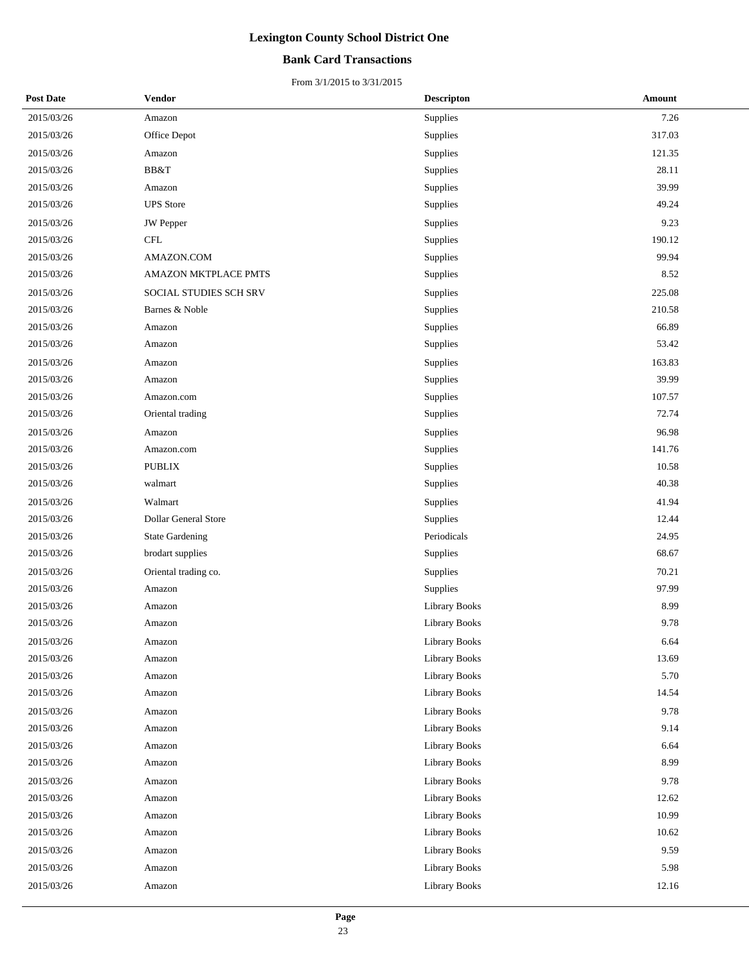### **Bank Card Transactions**

| <b>Post Date</b> | Vendor                 | <b>Descripton</b>    | Amount |
|------------------|------------------------|----------------------|--------|
| 2015/03/26       | Amazon                 | Supplies             | 7.26   |
| 2015/03/26       | Office Depot           | Supplies             | 317.03 |
| 2015/03/26       | Amazon                 | Supplies             | 121.35 |
| 2015/03/26       | BB&T                   | Supplies             | 28.11  |
| 2015/03/26       | Amazon                 | Supplies             | 39.99  |
| 2015/03/26       | <b>UPS</b> Store       | Supplies             | 49.24  |
| 2015/03/26       | <b>JW</b> Pepper       | Supplies             | 9.23   |
| 2015/03/26       | <b>CFL</b>             | Supplies             | 190.12 |
| 2015/03/26       | AMAZON.COM             | Supplies             | 99.94  |
| 2015/03/26       | AMAZON MKTPLACE PMTS   | Supplies             | 8.52   |
| 2015/03/26       | SOCIAL STUDIES SCH SRV | Supplies             | 225.08 |
| 2015/03/26       | Barnes & Noble         | Supplies             | 210.58 |
| 2015/03/26       | Amazon                 | Supplies             | 66.89  |
| 2015/03/26       | Amazon                 | Supplies             | 53.42  |
| 2015/03/26       | Amazon                 | Supplies             | 163.83 |
| 2015/03/26       | Amazon                 | Supplies             | 39.99  |
| 2015/03/26       | Amazon.com             | Supplies             | 107.57 |
| 2015/03/26       | Oriental trading       | Supplies             | 72.74  |
| 2015/03/26       | Amazon                 | Supplies             | 96.98  |
| 2015/03/26       | Amazon.com             | Supplies             | 141.76 |
| 2015/03/26       | <b>PUBLIX</b>          | Supplies             | 10.58  |
| 2015/03/26       | walmart                | Supplies             | 40.38  |
| 2015/03/26       | Walmart                | Supplies             | 41.94  |
| 2015/03/26       | Dollar General Store   | Supplies             | 12.44  |
| 2015/03/26       | <b>State Gardening</b> | Periodicals          | 24.95  |
| 2015/03/26       | brodart supplies       | Supplies             | 68.67  |
| 2015/03/26       | Oriental trading co.   | Supplies             | 70.21  |
| 2015/03/26       | Amazon                 | Supplies             | 97.99  |
| 2015/03/26       | Amazon                 | Library Books        | 8.99   |
| 2015/03/26       | Amazon                 | <b>Library Books</b> | 9.78   |
| 2015/03/26       | Amazon                 | Library Books        | 6.64   |
| 2015/03/26       | Amazon                 | Library Books        | 13.69  |
| 2015/03/26       | Amazon                 | Library Books        | 5.70   |
| 2015/03/26       | Amazon                 | Library Books        | 14.54  |
| 2015/03/26       | Amazon                 | Library Books        | 9.78   |
| 2015/03/26       | Amazon                 | <b>Library Books</b> | 9.14   |
| 2015/03/26       | Amazon                 | Library Books        | 6.64   |
| 2015/03/26       | Amazon                 | Library Books        | 8.99   |
| 2015/03/26       | Amazon                 | <b>Library Books</b> | 9.78   |
| 2015/03/26       | Amazon                 | <b>Library Books</b> | 12.62  |
| 2015/03/26       | Amazon                 | Library Books        | 10.99  |
| 2015/03/26       | Amazon                 | Library Books        | 10.62  |
| 2015/03/26       | Amazon                 | Library Books        | 9.59   |
| 2015/03/26       | Amazon                 | Library Books        | 5.98   |
| 2015/03/26       | Amazon                 | Library Books        | 12.16  |
|                  |                        |                      |        |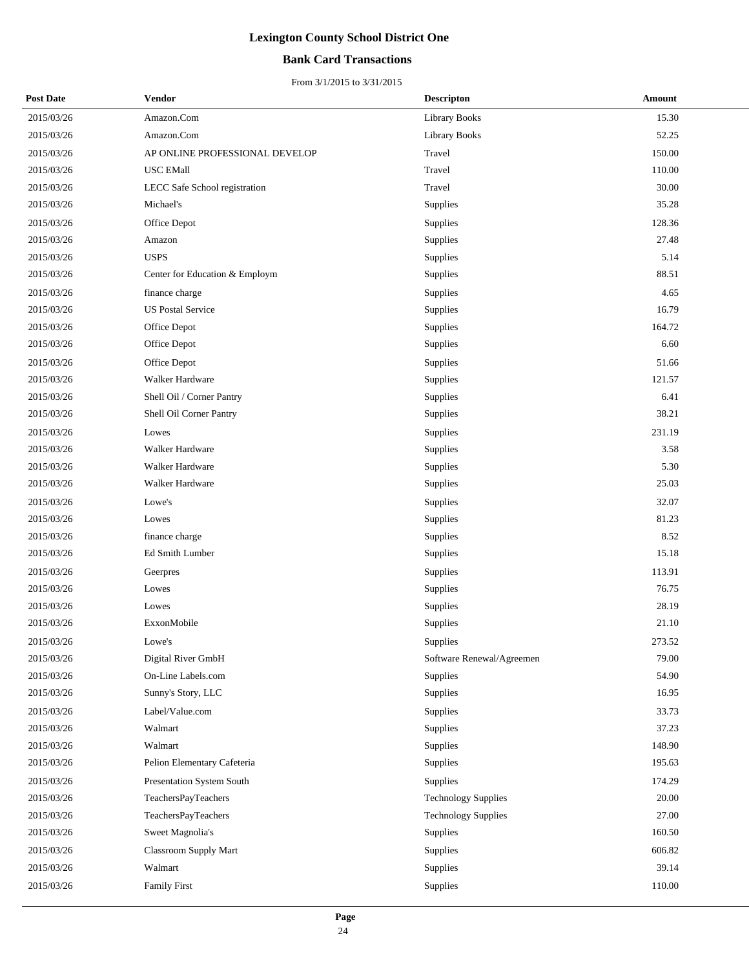### **Bank Card Transactions**

| <b>Post Date</b> | <b>Vendor</b>                    | <b>Descripton</b>          | Amount |
|------------------|----------------------------------|----------------------------|--------|
| 2015/03/26       | Amazon.Com                       | <b>Library Books</b>       | 15.30  |
| 2015/03/26       | Amazon.Com                       | <b>Library Books</b>       | 52.25  |
| 2015/03/26       | AP ONLINE PROFESSIONAL DEVELOP   | Travel                     | 150.00 |
| 2015/03/26       | USC EMall                        | Travel                     | 110.00 |
| 2015/03/26       | LECC Safe School registration    | Travel                     | 30.00  |
| 2015/03/26       | Michael's                        | Supplies                   | 35.28  |
| 2015/03/26       | Office Depot                     | Supplies                   | 128.36 |
| 2015/03/26       | Amazon                           | Supplies                   | 27.48  |
| 2015/03/26       | <b>USPS</b>                      | Supplies                   | 5.14   |
| 2015/03/26       | Center for Education & Employm   | Supplies                   | 88.51  |
| 2015/03/26       | finance charge                   | Supplies                   | 4.65   |
| 2015/03/26       | <b>US Postal Service</b>         | Supplies                   | 16.79  |
| 2015/03/26       | Office Depot                     | Supplies                   | 164.72 |
| 2015/03/26       | Office Depot                     | Supplies                   | 6.60   |
| 2015/03/26       | Office Depot                     | Supplies                   | 51.66  |
| 2015/03/26       | Walker Hardware                  | Supplies                   | 121.57 |
| 2015/03/26       | Shell Oil / Corner Pantry        | Supplies                   | 6.41   |
| 2015/03/26       | Shell Oil Corner Pantry          | Supplies                   | 38.21  |
| 2015/03/26       | Lowes                            | Supplies                   | 231.19 |
| 2015/03/26       | Walker Hardware                  | Supplies                   | 3.58   |
| 2015/03/26       | Walker Hardware                  | Supplies                   | 5.30   |
| 2015/03/26       | Walker Hardware                  | Supplies                   | 25.03  |
| 2015/03/26       | Lowe's                           | Supplies                   | 32.07  |
| 2015/03/26       | Lowes                            | Supplies                   | 81.23  |
| 2015/03/26       | finance charge                   | Supplies                   | 8.52   |
| 2015/03/26       | Ed Smith Lumber                  | Supplies                   | 15.18  |
| 2015/03/26       | Geerpres                         | Supplies                   | 113.91 |
| 2015/03/26       | Lowes                            | Supplies                   | 76.75  |
| 2015/03/26       | Lowes                            | Supplies                   | 28.19  |
| 2015/03/26       | ExxonMobile                      | Supplies                   | 21.10  |
| 2015/03/26       | Lowe's                           | Supplies                   | 273.52 |
| 2015/03/26       | Digital River GmbH               | Software Renewal/Agreemen  | 79.00  |
| 2015/03/26       | On-Line Labels.com               | Supplies                   | 54.90  |
| 2015/03/26       | Sunny's Story, LLC               | Supplies                   | 16.95  |
| 2015/03/26       | Label/Value.com                  | Supplies                   | 33.73  |
| 2015/03/26       | Walmart                          | Supplies                   | 37.23  |
| 2015/03/26       | Walmart                          | Supplies                   | 148.90 |
| 2015/03/26       | Pelion Elementary Cafeteria      | Supplies                   | 195.63 |
| 2015/03/26       | <b>Presentation System South</b> | Supplies                   | 174.29 |
| 2015/03/26       | TeachersPayTeachers              | <b>Technology Supplies</b> | 20.00  |
| 2015/03/26       | TeachersPayTeachers              | <b>Technology Supplies</b> | 27.00  |
| 2015/03/26       | Sweet Magnolia's                 | Supplies                   | 160.50 |
| 2015/03/26       | <b>Classroom Supply Mart</b>     | Supplies                   | 606.82 |
| 2015/03/26       | Walmart                          | Supplies                   | 39.14  |
| 2015/03/26       | <b>Family First</b>              | Supplies                   | 110.00 |
|                  |                                  |                            |        |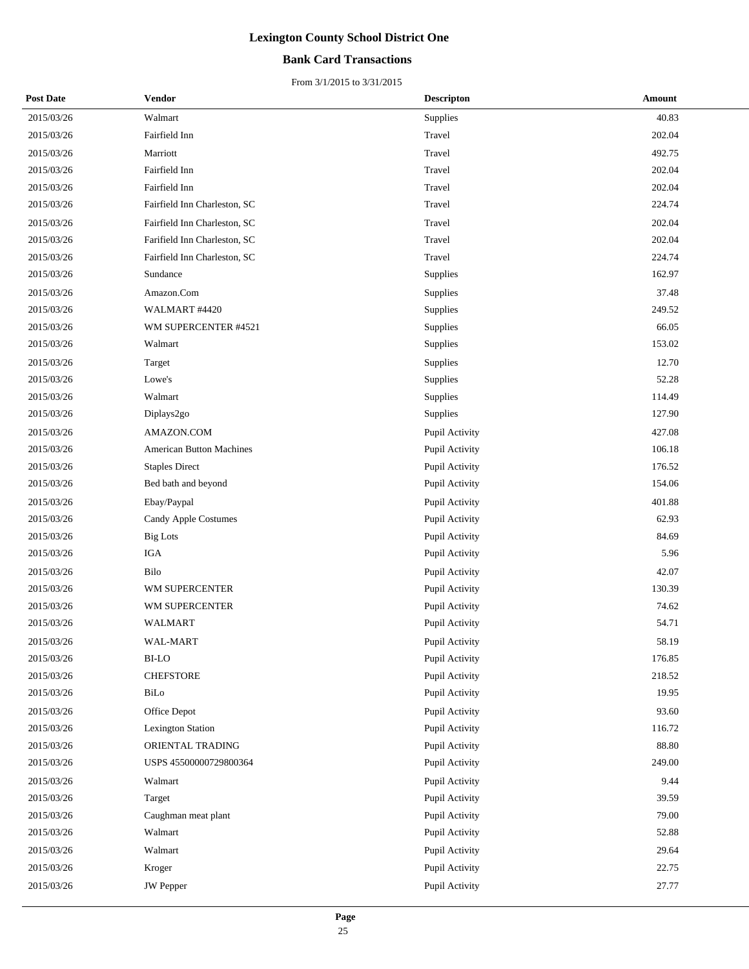### **Bank Card Transactions**

| <b>Post Date</b> | <b>Vendor</b>                   | <b>Descripton</b> | Amount |
|------------------|---------------------------------|-------------------|--------|
| 2015/03/26       | Walmart                         | Supplies          | 40.83  |
| 2015/03/26       | Fairfield Inn                   | Travel            | 202.04 |
| 2015/03/26       | Marriott                        | Travel            | 492.75 |
| 2015/03/26       | Fairfield Inn                   | Travel            | 202.04 |
| 2015/03/26       | Fairfield Inn                   | Travel            | 202.04 |
| 2015/03/26       | Fairfield Inn Charleston, SC    | Travel            | 224.74 |
| 2015/03/26       | Fairfield Inn Charleston, SC    | Travel            | 202.04 |
| 2015/03/26       | Farifield Inn Charleston, SC    | Travel            | 202.04 |
| 2015/03/26       | Fairfield Inn Charleston, SC    | Travel            | 224.74 |
| 2015/03/26       | Sundance                        | Supplies          | 162.97 |
| 2015/03/26       | Amazon.Com                      | Supplies          | 37.48  |
| 2015/03/26       | WALMART #4420                   | Supplies          | 249.52 |
| 2015/03/26       | WM SUPERCENTER #4521            | Supplies          | 66.05  |
| 2015/03/26       | Walmart                         | Supplies          | 153.02 |
| 2015/03/26       | Target                          | Supplies          | 12.70  |
| 2015/03/26       | Lowe's                          | Supplies          | 52.28  |
| 2015/03/26       | Walmart                         | Supplies          | 114.49 |
| 2015/03/26       | Diplays2go                      | Supplies          | 127.90 |
| 2015/03/26       | AMAZON.COM                      | Pupil Activity    | 427.08 |
| 2015/03/26       | <b>American Button Machines</b> | Pupil Activity    | 106.18 |
| 2015/03/26       | <b>Staples Direct</b>           | Pupil Activity    | 176.52 |
| 2015/03/26       | Bed bath and beyond             | Pupil Activity    | 154.06 |
| 2015/03/26       | Ebay/Paypal                     | Pupil Activity    | 401.88 |
| 2015/03/26       | Candy Apple Costumes            | Pupil Activity    | 62.93  |
| 2015/03/26       | <b>Big Lots</b>                 | Pupil Activity    | 84.69  |
| 2015/03/26       | <b>IGA</b>                      | Pupil Activity    | 5.96   |
| 2015/03/26       | Bilo                            | Pupil Activity    | 42.07  |
| 2015/03/26       | WM SUPERCENTER                  | Pupil Activity    | 130.39 |
| 2015/03/26       | WM SUPERCENTER                  | Pupil Activity    | 74.62  |
| 2015/03/26       | WALMART                         | Pupil Activity    | 54.71  |
| 2015/03/26       | <b>WAL-MART</b>                 | Pupil Activity    | 58.19  |
| 2015/03/26       | <b>BI-LO</b>                    | Pupil Activity    | 176.85 |
| 2015/03/26       | <b>CHEFSTORE</b>                | Pupil Activity    | 218.52 |
| 2015/03/26       | BiLo                            | Pupil Activity    | 19.95  |
| 2015/03/26       | Office Depot                    | Pupil Activity    | 93.60  |
| 2015/03/26       | <b>Lexington Station</b>        | Pupil Activity    | 116.72 |
| 2015/03/26       | ORIENTAL TRADING                | Pupil Activity    | 88.80  |
| 2015/03/26       | USPS 45500000729800364          | Pupil Activity    | 249.00 |
| 2015/03/26       | Walmart                         | Pupil Activity    | 9.44   |
| 2015/03/26       | Target                          | Pupil Activity    | 39.59  |
| 2015/03/26       | Caughman meat plant             | Pupil Activity    | 79.00  |
| 2015/03/26       | Walmart                         | Pupil Activity    | 52.88  |
| 2015/03/26       | Walmart                         | Pupil Activity    | 29.64  |
| 2015/03/26       | Kroger                          | Pupil Activity    | 22.75  |
| 2015/03/26       | <b>JW</b> Pepper                | Pupil Activity    | 27.77  |
|                  |                                 |                   |        |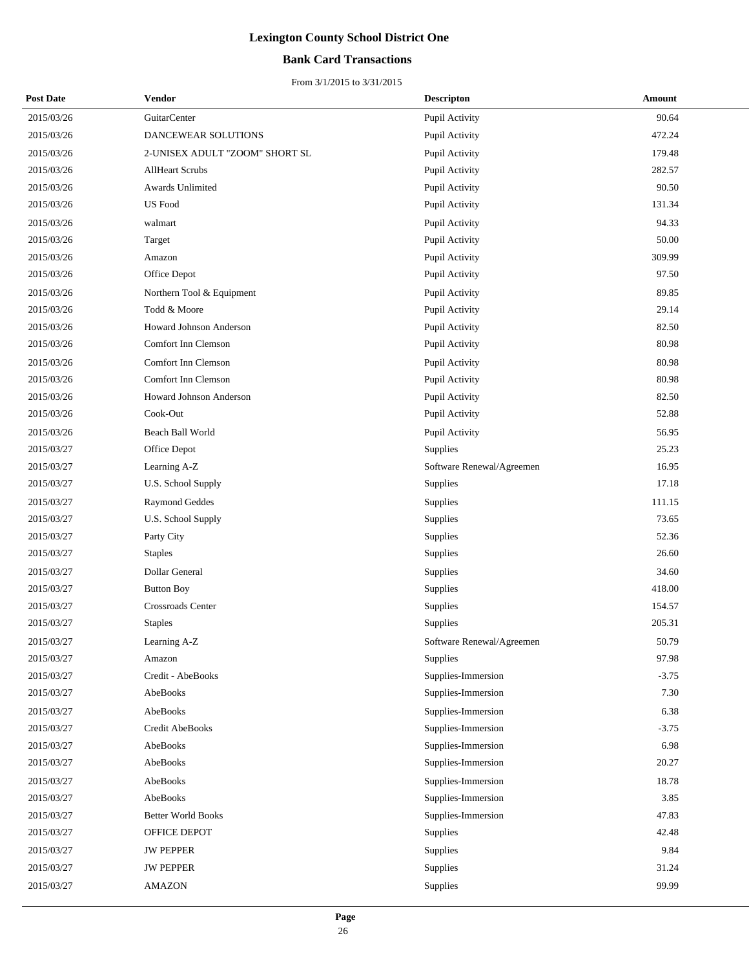### **Bank Card Transactions**

| <b>Post Date</b> | <b>Vendor</b>                  | <b>Descripton</b>         | Amount  |
|------------------|--------------------------------|---------------------------|---------|
| 2015/03/26       | GuitarCenter                   | Pupil Activity            | 90.64   |
| 2015/03/26       | DANCEWEAR SOLUTIONS            | Pupil Activity            | 472.24  |
| 2015/03/26       | 2-UNISEX ADULT "ZOOM" SHORT SL | Pupil Activity            | 179.48  |
| 2015/03/26       | <b>AllHeart Scrubs</b>         | Pupil Activity            | 282.57  |
| 2015/03/26       | <b>Awards Unlimited</b>        | Pupil Activity            | 90.50   |
| 2015/03/26       | <b>US</b> Food                 | Pupil Activity            | 131.34  |
| 2015/03/26       | walmart                        | Pupil Activity            | 94.33   |
| 2015/03/26       | Target                         | Pupil Activity            | 50.00   |
| 2015/03/26       | Amazon                         | Pupil Activity            | 309.99  |
| 2015/03/26       | Office Depot                   | Pupil Activity            | 97.50   |
| 2015/03/26       | Northern Tool & Equipment      | Pupil Activity            | 89.85   |
| 2015/03/26       | Todd & Moore                   | Pupil Activity            | 29.14   |
| 2015/03/26       | Howard Johnson Anderson        | Pupil Activity            | 82.50   |
| 2015/03/26       | Comfort Inn Clemson            | Pupil Activity            | 80.98   |
| 2015/03/26       | Comfort Inn Clemson            | Pupil Activity            | 80.98   |
| 2015/03/26       | Comfort Inn Clemson            | Pupil Activity            | 80.98   |
| 2015/03/26       | Howard Johnson Anderson        | Pupil Activity            | 82.50   |
| 2015/03/26       | Cook-Out                       | Pupil Activity            | 52.88   |
| 2015/03/26       | Beach Ball World               | Pupil Activity            | 56.95   |
| 2015/03/27       | Office Depot                   | Supplies                  | 25.23   |
| 2015/03/27       | Learning A-Z                   | Software Renewal/Agreemen | 16.95   |
| 2015/03/27       | U.S. School Supply             | Supplies                  | 17.18   |
| 2015/03/27       | Raymond Geddes                 | Supplies                  | 111.15  |
| 2015/03/27       | U.S. School Supply             | Supplies                  | 73.65   |
| 2015/03/27       | Party City                     | Supplies                  | 52.36   |
| 2015/03/27       | <b>Staples</b>                 | Supplies                  | 26.60   |
| 2015/03/27       | Dollar General                 | Supplies                  | 34.60   |
| 2015/03/27       | <b>Button Boy</b>              | Supplies                  | 418.00  |
| 2015/03/27       | Crossroads Center              | Supplies                  | 154.57  |
| 2015/03/27       | <b>Staples</b>                 | Supplies                  | 205.31  |
| 2015/03/27       | Learning A-Z                   | Software Renewal/Agreemen | 50.79   |
| 2015/03/27       | Amazon                         | <b>Supplies</b>           | 97.98   |
| 2015/03/27       | Credit - AbeBooks              | Supplies-Immersion        | $-3.75$ |
| 2015/03/27       | AbeBooks                       | Supplies-Immersion        | 7.30    |
| 2015/03/27       | AbeBooks                       | Supplies-Immersion        | 6.38    |
| 2015/03/27       | Credit AbeBooks                | Supplies-Immersion        | $-3.75$ |
| 2015/03/27       | AbeBooks                       | Supplies-Immersion        | 6.98    |
| 2015/03/27       | AbeBooks                       | Supplies-Immersion        | 20.27   |
| 2015/03/27       | AbeBooks                       | Supplies-Immersion        | 18.78   |
| 2015/03/27       | AbeBooks                       | Supplies-Immersion        | 3.85    |
| 2015/03/27       | <b>Better World Books</b>      | Supplies-Immersion        | 47.83   |
| 2015/03/27       | OFFICE DEPOT                   | Supplies                  | 42.48   |
| 2015/03/27       | <b>JW PEPPER</b>               | Supplies                  | 9.84    |
| 2015/03/27       | <b>JW PEPPER</b>               | Supplies                  | 31.24   |
| 2015/03/27       | <b>AMAZON</b>                  | Supplies                  | 99.99   |
|                  |                                |                           |         |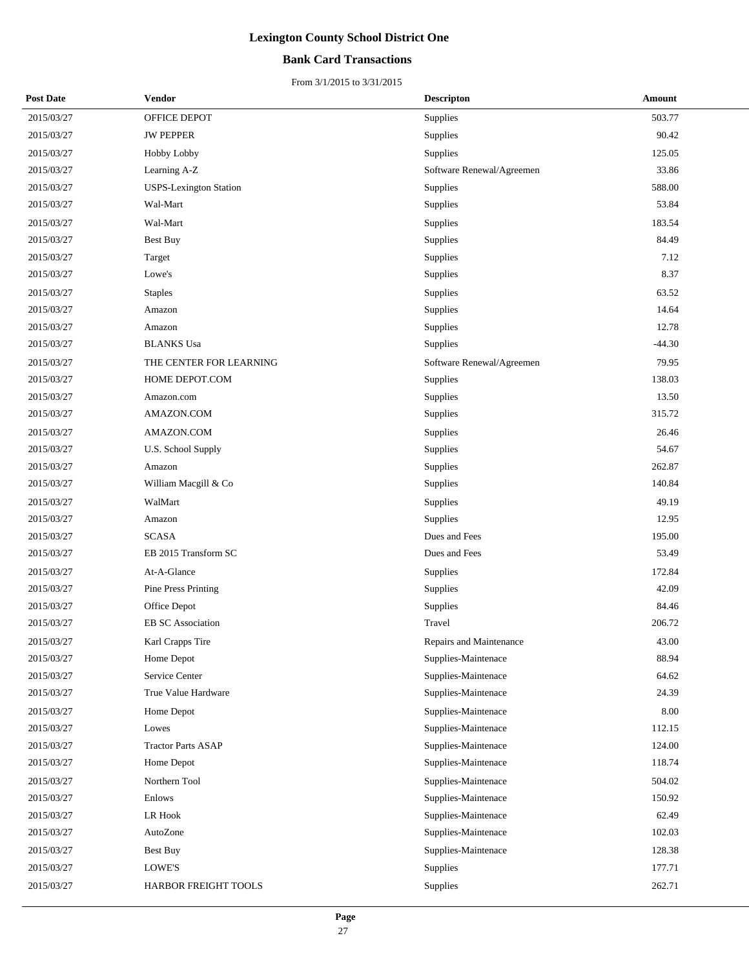### **Bank Card Transactions**

| <b>Post Date</b> | Vendor                        | <b>Descripton</b>         | Amount   |
|------------------|-------------------------------|---------------------------|----------|
| 2015/03/27       | OFFICE DEPOT                  | Supplies                  | 503.77   |
| 2015/03/27       | <b>JW PEPPER</b>              | Supplies                  | 90.42    |
| 2015/03/27       | <b>Hobby Lobby</b>            | Supplies                  | 125.05   |
| 2015/03/27       | Learning A-Z                  | Software Renewal/Agreemen | 33.86    |
| 2015/03/27       | <b>USPS-Lexington Station</b> | Supplies                  | 588.00   |
| 2015/03/27       | Wal-Mart                      | <b>Supplies</b>           | 53.84    |
| 2015/03/27       | Wal-Mart                      | Supplies                  | 183.54   |
| 2015/03/27       | <b>Best Buy</b>               | Supplies                  | 84.49    |
| 2015/03/27       | Target                        | Supplies                  | 7.12     |
| 2015/03/27       | Lowe's                        | Supplies                  | 8.37     |
| 2015/03/27       | <b>Staples</b>                | Supplies                  | 63.52    |
| 2015/03/27       | Amazon                        | Supplies                  | 14.64    |
| 2015/03/27       | Amazon                        | Supplies                  | 12.78    |
| 2015/03/27       | <b>BLANKS Usa</b>             | <b>Supplies</b>           | $-44.30$ |
| 2015/03/27       | THE CENTER FOR LEARNING       | Software Renewal/Agreemen | 79.95    |
| 2015/03/27       | HOME DEPOT.COM                | Supplies                  | 138.03   |
| 2015/03/27       | Amazon.com                    | Supplies                  | 13.50    |
| 2015/03/27       | AMAZON.COM                    | Supplies                  | 315.72   |
| 2015/03/27       | AMAZON.COM                    | Supplies                  | 26.46    |
| 2015/03/27       | U.S. School Supply            | Supplies                  | 54.67    |
| 2015/03/27       | Amazon                        | Supplies                  | 262.87   |
| 2015/03/27       | William Macgill & Co          | Supplies                  | 140.84   |
| 2015/03/27       | WalMart                       | Supplies                  | 49.19    |
| 2015/03/27       | Amazon                        | Supplies                  | 12.95    |
| 2015/03/27       | <b>SCASA</b>                  | Dues and Fees             | 195.00   |
| 2015/03/27       | EB 2015 Transform SC          | Dues and Fees             | 53.49    |
| 2015/03/27       | At-A-Glance                   | Supplies                  | 172.84   |
| 2015/03/27       | <b>Pine Press Printing</b>    | Supplies                  | 42.09    |
| 2015/03/27       | Office Depot                  | Supplies                  | 84.46    |
| 2015/03/27       | <b>EB SC Association</b>      | Travel                    | 206.72   |
| 2015/03/27       | Karl Crapps Tire              | Repairs and Maintenance   | 43.00    |
| 2015/03/27       | Home Depot                    | Supplies-Maintenace       | 88.94    |
| 2015/03/27       | Service Center                | Supplies-Maintenace       | 64.62    |
| 2015/03/27       | True Value Hardware           | Supplies-Maintenace       | 24.39    |
| 2015/03/27       | Home Depot                    | Supplies-Maintenace       | 8.00     |
| 2015/03/27       | Lowes                         | Supplies-Maintenace       | 112.15   |
| 2015/03/27       | <b>Tractor Parts ASAP</b>     | Supplies-Maintenace       | 124.00   |
| 2015/03/27       | Home Depot                    | Supplies-Maintenace       | 118.74   |
| 2015/03/27       | Northern Tool                 | Supplies-Maintenace       | 504.02   |
| 2015/03/27       | Enlows                        | Supplies-Maintenace       | 150.92   |
| 2015/03/27       | LR Hook                       | Supplies-Maintenace       | 62.49    |
| 2015/03/27       | AutoZone                      | Supplies-Maintenace       | 102.03   |
| 2015/03/27       | <b>Best Buy</b>               | Supplies-Maintenace       | 128.38   |
| 2015/03/27       | LOWE'S                        | Supplies                  | 177.71   |
| 2015/03/27       | HARBOR FREIGHT TOOLS          | Supplies                  | 262.71   |
|                  |                               |                           |          |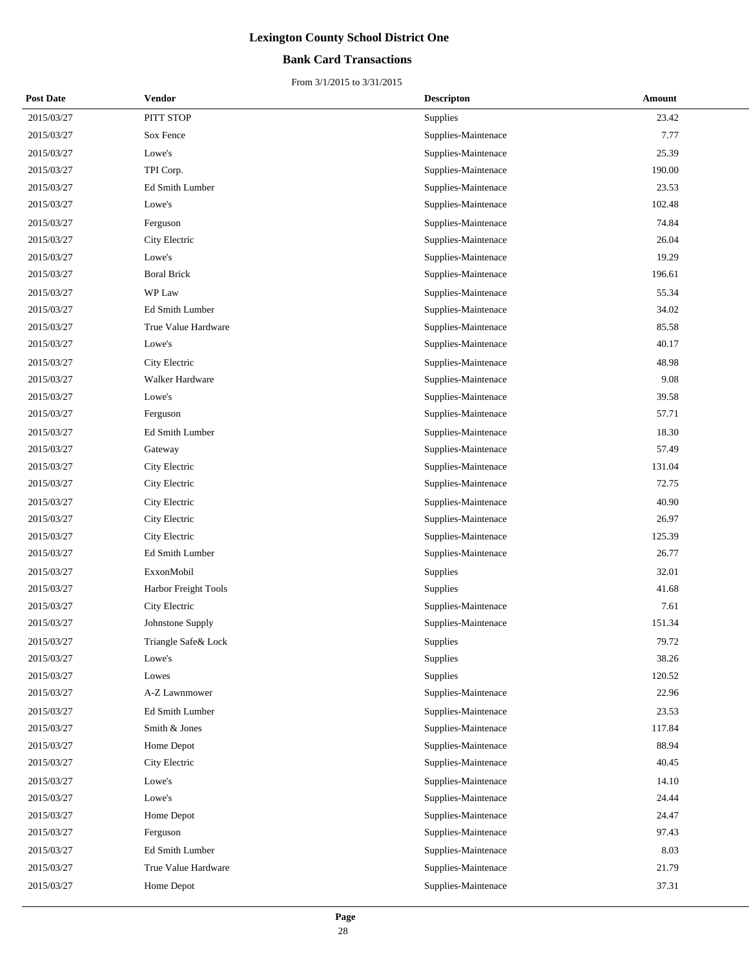### **Bank Card Transactions**

| <b>Post Date</b> | Vendor               | <b>Descripton</b>   | Amount |
|------------------|----------------------|---------------------|--------|
| 2015/03/27       | PITT STOP            | Supplies            | 23.42  |
| 2015/03/27       | Sox Fence            | Supplies-Maintenace | 7.77   |
| 2015/03/27       | Lowe's               | Supplies-Maintenace | 25.39  |
| 2015/03/27       | TPI Corp.            | Supplies-Maintenace | 190.00 |
| 2015/03/27       | Ed Smith Lumber      | Supplies-Maintenace | 23.53  |
| 2015/03/27       | Lowe's               | Supplies-Maintenace | 102.48 |
| 2015/03/27       | Ferguson             | Supplies-Maintenace | 74.84  |
| 2015/03/27       | City Electric        | Supplies-Maintenace | 26.04  |
| 2015/03/27       | Lowe's               | Supplies-Maintenace | 19.29  |
| 2015/03/27       | <b>Boral Brick</b>   | Supplies-Maintenace | 196.61 |
| 2015/03/27       | WP Law               | Supplies-Maintenace | 55.34  |
| 2015/03/27       | Ed Smith Lumber      | Supplies-Maintenace | 34.02  |
| 2015/03/27       | True Value Hardware  | Supplies-Maintenace | 85.58  |
| 2015/03/27       | Lowe's               | Supplies-Maintenace | 40.17  |
| 2015/03/27       | City Electric        | Supplies-Maintenace | 48.98  |
| 2015/03/27       | Walker Hardware      | Supplies-Maintenace | 9.08   |
| 2015/03/27       | Lowe's               | Supplies-Maintenace | 39.58  |
| 2015/03/27       | Ferguson             | Supplies-Maintenace | 57.71  |
| 2015/03/27       | Ed Smith Lumber      | Supplies-Maintenace | 18.30  |
| 2015/03/27       | Gateway              | Supplies-Maintenace | 57.49  |
| 2015/03/27       | City Electric        | Supplies-Maintenace | 131.04 |
| 2015/03/27       | City Electric        | Supplies-Maintenace | 72.75  |
| 2015/03/27       | City Electric        | Supplies-Maintenace | 40.90  |
| 2015/03/27       | City Electric        | Supplies-Maintenace | 26.97  |
| 2015/03/27       | City Electric        | Supplies-Maintenace | 125.39 |
| 2015/03/27       | Ed Smith Lumber      | Supplies-Maintenace | 26.77  |
| 2015/03/27       | ExxonMobil           | Supplies            | 32.01  |
| 2015/03/27       | Harbor Freight Tools | Supplies            | 41.68  |
| 2015/03/27       | City Electric        | Supplies-Maintenace | 7.61   |
| 2015/03/27       | Johnstone Supply     | Supplies-Maintenace | 151.34 |
| 2015/03/27       | Triangle Safe& Lock  | Supplies            | 79.72  |
| 2015/03/27       | Lowe's               | Supplies            | 38.26  |
| 2015/03/27       | Lowes                | Supplies            | 120.52 |
| 2015/03/27       | A-Z Lawnmower        | Supplies-Maintenace | 22.96  |
| 2015/03/27       | Ed Smith Lumber      | Supplies-Maintenace | 23.53  |
| 2015/03/27       | Smith & Jones        | Supplies-Maintenace | 117.84 |
| 2015/03/27       | Home Depot           | Supplies-Maintenace | 88.94  |
| 2015/03/27       | City Electric        | Supplies-Maintenace | 40.45  |
| 2015/03/27       | Lowe's               | Supplies-Maintenace | 14.10  |
| 2015/03/27       | Lowe's               | Supplies-Maintenace | 24.44  |
| 2015/03/27       | Home Depot           | Supplies-Maintenace | 24.47  |
| 2015/03/27       | Ferguson             | Supplies-Maintenace | 97.43  |
| 2015/03/27       | Ed Smith Lumber      | Supplies-Maintenace | 8.03   |
| 2015/03/27       | True Value Hardware  | Supplies-Maintenace | 21.79  |
| 2015/03/27       | Home Depot           | Supplies-Maintenace | 37.31  |
|                  |                      |                     |        |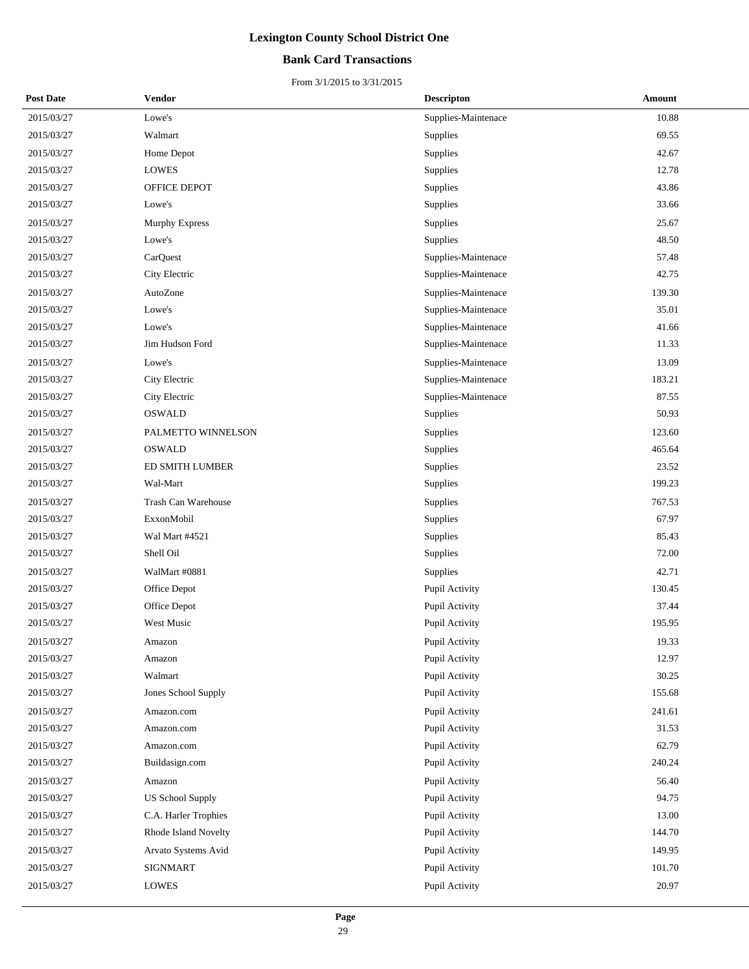### **Bank Card Transactions**

| <b>Post Date</b> | Vendor                  | <b>Descripton</b>   | Amount |
|------------------|-------------------------|---------------------|--------|
| 2015/03/27       | Lowe's                  | Supplies-Maintenace | 10.88  |
| 2015/03/27       | Walmart                 | Supplies            | 69.55  |
| 2015/03/27       | Home Depot              | Supplies            | 42.67  |
| 2015/03/27       | <b>LOWES</b>            | Supplies            | 12.78  |
| 2015/03/27       | OFFICE DEPOT            | Supplies            | 43.86  |
| 2015/03/27       | Lowe's                  | Supplies            | 33.66  |
| 2015/03/27       | Murphy Express          | Supplies            | 25.67  |
| 2015/03/27       | Lowe's                  | Supplies            | 48.50  |
| 2015/03/27       | CarQuest                | Supplies-Maintenace | 57.48  |
| 2015/03/27       | City Electric           | Supplies-Maintenace | 42.75  |
| 2015/03/27       | AutoZone                | Supplies-Maintenace | 139.30 |
| 2015/03/27       | Lowe's                  | Supplies-Maintenace | 35.01  |
| 2015/03/27       | Lowe's                  | Supplies-Maintenace | 41.66  |
| 2015/03/27       | Jim Hudson Ford         | Supplies-Maintenace | 11.33  |
| 2015/03/27       | Lowe's                  | Supplies-Maintenace | 13.09  |
| 2015/03/27       | City Electric           | Supplies-Maintenace | 183.21 |
| 2015/03/27       | City Electric           | Supplies-Maintenace | 87.55  |
| 2015/03/27       | <b>OSWALD</b>           | Supplies            | 50.93  |
| 2015/03/27       | PALMETTO WINNELSON      | Supplies            | 123.60 |
| 2015/03/27       | <b>OSWALD</b>           | Supplies            | 465.64 |
| 2015/03/27       | ED SMITH LUMBER         | Supplies            | 23.52  |
| 2015/03/27       | Wal-Mart                | Supplies            | 199.23 |
| 2015/03/27       | Trash Can Warehouse     | Supplies            | 767.53 |
| 2015/03/27       | ExxonMobil              | Supplies            | 67.97  |
| 2015/03/27       | Wal Mart #4521          | Supplies            | 85.43  |
| 2015/03/27       | Shell Oil               | Supplies            | 72.00  |
| 2015/03/27       | WalMart #0881           | Supplies            | 42.71  |
| 2015/03/27       | Office Depot            | Pupil Activity      | 130.45 |
| 2015/03/27       | Office Depot            | Pupil Activity      | 37.44  |
| 2015/03/27       | West Music              | Pupil Activity      | 195.95 |
| 2015/03/27       | Amazon                  | Pupil Activity      | 19.33  |
| 2015/03/27       | Amazon                  | Pupil Activity      | 12.97  |
| 2015/03/27       | Walmart                 | Pupil Activity      | 30.25  |
| 2015/03/27       | Jones School Supply     | Pupil Activity      | 155.68 |
| 2015/03/27       | Amazon.com              | Pupil Activity      | 241.61 |
| 2015/03/27       | Amazon.com              | Pupil Activity      | 31.53  |
| 2015/03/27       | Amazon.com              | Pupil Activity      | 62.79  |
| 2015/03/27       | Buildasign.com          | Pupil Activity      | 240.24 |
| 2015/03/27       | Amazon                  | Pupil Activity      | 56.40  |
| 2015/03/27       | <b>US School Supply</b> | Pupil Activity      | 94.75  |
| 2015/03/27       | C.A. Harler Trophies    | Pupil Activity      | 13.00  |
| 2015/03/27       | Rhode Island Novelty    | Pupil Activity      | 144.70 |
| 2015/03/27       | Arvato Systems Avid     | Pupil Activity      | 149.95 |
| 2015/03/27       | SIGNMART                | Pupil Activity      | 101.70 |
| 2015/03/27       | <b>LOWES</b>            | Pupil Activity      | 20.97  |
|                  |                         |                     |        |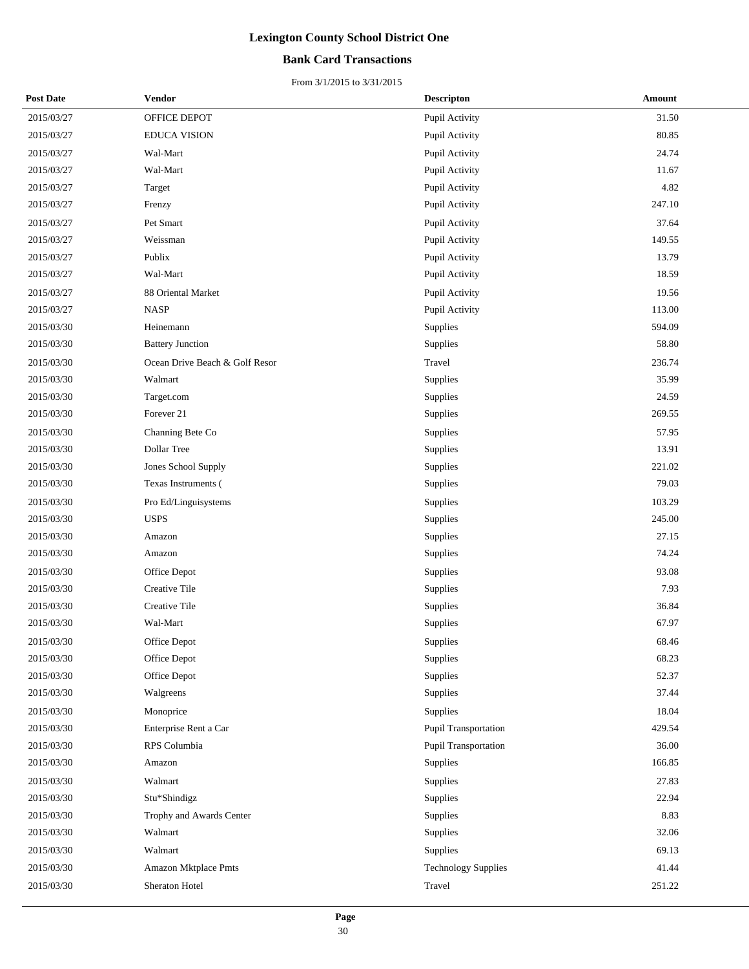### **Bank Card Transactions**

| <b>Post Date</b> | Vendor                         | <b>Descripton</b>          | Amount |
|------------------|--------------------------------|----------------------------|--------|
| 2015/03/27       | OFFICE DEPOT                   | Pupil Activity             | 31.50  |
| 2015/03/27       | <b>EDUCA VISION</b>            | Pupil Activity             | 80.85  |
| 2015/03/27       | Wal-Mart                       | Pupil Activity             | 24.74  |
| 2015/03/27       | Wal-Mart                       | Pupil Activity             | 11.67  |
| 2015/03/27       | Target                         | Pupil Activity             | 4.82   |
| 2015/03/27       | Frenzy                         | Pupil Activity             | 247.10 |
| 2015/03/27       | Pet Smart                      | Pupil Activity             | 37.64  |
| 2015/03/27       | Weissman                       | Pupil Activity             | 149.55 |
| 2015/03/27       | Publix                         | Pupil Activity             | 13.79  |
| 2015/03/27       | Wal-Mart                       | Pupil Activity             | 18.59  |
| 2015/03/27       | 88 Oriental Market             | Pupil Activity             | 19.56  |
| 2015/03/27       | <b>NASP</b>                    | Pupil Activity             | 113.00 |
| 2015/03/30       | Heinemann                      | Supplies                   | 594.09 |
| 2015/03/30       | <b>Battery Junction</b>        | Supplies                   | 58.80  |
| 2015/03/30       | Ocean Drive Beach & Golf Resor | Travel                     | 236.74 |
| 2015/03/30       | Walmart                        | Supplies                   | 35.99  |
| 2015/03/30       | Target.com                     | Supplies                   | 24.59  |
| 2015/03/30       | Forever 21                     | Supplies                   | 269.55 |
| 2015/03/30       | Channing Bete Co               | Supplies                   | 57.95  |
| 2015/03/30       | Dollar Tree                    | Supplies                   | 13.91  |
| 2015/03/30       | Jones School Supply            | Supplies                   | 221.02 |
| 2015/03/30       | Texas Instruments (            | Supplies                   | 79.03  |
| 2015/03/30       | Pro Ed/Linguisystems           | Supplies                   | 103.29 |
| 2015/03/30       | <b>USPS</b>                    | Supplies                   | 245.00 |
| 2015/03/30       | Amazon                         | Supplies                   | 27.15  |
| 2015/03/30       | Amazon                         | Supplies                   | 74.24  |
| 2015/03/30       | Office Depot                   | Supplies                   | 93.08  |
| 2015/03/30       | Creative Tile                  | Supplies                   | 7.93   |
| 2015/03/30       | Creative Tile                  | Supplies                   | 36.84  |
| 2015/03/30       | Wal-Mart                       | Supplies                   | 67.97  |
| 2015/03/30       | Office Depot                   | Supplies                   | 68.46  |
| 2015/03/30       | Office Depot                   | Supplies                   | 68.23  |
| 2015/03/30       | Office Depot                   | <b>Supplies</b>            | 52.37  |
| 2015/03/30       | Walgreens                      | Supplies                   | 37.44  |
| 2015/03/30       | Monoprice                      | Supplies                   | 18.04  |
| 2015/03/30       | Enterprise Rent a Car          | Pupil Transportation       | 429.54 |
| 2015/03/30       | RPS Columbia                   | Pupil Transportation       | 36.00  |
| 2015/03/30       | Amazon                         | Supplies                   | 166.85 |
| 2015/03/30       | Walmart                        | Supplies                   | 27.83  |
| 2015/03/30       | Stu*Shindigz                   | Supplies                   | 22.94  |
| 2015/03/30       | Trophy and Awards Center       | Supplies                   | 8.83   |
| 2015/03/30       | Walmart                        | Supplies                   | 32.06  |
| 2015/03/30       | Walmart                        | Supplies                   | 69.13  |
| 2015/03/30       | Amazon Mktplace Pmts           | <b>Technology Supplies</b> | 41.44  |
| 2015/03/30       | Sheraton Hotel                 | Travel                     | 251.22 |
|                  |                                |                            |        |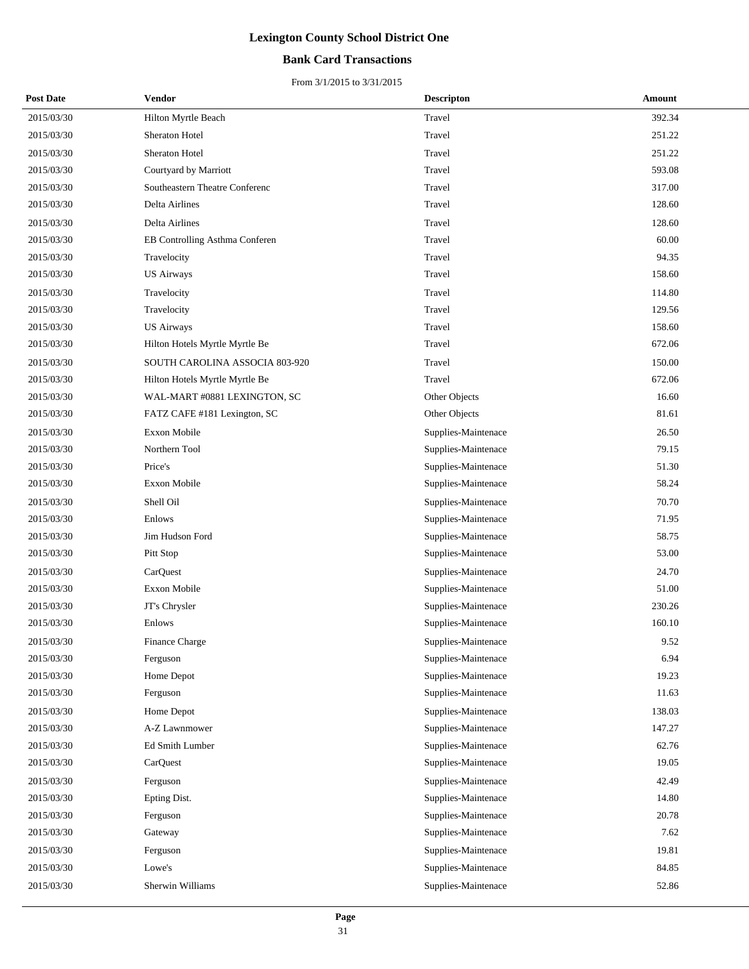### **Bank Card Transactions**

| <b>Post Date</b> | Vendor                         | <b>Descripton</b>   | Amount |
|------------------|--------------------------------|---------------------|--------|
| 2015/03/30       | Hilton Myrtle Beach            | Travel              | 392.34 |
| 2015/03/30       | Sheraton Hotel                 | Travel              | 251.22 |
| 2015/03/30       | Sheraton Hotel                 | Travel              | 251.22 |
| 2015/03/30       | Courtyard by Marriott          | Travel              | 593.08 |
| 2015/03/30       | Southeastern Theatre Conferenc | Travel              | 317.00 |
| 2015/03/30       | Delta Airlines                 | Travel              | 128.60 |
| 2015/03/30       | Delta Airlines                 | Travel              | 128.60 |
| 2015/03/30       | EB Controlling Asthma Conferen | Travel              | 60.00  |
| 2015/03/30       | Travelocity                    | Travel              | 94.35  |
| 2015/03/30       | <b>US Airways</b>              | Travel              | 158.60 |
| 2015/03/30       | Travelocity                    | Travel              | 114.80 |
| 2015/03/30       | Travelocity                    | Travel              | 129.56 |
| 2015/03/30       | <b>US Airways</b>              | Travel              | 158.60 |
| 2015/03/30       | Hilton Hotels Myrtle Myrtle Be | Travel              | 672.06 |
| 2015/03/30       | SOUTH CAROLINA ASSOCIA 803-920 | Travel              | 150.00 |
| 2015/03/30       | Hilton Hotels Myrtle Myrtle Be | Travel              | 672.06 |
| 2015/03/30       | WAL-MART #0881 LEXINGTON, SC   | Other Objects       | 16.60  |
| 2015/03/30       | FATZ CAFE #181 Lexington, SC   | Other Objects       | 81.61  |
| 2015/03/30       | <b>Exxon Mobile</b>            | Supplies-Maintenace | 26.50  |
| 2015/03/30       | Northern Tool                  | Supplies-Maintenace | 79.15  |
| 2015/03/30       | Price's                        | Supplies-Maintenace | 51.30  |
| 2015/03/30       | Exxon Mobile                   | Supplies-Maintenace | 58.24  |
| 2015/03/30       | Shell Oil                      | Supplies-Maintenace | 70.70  |
| 2015/03/30       | Enlows                         | Supplies-Maintenace | 71.95  |
| 2015/03/30       | Jim Hudson Ford                | Supplies-Maintenace | 58.75  |
| 2015/03/30       | Pitt Stop                      | Supplies-Maintenace | 53.00  |
| 2015/03/30       | CarQuest                       | Supplies-Maintenace | 24.70  |
| 2015/03/30       | Exxon Mobile                   | Supplies-Maintenace | 51.00  |
| 2015/03/30       | JT's Chrysler                  | Supplies-Maintenace | 230.26 |
| 2015/03/30       | Enlows                         | Supplies-Maintenace | 160.10 |
| 2015/03/30       | Finance Charge                 | Supplies-Maintenace | 9.52   |
| 2015/03/30       | Ferguson                       | Supplies-Maintenace | 6.94   |
| 2015/03/30       | Home Depot                     | Supplies-Maintenace | 19.23  |
| 2015/03/30       | Ferguson                       | Supplies-Maintenace | 11.63  |
| 2015/03/30       | Home Depot                     | Supplies-Maintenace | 138.03 |
| 2015/03/30       | A-Z Lawnmower                  | Supplies-Maintenace | 147.27 |
| 2015/03/30       | Ed Smith Lumber                | Supplies-Maintenace | 62.76  |
| 2015/03/30       | CarQuest                       | Supplies-Maintenace | 19.05  |
| 2015/03/30       | Ferguson                       | Supplies-Maintenace | 42.49  |
| 2015/03/30       | Epting Dist.                   | Supplies-Maintenace | 14.80  |
| 2015/03/30       | Ferguson                       | Supplies-Maintenace | 20.78  |
| 2015/03/30       | Gateway                        | Supplies-Maintenace | 7.62   |
| 2015/03/30       | Ferguson                       | Supplies-Maintenace | 19.81  |
| 2015/03/30       | Lowe's                         | Supplies-Maintenace | 84.85  |
| 2015/03/30       | Sherwin Williams               | Supplies-Maintenace | 52.86  |
|                  |                                |                     |        |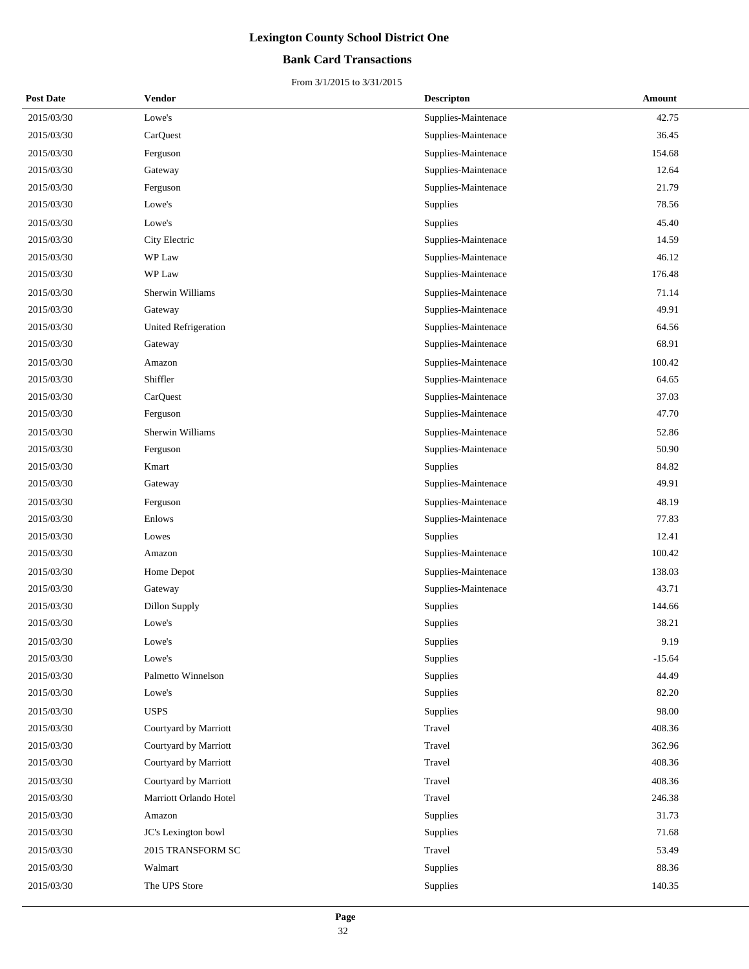### **Bank Card Transactions**

| <b>Post Date</b> | Vendor                 | <b>Descripton</b>   | Amount   |
|------------------|------------------------|---------------------|----------|
| 2015/03/30       | Lowe's                 | Supplies-Maintenace | 42.75    |
| 2015/03/30       | CarQuest               | Supplies-Maintenace | 36.45    |
| 2015/03/30       | Ferguson               | Supplies-Maintenace | 154.68   |
| 2015/03/30       | Gateway                | Supplies-Maintenace | 12.64    |
| 2015/03/30       | Ferguson               | Supplies-Maintenace | 21.79    |
| 2015/03/30       | Lowe's                 | Supplies            | 78.56    |
| 2015/03/30       | Lowe's                 | Supplies            | 45.40    |
| 2015/03/30       | City Electric          | Supplies-Maintenace | 14.59    |
| 2015/03/30       | WP Law                 | Supplies-Maintenace | 46.12    |
| 2015/03/30       | WP Law                 | Supplies-Maintenace | 176.48   |
| 2015/03/30       | Sherwin Williams       | Supplies-Maintenace | 71.14    |
| 2015/03/30       | Gateway                | Supplies-Maintenace | 49.91    |
| 2015/03/30       | United Refrigeration   | Supplies-Maintenace | 64.56    |
| 2015/03/30       | Gateway                | Supplies-Maintenace | 68.91    |
| 2015/03/30       | Amazon                 | Supplies-Maintenace | 100.42   |
| 2015/03/30       | Shiffler               | Supplies-Maintenace | 64.65    |
| 2015/03/30       | CarQuest               | Supplies-Maintenace | 37.03    |
| 2015/03/30       | Ferguson               | Supplies-Maintenace | 47.70    |
| 2015/03/30       | Sherwin Williams       | Supplies-Maintenace | 52.86    |
| 2015/03/30       | Ferguson               | Supplies-Maintenace | 50.90    |
| 2015/03/30       | Kmart                  | <b>Supplies</b>     | 84.82    |
| 2015/03/30       | Gateway                | Supplies-Maintenace | 49.91    |
| 2015/03/30       | Ferguson               | Supplies-Maintenace | 48.19    |
| 2015/03/30       | Enlows                 | Supplies-Maintenace | 77.83    |
| 2015/03/30       | Lowes                  | Supplies            | 12.41    |
| 2015/03/30       | Amazon                 | Supplies-Maintenace | 100.42   |
| 2015/03/30       | Home Depot             | Supplies-Maintenace | 138.03   |
| 2015/03/30       | Gateway                | Supplies-Maintenace | 43.71    |
| 2015/03/30       | Dillon Supply          | Supplies            | 144.66   |
| 2015/03/30       | Lowe's                 | Supplies            | 38.21    |
| 2015/03/30       | Lowe's                 | Supplies            | 9.19     |
| 2015/03/30       | Lowe's                 | Supplies            | $-15.64$ |
| 2015/03/30       | Palmetto Winnelson     | Supplies            | 44.49    |
| 2015/03/30       | Lowe's                 | Supplies            | 82.20    |
| 2015/03/30       | <b>USPS</b>            | Supplies            | 98.00    |
| 2015/03/30       | Courtyard by Marriott  | Travel              | 408.36   |
| 2015/03/30       | Courtyard by Marriott  | Travel              | 362.96   |
| 2015/03/30       | Courtyard by Marriott  | Travel              | 408.36   |
| 2015/03/30       | Courtyard by Marriott  | Travel              | 408.36   |
| 2015/03/30       | Marriott Orlando Hotel | Travel              | 246.38   |
| 2015/03/30       | Amazon                 | Supplies            | 31.73    |
| 2015/03/30       | JC's Lexington bowl    | Supplies            | 71.68    |
| 2015/03/30       | 2015 TRANSFORM SC      | Travel              | 53.49    |
| 2015/03/30       | Walmart                | Supplies            | 88.36    |
| 2015/03/30       | The UPS Store          | Supplies            | 140.35   |
|                  |                        |                     |          |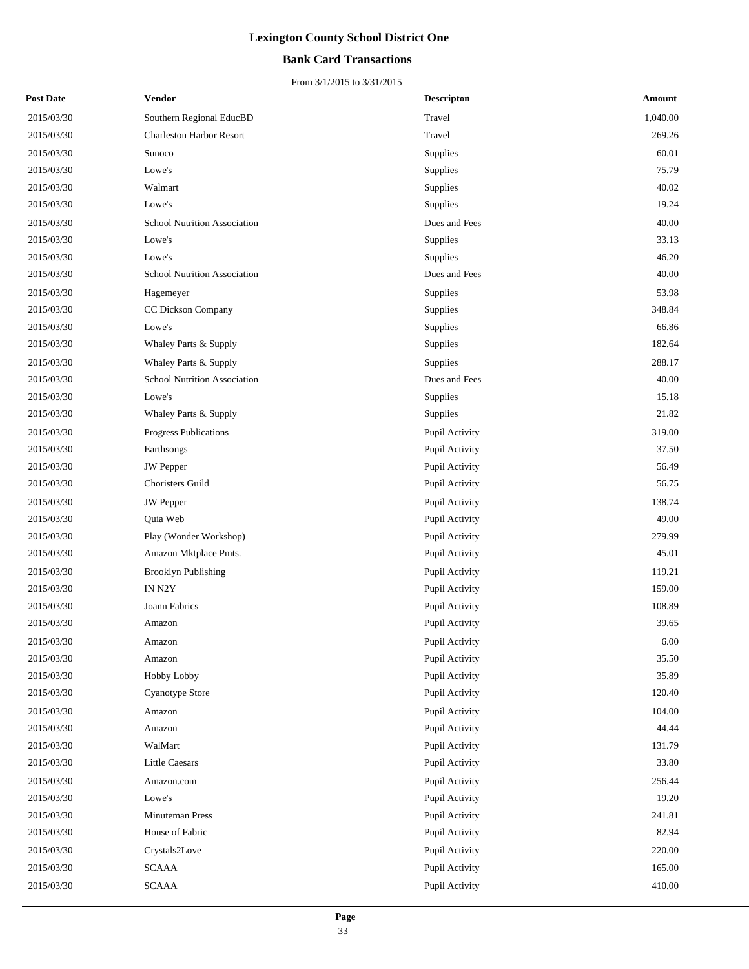### **Bank Card Transactions**

| <b>Post Date</b> | Vendor                              | <b>Descripton</b> | Amount   |
|------------------|-------------------------------------|-------------------|----------|
| 2015/03/30       | Southern Regional EducBD            | Travel            | 1,040.00 |
| 2015/03/30       | <b>Charleston Harbor Resort</b>     | Travel            | 269.26   |
| 2015/03/30       | Sunoco                              | Supplies          | 60.01    |
| 2015/03/30       | Lowe's                              | Supplies          | 75.79    |
| 2015/03/30       | Walmart                             | Supplies          | 40.02    |
| 2015/03/30       | Lowe's                              | Supplies          | 19.24    |
| 2015/03/30       | <b>School Nutrition Association</b> | Dues and Fees     | 40.00    |
| 2015/03/30       | Lowe's                              | Supplies          | 33.13    |
| 2015/03/30       | Lowe's                              | Supplies          | 46.20    |
| 2015/03/30       | <b>School Nutrition Association</b> | Dues and Fees     | 40.00    |
| 2015/03/30       | Hagemeyer                           | Supplies          | 53.98    |
| 2015/03/30       | CC Dickson Company                  | Supplies          | 348.84   |
| 2015/03/30       | Lowe's                              | Supplies          | 66.86    |
| 2015/03/30       | Whaley Parts & Supply               | Supplies          | 182.64   |
| 2015/03/30       | Whaley Parts & Supply               | Supplies          | 288.17   |
| 2015/03/30       | <b>School Nutrition Association</b> | Dues and Fees     | 40.00    |
| 2015/03/30       | Lowe's                              | Supplies          | 15.18    |
| 2015/03/30       | Whaley Parts & Supply               | Supplies          | 21.82    |
| 2015/03/30       | Progress Publications               | Pupil Activity    | 319.00   |
| 2015/03/30       | Earthsongs                          | Pupil Activity    | 37.50    |
| 2015/03/30       | JW Pepper                           | Pupil Activity    | 56.49    |
| 2015/03/30       | Choristers Guild                    | Pupil Activity    | 56.75    |
| 2015/03/30       | <b>JW</b> Pepper                    | Pupil Activity    | 138.74   |
| 2015/03/30       | Quia Web                            | Pupil Activity    | 49.00    |
| 2015/03/30       | Play (Wonder Workshop)              | Pupil Activity    | 279.99   |
| 2015/03/30       | Amazon Mktplace Pmts.               | Pupil Activity    | 45.01    |
| 2015/03/30       | <b>Brooklyn Publishing</b>          | Pupil Activity    | 119.21   |
| 2015/03/30       | IN N2Y                              | Pupil Activity    | 159.00   |
| 2015/03/30       | Joann Fabrics                       | Pupil Activity    | 108.89   |
| 2015/03/30       | Amazon                              | Pupil Activity    | 39.65    |
| 2015/03/30       | Amazon                              | Pupil Activity    | 6.00     |
| 2015/03/30       | Amazon                              | Pupil Activity    | 35.50    |
| 2015/03/30       | Hobby Lobby                         | Pupil Activity    | 35.89    |
| 2015/03/30       | Cyanotype Store                     | Pupil Activity    | 120.40   |
| 2015/03/30       | Amazon                              | Pupil Activity    | 104.00   |
| 2015/03/30       | Amazon                              | Pupil Activity    | 44.44    |
| 2015/03/30       | WalMart                             | Pupil Activity    | 131.79   |
| 2015/03/30       | Little Caesars                      | Pupil Activity    | 33.80    |
| 2015/03/30       | Amazon.com                          | Pupil Activity    | 256.44   |
| 2015/03/30       | Lowe's                              | Pupil Activity    | 19.20    |
| 2015/03/30       | Minuteman Press                     | Pupil Activity    | 241.81   |
| 2015/03/30       | House of Fabric                     | Pupil Activity    | 82.94    |
| 2015/03/30       | Crystals2Love                       | Pupil Activity    | 220.00   |
| 2015/03/30       | <b>SCAAA</b>                        | Pupil Activity    | 165.00   |
| 2015/03/30       | <b>SCAAA</b>                        | Pupil Activity    | 410.00   |
|                  |                                     |                   |          |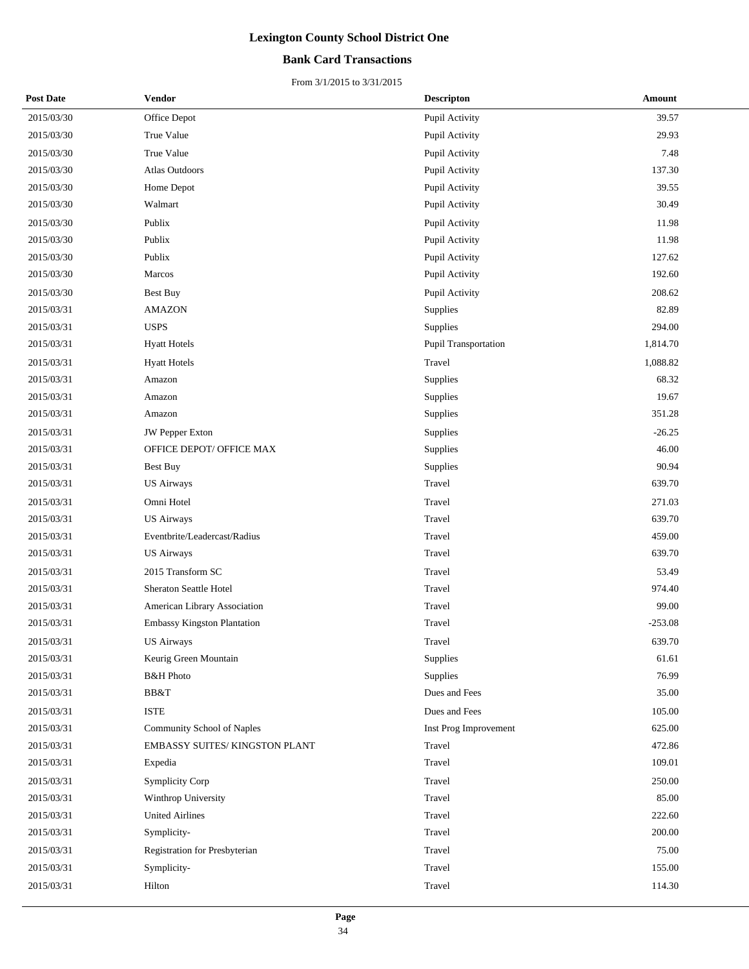### **Bank Card Transactions**

| <b>Post Date</b> | Vendor                        | <b>Descripton</b>     | Amount    |
|------------------|-------------------------------|-----------------------|-----------|
| 2015/03/30       | Office Depot                  | Pupil Activity        | 39.57     |
| 2015/03/30       | True Value                    | Pupil Activity        | 29.93     |
| 2015/03/30       | True Value                    | Pupil Activity        | 7.48      |
| 2015/03/30       | <b>Atlas Outdoors</b>         | Pupil Activity        | 137.30    |
| 2015/03/30       | Home Depot                    | Pupil Activity        | 39.55     |
| 2015/03/30       | Walmart                       | Pupil Activity        | 30.49     |
| 2015/03/30       | Publix                        | Pupil Activity        | 11.98     |
| 2015/03/30       | Publix                        | Pupil Activity        | 11.98     |
| 2015/03/30       | Publix                        | Pupil Activity        | 127.62    |
| 2015/03/30       | Marcos                        | Pupil Activity        | 192.60    |
| 2015/03/30       | <b>Best Buy</b>               | Pupil Activity        | 208.62    |
| 2015/03/31       | <b>AMAZON</b>                 | Supplies              | 82.89     |
| 2015/03/31       | <b>USPS</b>                   | Supplies              | 294.00    |
| 2015/03/31       | <b>Hyatt Hotels</b>           | Pupil Transportation  | 1,814.70  |
| 2015/03/31       | <b>Hyatt Hotels</b>           | Travel                | 1,088.82  |
| 2015/03/31       | Amazon                        | <b>Supplies</b>       | 68.32     |
| 2015/03/31       | Amazon                        | Supplies              | 19.67     |
| 2015/03/31       | Amazon                        | Supplies              | 351.28    |
| 2015/03/31       | <b>JW Pepper Exton</b>        | <b>Supplies</b>       | $-26.25$  |
| 2015/03/31       | OFFICE DEPOT/ OFFICE MAX      | Supplies              | 46.00     |
| 2015/03/31       | Best Buy                      | Supplies              | 90.94     |
| 2015/03/31       | <b>US Airways</b>             | Travel                | 639.70    |
| 2015/03/31       | Omni Hotel                    | Travel                | 271.03    |
| 2015/03/31       | <b>US Airways</b>             | Travel                | 639.70    |
| 2015/03/31       | Eventbrite/Leadercast/Radius  | Travel                | 459.00    |
| 2015/03/31       | <b>US Airways</b>             | Travel                | 639.70    |
| 2015/03/31       | 2015 Transform SC             | Travel                | 53.49     |
| 2015/03/31       | <b>Sheraton Seattle Hotel</b> | Travel                | 974.40    |
| 2015/03/31       | American Library Association  | Travel                | 99.00     |
| 2015/03/31       | Embassy Kingston Plantation   | Travel                | $-253.08$ |
| 2015/03/31       | <b>US Airways</b>             | Travel                | 639.70    |
| 2015/03/31       | Keurig Green Mountain         | Supplies              | 61.61     |
| 2015/03/31       | <b>B&amp;H</b> Photo          | Supplies              | 76.99     |
| 2015/03/31       | BB&T                          | Dues and Fees         | 35.00     |
| 2015/03/31       | <b>ISTE</b>                   | Dues and Fees         | 105.00    |
| 2015/03/31       | Community School of Naples    | Inst Prog Improvement | 625.00    |
| 2015/03/31       | EMBASSY SUITES/KINGSTON PLANT | Travel                | 472.86    |
| 2015/03/31       | Expedia                       | Travel                | 109.01    |
| 2015/03/31       | <b>Symplicity Corp</b>        | Travel                | 250.00    |
| 2015/03/31       | Winthrop University           | Travel                | 85.00     |
| 2015/03/31       | <b>United Airlines</b>        | Travel                | 222.60    |
| 2015/03/31       | Symplicity-                   | Travel                | 200.00    |
| 2015/03/31       | Registration for Presbyterian | Travel                | 75.00     |
| 2015/03/31       | Symplicity-                   | Travel                | 155.00    |
| 2015/03/31       | Hilton                        | Travel                | 114.30    |
|                  |                               |                       |           |